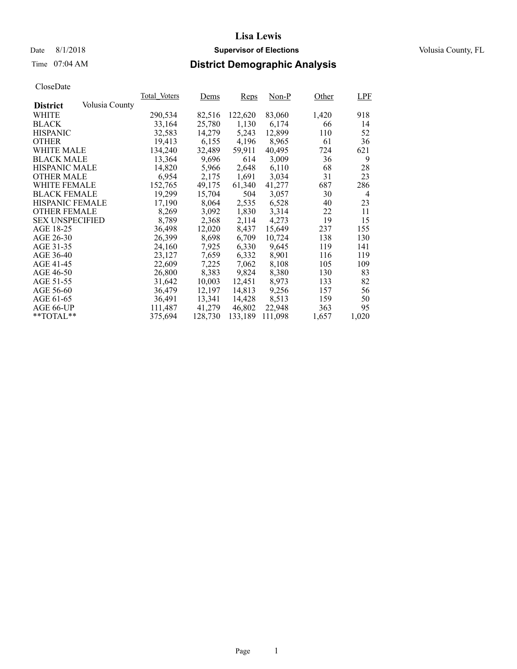## Date 8/1/2018 **Supervisor of Elections Supervisor of Elections** Volusia County, FL

## Time 07:04 AM **District Demographic Analysis**

|                        |                | Total Voters | Dems    | <b>Reps</b> | $Non-P$ | Other | <b>LPF</b> |
|------------------------|----------------|--------------|---------|-------------|---------|-------|------------|
| <b>District</b>        | Volusia County |              |         |             |         |       |            |
| WHITE                  |                | 290,534      | 82,516  | 122,620     | 83,060  | 1,420 | 918        |
| <b>BLACK</b>           |                | 33,164       | 25,780  | 1,130       | 6,174   | 66    | 14         |
| <b>HISPANIC</b>        |                | 32,583       | 14,279  | 5,243       | 12,899  | 110   | 52         |
| <b>OTHER</b>           |                | 19,413       | 6,155   | 4,196       | 8,965   | 61    | 36         |
| WHITE MALE             |                | 134,240      | 32,489  | 59,911      | 40,495  | 724   | 621        |
| <b>BLACK MALE</b>      |                | 13,364       | 9,696   | 614         | 3,009   | 36    | 9          |
| <b>HISPANIC MALE</b>   |                | 14,820       | 5,966   | 2,648       | 6,110   | 68    | 28         |
| <b>OTHER MALE</b>      |                | 6,954        | 2,175   | 1,691       | 3,034   | 31    | 23         |
| <b>WHITE FEMALE</b>    |                | 152,765      | 49,175  | 61,340      | 41,277  | 687   | 286        |
| <b>BLACK FEMALE</b>    |                | 19,299       | 15,704  | 504         | 3,057   | 30    | 4          |
| <b>HISPANIC FEMALE</b> |                | 17,190       | 8,064   | 2,535       | 6,528   | 40    | 23         |
| <b>OTHER FEMALE</b>    |                | 8,269        | 3,092   | 1,830       | 3.314   | 22    | 11         |
| <b>SEX UNSPECIFIED</b> |                | 8,789        | 2,368   | 2,114       | 4,273   | 19    | 15         |
| AGE 18-25              |                | 36,498       | 12,020  | 8,437       | 15,649  | 237   | 155        |
| AGE 26-30              |                | 26,399       | 8,698   | 6.709       | 10.724  | 138   | 130        |
| AGE 31-35              |                | 24,160       | 7,925   | 6,330       | 9,645   | 119   | 141        |
| AGE 36-40              |                | 23,127       | 7,659   | 6,332       | 8,901   | 116   | 119        |
| AGE 41-45              |                | 22,609       | 7,225   | 7,062       | 8,108   | 105   | 109        |
| AGE 46-50              |                | 26,800       | 8,383   | 9,824       | 8,380   | 130   | 83         |
| AGE 51-55              |                | 31,642       | 10.003  | 12.451      | 8.973   | 133   | 82         |
| AGE 56-60              |                | 36,479       | 12,197  | 14,813      | 9,256   | 157   | 56         |
| AGE 61-65              |                | 36,491       | 13,341  | 14,428      | 8,513   | 159   | 50         |
| AGE 66-UP              |                | 111,487      | 41,279  | 46,802      | 22,948  | 363   | 95         |
| $*$ TOTAL $*$          |                | 375,694      | 128,730 | 133,189     | 111,098 | 1,657 | 1,020      |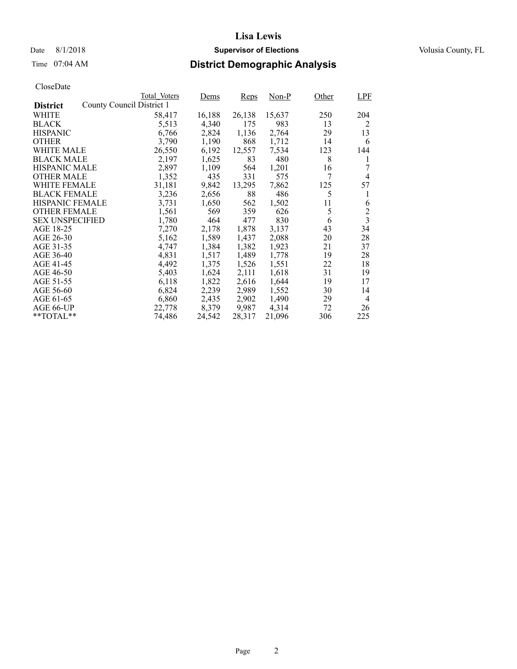## Date 8/1/2018 **Supervisor of Elections Supervisor of Elections** Volusia County, FL

## Time 07:04 AM **District Demographic Analysis**

|                        | Total Voters              | Dems   | <b>Reps</b> | Non-P  | Other | <b>LPF</b>              |
|------------------------|---------------------------|--------|-------------|--------|-------|-------------------------|
| <b>District</b>        | County Council District 1 |        |             |        |       |                         |
| WHITE                  | 58,417                    | 16,188 | 26,138      | 15,637 | 250   | 204                     |
| <b>BLACK</b>           | 5,513                     | 4,340  | 175         | 983    | 13    | 2                       |
| <b>HISPANIC</b>        | 6,766                     | 2,824  | 1,136       | 2,764  | 29    | 13                      |
| <b>OTHER</b>           | 3,790                     | 1,190  | 868         | 1,712  | 14    | 6                       |
| WHITE MALE             | 26,550                    | 6,192  | 12,557      | 7,534  | 123   | 144                     |
| <b>BLACK MALE</b>      | 2,197                     | 1,625  | 83          | 480    | 8     | 1                       |
| <b>HISPANIC MALE</b>   | 2,897                     | 1,109  | 564         | 1,201  | 16    | 7                       |
| <b>OTHER MALE</b>      | 1,352                     | 435    | 331         | 575    | 7     | 4                       |
| WHITE FEMALE           | 31,181                    | 9,842  | 13,295      | 7,862  | 125   | 57                      |
| <b>BLACK FEMALE</b>    | 3,236                     | 2,656  | 88          | 486    | 5     | 1                       |
| HISPANIC FEMALE        | 3,731                     | 1,650  | 562         | 1,502  | 11    | 6                       |
| <b>OTHER FEMALE</b>    | 1,561                     | 569    | 359         | 626    | 5     | $\overline{c}$          |
| <b>SEX UNSPECIFIED</b> | 1,780                     | 464    | 477         | 830    | 6     | $\overline{\mathbf{3}}$ |
| AGE 18-25              | 7,270                     | 2,178  | 1,878       | 3,137  | 43    | 34                      |
| AGE 26-30              | 5,162                     | 1,589  | 1,437       | 2,088  | 20    | 28                      |
| AGE 31-35              | 4,747                     | 1,384  | 1,382       | 1,923  | 21    | 37                      |
| AGE 36-40              | 4,831                     | 1,517  | 1,489       | 1,778  | 19    | 28                      |
| AGE 41-45              | 4,492                     | 1,375  | 1,526       | 1,551  | 22    | 18                      |
| AGE 46-50              | 5,403                     | 1,624  | 2,111       | 1,618  | 31    | 19                      |
| AGE 51-55              | 6,118                     | 1,822  | 2,616       | 1,644  | 19    | 17                      |
| AGE 56-60              | 6,824                     | 2,239  | 2,989       | 1,552  | 30    | 14                      |
| AGE 61-65              | 6,860                     | 2,435  | 2,902       | 1,490  | 29    | $\overline{4}$          |
| AGE 66-UP              | 22,778                    | 8,379  | 9,987       | 4,314  | 72    | 26                      |
| $*$ $TOTAL**$          | 74,486                    | 24,542 | 28,317      | 21,096 | 306   | 225                     |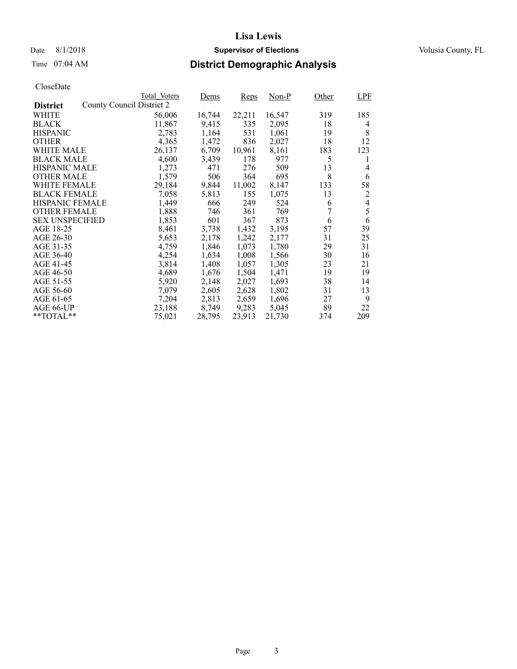## Date 8/1/2018 **Supervisor of Elections Supervisor of Elections** Volusia County, FL

## Time 07:04 AM **District Demographic Analysis**

|                        |                           | Total Voters | Dems   | <b>Reps</b> | Non-P  | Other | LPF            |
|------------------------|---------------------------|--------------|--------|-------------|--------|-------|----------------|
| <b>District</b>        | County Council District 2 |              |        |             |        |       |                |
| WHITE                  |                           | 56,006       | 16,744 | 22,211      | 16,547 | 319   | 185            |
| <b>BLACK</b>           |                           | 11,867       | 9,415  | 335         | 2,095  | 18    | 4              |
| <b>HISPANIC</b>        |                           | 2,783        | 1,164  | 531         | 1,061  | 19    | 8              |
| <b>OTHER</b>           |                           | 4,365        | 1,472  | 836         | 2,027  | 18    | 12             |
| WHITE MALE             |                           | 26,137       | 6,709  | 10,961      | 8,161  | 183   | 123            |
| <b>BLACK MALE</b>      |                           | 4,600        | 3,439  | 178         | 977    | 5     | 1              |
| <b>HISPANIC MALE</b>   |                           | 1,273        | 471    | 276         | 509    | 13    | 4              |
| <b>OTHER MALE</b>      |                           | 1,579        | 506    | 364         | 695    | 8     | 6              |
| WHITE FEMALE           |                           | 29,184       | 9,844  | 11,002      | 8,147  | 133   | 58             |
| <b>BLACK FEMALE</b>    |                           | 7,058        | 5,813  | 155         | 1,075  | 13    | 2              |
| HISPANIC FEMALE        |                           | 1,449        | 666    | 249         | 524    | 6     | $\overline{4}$ |
| <b>OTHER FEMALE</b>    |                           | 1,888        | 746    | 361         | 769    | 7     | 5              |
| <b>SEX UNSPECIFIED</b> |                           | 1,853        | 601    | 367         | 873    | 6     | 6              |
| AGE 18-25              |                           | 8,461        | 3,738  | 1,432       | 3,195  | 57    | 39             |
| AGE 26-30              |                           | 5,653        | 2,178  | 1,242       | 2,177  | 31    | 25             |
| AGE 31-35              |                           | 4,759        | 1,846  | 1,073       | 1,780  | 29    | 31             |
| AGE 36-40              |                           | 4,254        | 1,634  | 1,008       | 1,566  | 30    | 16             |
| AGE 41-45              |                           | 3,814        | 1,408  | 1,057       | 1,305  | 23    | 21             |
| AGE 46-50              |                           | 4,689        | 1,676  | 1,504       | 1,471  | 19    | 19             |
| AGE 51-55              |                           | 5,920        | 2,148  | 2,027       | 1,693  | 38    | 14             |
| AGE 56-60              |                           | 7,079        | 2,605  | 2,628       | 1,802  | 31    | 13             |
| AGE 61-65              |                           | 7,204        | 2,813  | 2,659       | 1,696  | 27    | 9              |
| AGE 66-UP              |                           | 23,188       | 8,749  | 9,283       | 5,045  | 89    | 22             |
| $*$ TOTAL $*$          |                           | 75,021       | 28,795 | 23,913      | 21,730 | 374   | 209            |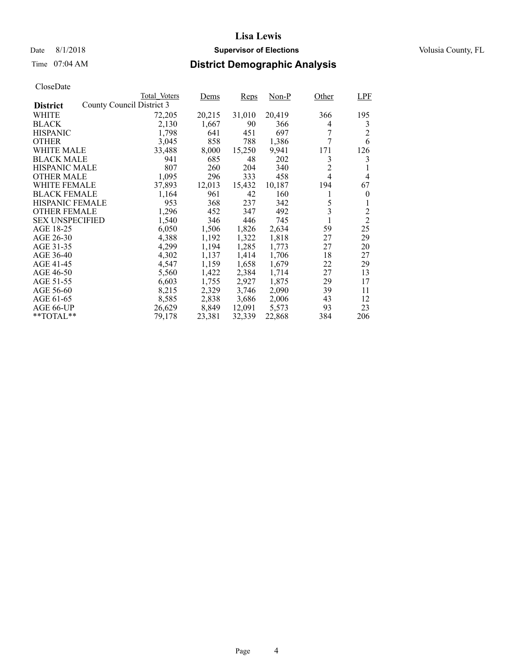## Date 8/1/2018 **Supervisor of Elections Supervisor of Elections** Volusia County, FL

# Time 07:04 AM **District Demographic Analysis**

|                        |                           | Total Voters | Dems   | <b>Reps</b> | Non-P  | Other          | LPF            |
|------------------------|---------------------------|--------------|--------|-------------|--------|----------------|----------------|
| <b>District</b>        | County Council District 3 |              |        |             |        |                |                |
| WHITE                  |                           | 72,205       | 20,215 | 31,010      | 20,419 | 366            | 195            |
| <b>BLACK</b>           |                           | 2,130        | 1,667  | 90          | 366    | 4              | 3              |
| <b>HISPANIC</b>        |                           | 1,798        | 641    | 451         | 697    | 7              | $\overline{2}$ |
| <b>OTHER</b>           |                           | 3,045        | 858    | 788         | 1,386  | 7              | 6              |
| WHITE MALE             |                           | 33,488       | 8,000  | 15,250      | 9.941  | 171            | 126            |
| <b>BLACK MALE</b>      |                           | 941          | 685    | 48          | 202    | 3              | 3              |
| <b>HISPANIC MALE</b>   |                           | 807          | 260    | 204         | 340    | $\overline{c}$ |                |
| <b>OTHER MALE</b>      |                           | 1,095        | 296    | 333         | 458    | $\overline{4}$ | 4              |
| WHITE FEMALE           |                           | 37,893       | 12,013 | 15,432      | 10,187 | 194            | 67             |
| <b>BLACK FEMALE</b>    |                           | 1,164        | 961    | 42          | 160    |                | $\theta$       |
| HISPANIC FEMALE        |                           | 953          | 368    | 237         | 342    | 5              |                |
| <b>OTHER FEMALE</b>    |                           | 1,296        | 452    | 347         | 492    | 3              | $\overline{2}$ |
| <b>SEX UNSPECIFIED</b> |                           | 1,540        | 346    | 446         | 745    |                | $\overline{2}$ |
| AGE 18-25              |                           | 6,050        | 1,506  | 1,826       | 2,634  | 59             | 25             |
| AGE 26-30              |                           | 4,388        | 1,192  | 1,322       | 1,818  | 27             | 29             |
| AGE 31-35              |                           | 4,299        | 1,194  | 1,285       | 1,773  | 27             | 20             |
| AGE 36-40              |                           | 4,302        | 1,137  | 1,414       | 1,706  | 18             | 27             |
| AGE 41-45              |                           | 4,547        | 1,159  | 1,658       | 1,679  | 22             | 29             |
| AGE 46-50              |                           | 5,560        | 1,422  | 2,384       | 1,714  | 27             | 13             |
| AGE 51-55              |                           | 6,603        | 1,755  | 2,927       | 1,875  | 29             | 17             |
| AGE 56-60              |                           | 8,215        | 2,329  | 3,746       | 2,090  | 39             | 11             |
| AGE 61-65              |                           | 8,585        | 2,838  | 3,686       | 2,006  | 43             | 12             |
| AGE 66-UP              |                           | 26,629       | 8,849  | 12,091      | 5,573  | 93             | 23             |
| $*$ TOTAL $*$          |                           | 79,178       | 23,381 | 32,339      | 22,868 | 384            | 206            |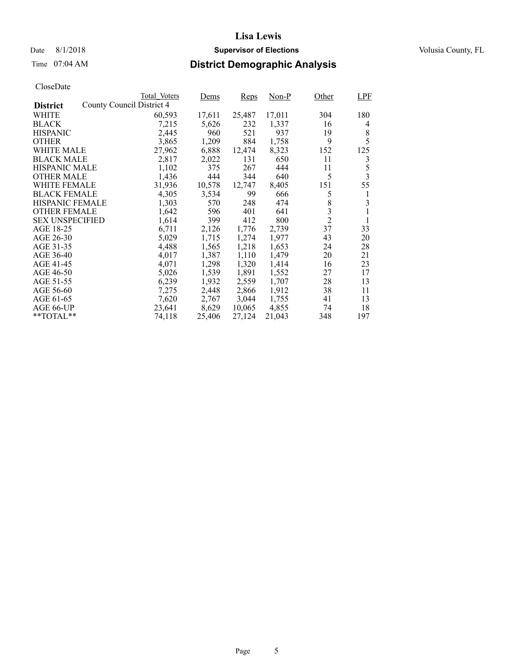## Date 8/1/2018 **Supervisor of Elections Supervisor of Elections** Volusia County, FL

## Time 07:04 AM **District Demographic Analysis**

|                        |                           | Total Voters | Dems   | <b>Reps</b> | Non-P  | Other          | <b>LPF</b> |
|------------------------|---------------------------|--------------|--------|-------------|--------|----------------|------------|
| <b>District</b>        | County Council District 4 |              |        |             |        |                |            |
| WHITE                  |                           | 60,593       | 17,611 | 25,487      | 17,011 | 304            | 180        |
| <b>BLACK</b>           |                           | 7,215        | 5,626  | 232         | 1,337  | 16             | 4          |
| <b>HISPANIC</b>        |                           | 2,445        | 960    | 521         | 937    | 19             | 8          |
| <b>OTHER</b>           |                           | 3,865        | 1,209  | 884         | 1,758  | 9              | 5          |
| WHITE MALE             |                           | 27,962       | 6,888  | 12,474      | 8,323  | 152            | 125        |
| <b>BLACK MALE</b>      |                           | 2,817        | 2,022  | 131         | 650    | 11             | 3          |
| <b>HISPANIC MALE</b>   |                           | 1,102        | 375    | 267         | 444    | 11             | 5          |
| <b>OTHER MALE</b>      |                           | 1,436        | 444    | 344         | 640    | 5              | 3          |
| WHITE FEMALE           |                           | 31,936       | 10,578 | 12,747      | 8,405  | 151            | 55         |
| <b>BLACK FEMALE</b>    |                           | 4,305        | 3,534  | 99          | 666    | 5              | 1          |
| HISPANIC FEMALE        |                           | 1,303        | 570    | 248         | 474    | 8              | 3          |
| <b>OTHER FEMALE</b>    |                           | 1,642        | 596    | 401         | 641    | 3              | 1          |
| <b>SEX UNSPECIFIED</b> |                           | 1,614        | 399    | 412         | 800    | $\overline{2}$ | 1          |
| AGE 18-25              |                           | 6,711        | 2,126  | 1,776       | 2,739  | 37             | 33         |
| AGE 26-30              |                           | 5,029        | 1,715  | 1,274       | 1,977  | 43             | 20         |
| AGE 31-35              |                           | 4,488        | 1,565  | 1,218       | 1,653  | 24             | 28         |
| AGE 36-40              |                           | 4,017        | 1,387  | 1,110       | 1,479  | 20             | 21         |
| AGE 41-45              |                           | 4,071        | 1,298  | 1,320       | 1,414  | 16             | 23         |
| AGE 46-50              |                           | 5,026        | 1,539  | 1,891       | 1,552  | 27             | 17         |
| AGE 51-55              |                           | 6,239        | 1,932  | 2,559       | 1,707  | 28             | 13         |
| AGE 56-60              |                           | 7,275        | 2,448  | 2,866       | 1,912  | 38             | 11         |
| AGE 61-65              |                           | 7,620        | 2,767  | 3,044       | 1,755  | 41             | 13         |
| AGE 66-UP              |                           | 23,641       | 8,629  | 10,065      | 4,855  | 74             | 18         |
| $*$ $TOTAL**$          |                           | 74,118       | 25,406 | 27,124      | 21,043 | 348            | 197        |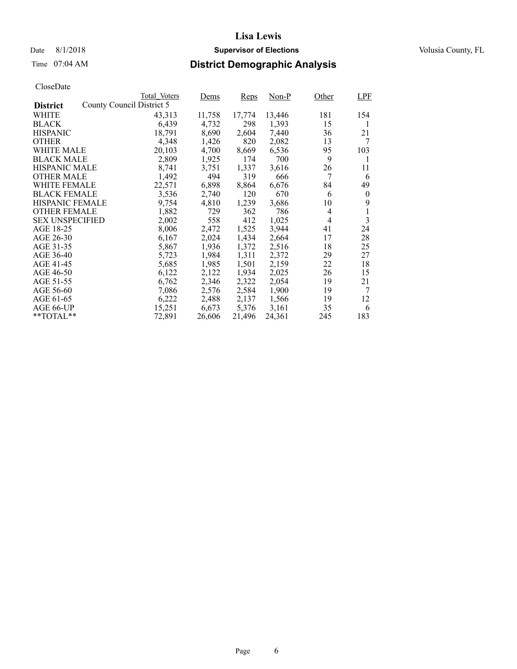## Date 8/1/2018 **Supervisor of Elections Supervisor of Elections** Volusia County, FL

## Time 07:04 AM **District Demographic Analysis**

|                        |                           | Total Voters | Dems   | <b>Reps</b> | Non-P  | Other          | <b>LPF</b> |
|------------------------|---------------------------|--------------|--------|-------------|--------|----------------|------------|
| <b>District</b>        | County Council District 5 |              |        |             |        |                |            |
| WHITE                  |                           | 43,313       | 11,758 | 17,774      | 13,446 | 181            | 154        |
| <b>BLACK</b>           |                           | 6,439        | 4,732  | 298         | 1,393  | 15             | 1          |
| <b>HISPANIC</b>        |                           | 18,791       | 8,690  | 2,604       | 7,440  | 36             | 21         |
| <b>OTHER</b>           |                           | 4,348        | 1,426  | 820         | 2,082  | 13             | 7          |
| WHITE MALE             |                           | 20,103       | 4,700  | 8,669       | 6,536  | 95             | 103        |
| <b>BLACK MALE</b>      |                           | 2,809        | 1,925  | 174         | 700    | 9              | 1          |
| <b>HISPANIC MALE</b>   |                           | 8,741        | 3,751  | 1,337       | 3,616  | 26             | 11         |
| <b>OTHER MALE</b>      |                           | 1,492        | 494    | 319         | 666    | 7              | 6          |
| WHITE FEMALE           |                           | 22,571       | 6,898  | 8,864       | 6,676  | 84             | 49         |
| <b>BLACK FEMALE</b>    |                           | 3,536        | 2,740  | 120         | 670    | 6              | $\theta$   |
| HISPANIC FEMALE        |                           | 9,754        | 4,810  | 1,239       | 3,686  | 10             | 9          |
| <b>OTHER FEMALE</b>    |                           | 1,882        | 729    | 362         | 786    | 4              | 1          |
| <b>SEX UNSPECIFIED</b> |                           | 2,002        | 558    | 412         | 1,025  | $\overline{4}$ | 3          |
| AGE 18-25              |                           | 8,006        | 2,472  | 1,525       | 3,944  | 41             | 24         |
| AGE 26-30              |                           | 6,167        | 2,024  | 1,434       | 2,664  | 17             | 28         |
| AGE 31-35              |                           | 5,867        | 1,936  | 1,372       | 2,516  | 18             | 25         |
| AGE 36-40              |                           | 5,723        | 1,984  | 1,311       | 2,372  | 29             | 27         |
| AGE 41-45              |                           | 5,685        | 1,985  | 1,501       | 2,159  | 22             | 18         |
| AGE 46-50              |                           | 6,122        | 2,122  | 1,934       | 2,025  | 26             | 15         |
| AGE 51-55              |                           | 6,762        | 2,346  | 2,322       | 2,054  | 19             | 21         |
| AGE 56-60              |                           | 7,086        | 2,576  | 2,584       | 1,900  | 19             | 7          |
| AGE 61-65              |                           | 6,222        | 2,488  | 2,137       | 1,566  | 19             | 12         |
| AGE 66-UP              |                           | 15,251       | 6,673  | 5,376       | 3,161  | 35             | 6          |
| $*$ TOTAL $*$          |                           | 72,891       | 26,606 | 21,496      | 24,361 | 245            | 183        |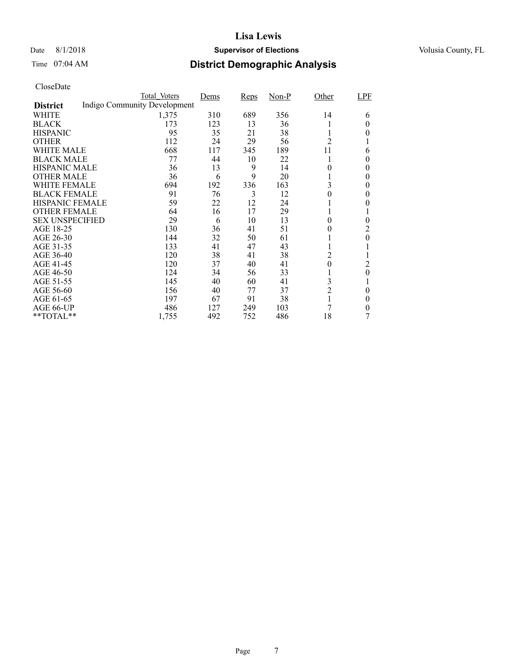## Date 8/1/2018 **Supervisor of Elections Supervisor of Elections** Volusia County, FL

## Time 07:04 AM **District Demographic Analysis**

|                        | Total Voters                 | Dems | Reps | $Non-P$ | Other          | LPF      |
|------------------------|------------------------------|------|------|---------|----------------|----------|
| <b>District</b>        | Indigo Community Development |      |      |         |                |          |
| <b>WHITE</b>           | 1,375                        | 310  | 689  | 356     | 14             | 6        |
| <b>BLACK</b>           | 173                          | 123  | 13   | 36      |                | 0        |
| <b>HISPANIC</b>        | 95                           | 35   | 21   | 38      |                | $\theta$ |
| <b>OTHER</b>           | 112                          | 24   | 29   | 56      | 2              |          |
| WHITE MALE             | 668                          | 117  | 345  | 189     | 11             | 6        |
| <b>BLACK MALE</b>      | 77                           | 44   | 10   | 22      |                | $\theta$ |
| <b>HISPANIC MALE</b>   | 36                           | 13   | 9    | 14      | 0              | $\theta$ |
| <b>OTHER MALE</b>      | 36                           | 6    | 9    | 20      |                | $\theta$ |
| <b>WHITE FEMALE</b>    | 694                          | 192  | 336  | 163     | 3              | 0        |
| <b>BLACK FEMALE</b>    | 91                           | 76   | 3    | 12      | 0              | $\theta$ |
| HISPANIC FEMALE        | 59                           | 22   | 12   | 24      |                | 0        |
| <b>OTHER FEMALE</b>    | 64                           | 16   | 17   | 29      |                |          |
| <b>SEX UNSPECIFIED</b> | 29                           | 6    | 10   | 13      | $\theta$       | $\theta$ |
| AGE 18-25              | 130                          | 36   | 41   | 51      | 0              | 2        |
| AGE 26-30              | 144                          | 32   | 50   | 61      |                | $\theta$ |
| AGE 31-35              | 133                          | 41   | 47   | 43      |                |          |
| AGE 36-40              | 120                          | 38   | 41   | 38      | 2              |          |
| AGE 41-45              | 120                          | 37   | 40   | 41      | $\theta$       | 2        |
| AGE 46-50              | 124                          | 34   | 56   | 33      |                | $\theta$ |
| AGE 51-55              | 145                          | 40   | 60   | 41      | 3              | 1        |
| AGE 56-60              | 156                          | 40   | 77   | 37      | $\overline{c}$ | 0        |
| AGE 61-65              | 197                          | 67   | 91   | 38      |                | $\theta$ |
| AGE 66-UP              | 486                          | 127  | 249  | 103     | 7              | 0        |
| **TOTAL**              | 1,755                        | 492  | 752  | 486     | 18             |          |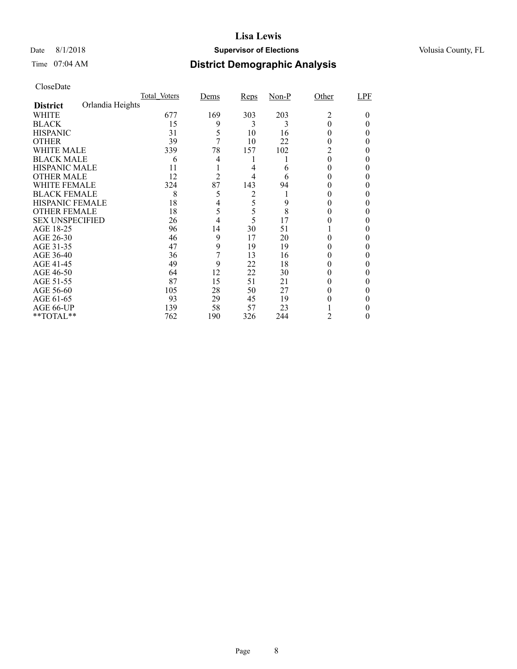## Date 8/1/2018 **Supervisor of Elections Supervisor of Elections** Volusia County, FL

## Time 07:04 AM **District Demographic Analysis**

|                        |                  | Total Voters | Dems           | <b>Reps</b> | $Non-P$ | Other | LPF |
|------------------------|------------------|--------------|----------------|-------------|---------|-------|-----|
| <b>District</b>        | Orlandia Heights |              |                |             |         |       |     |
| WHITE                  |                  | 677          | 169            | 303         | 203     | 2     | 0   |
| <b>BLACK</b>           |                  | 15           | 9              | 3           | 3       | 0     |     |
| <b>HISPANIC</b>        |                  | 31           | 5              | 10          | 16      |       |     |
| <b>OTHER</b>           |                  | 39           | 7              | 10          | 22      |       |     |
| WHITE MALE             |                  | 339          | 78             | 157         | 102     | 2     |     |
| <b>BLACK MALE</b>      |                  | 6            | 4              | 1           |         | 0     |     |
| <b>HISPANIC MALE</b>   |                  | 11           |                | 4           | 6       |       |     |
| <b>OTHER MALE</b>      |                  | 12           | $\overline{2}$ | 4           | 6       |       |     |
| WHITE FEMALE           |                  | 324          | 87             | 143         | 94      |       |     |
| <b>BLACK FEMALE</b>    |                  | 8            | 5              | 2           |         |       | 0   |
| <b>HISPANIC FEMALE</b> |                  | 18           | 4              | 5           | 9       |       |     |
| <b>OTHER FEMALE</b>    |                  | 18           | 5              | 5           | 8       |       |     |
| <b>SEX UNSPECIFIED</b> |                  | 26           | 4              | 5           | 17      |       |     |
| AGE 18-25              |                  | 96           | 14             | 30          | 51      |       |     |
| AGE 26-30              |                  | 46           | 9              | 17          | 20      |       |     |
| AGE 31-35              |                  | 47           | 9              | 19          | 19      |       |     |
| AGE 36-40              |                  | 36           | 7              | 13          | 16      |       |     |
| AGE 41-45              |                  | 49           | 9              | 22          | 18      |       |     |
| AGE 46-50              |                  | 64           | 12             | 22          | 30      |       |     |
| AGE 51-55              |                  | 87           | 15             | 51          | 21      |       |     |
| AGE 56-60              |                  | 105          | 28             | 50          | 27      |       |     |
| AGE 61-65              |                  | 93           | 29             | 45          | 19      |       |     |
| AGE 66-UP              |                  | 139          | 58             | 57          | 23      |       |     |
| **TOTAL**              |                  | 762          | 190            | 326         | 244     | 2     | 0   |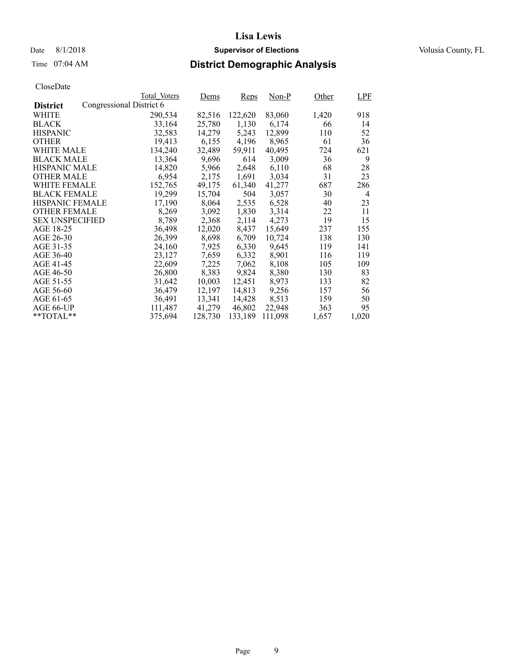## Date 8/1/2018 **Supervisor of Elections Supervisor of Elections** Volusia County, FL

## Time 07:04 AM **District Demographic Analysis**

|                        |                          | Total Voters | Dems    | <b>Reps</b> | Non-P   | Other | <b>LPF</b> |
|------------------------|--------------------------|--------------|---------|-------------|---------|-------|------------|
| <b>District</b>        | Congressional District 6 |              |         |             |         |       |            |
| WHITE                  |                          | 290,534      | 82,516  | 122,620     | 83,060  | 1,420 | 918        |
| <b>BLACK</b>           |                          | 33,164       | 25,780  | 1,130       | 6,174   | 66    | 14         |
| <b>HISPANIC</b>        |                          | 32,583       | 14,279  | 5,243       | 12,899  | 110   | 52         |
| <b>OTHER</b>           |                          | 19,413       | 6,155   | 4,196       | 8,965   | 61    | 36         |
| WHITE MALE             |                          | 134,240      | 32,489  | 59,911      | 40,495  | 724   | 621        |
| <b>BLACK MALE</b>      |                          | 13,364       | 9,696   | 614         | 3,009   | 36    | 9          |
| <b>HISPANIC MALE</b>   |                          | 14,820       | 5,966   | 2,648       | 6,110   | 68    | 28         |
| <b>OTHER MALE</b>      |                          | 6,954        | 2,175   | 1,691       | 3,034   | 31    | 23         |
| <b>WHITE FEMALE</b>    |                          | 152,765      | 49,175  | 61,340      | 41,277  | 687   | 286        |
| <b>BLACK FEMALE</b>    |                          | 19,299       | 15,704  | 504         | 3,057   | 30    | 4          |
| <b>HISPANIC FEMALE</b> |                          | 17,190       | 8,064   | 2,535       | 6,528   | 40    | 23         |
| <b>OTHER FEMALE</b>    |                          | 8,269        | 3,092   | 1,830       | 3.314   | 22    | 11         |
| <b>SEX UNSPECIFIED</b> |                          | 8,789        | 2,368   | 2,114       | 4,273   | 19    | 15         |
| AGE 18-25              |                          | 36,498       | 12,020  | 8,437       | 15,649  | 237   | 155        |
| AGE 26-30              |                          | 26,399       | 8,698   | 6,709       | 10.724  | 138   | 130        |
| AGE 31-35              |                          | 24,160       | 7,925   | 6,330       | 9,645   | 119   | 141        |
| AGE 36-40              |                          | 23,127       | 7,659   | 6,332       | 8,901   | 116   | 119        |
| AGE 41-45              |                          | 22,609       | 7,225   | 7,062       | 8,108   | 105   | 109        |
| AGE 46-50              |                          | 26,800       | 8,383   | 9,824       | 8,380   | 130   | 83         |
| AGE 51-55              |                          | 31,642       | 10.003  | 12.451      | 8.973   | 133   | 82         |
| AGE 56-60              |                          | 36,479       | 12,197  | 14,813      | 9,256   | 157   | 56         |
| AGE 61-65              |                          | 36,491       | 13,341  | 14,428      | 8,513   | 159   | 50         |
| AGE 66-UP              |                          | 111,487      | 41,279  | 46,802      | 22,948  | 363   | 95         |
| $*$ TOTAL $*$          |                          | 375,694      | 128,730 | 133,189     | 111,098 | 1,657 | 1,020      |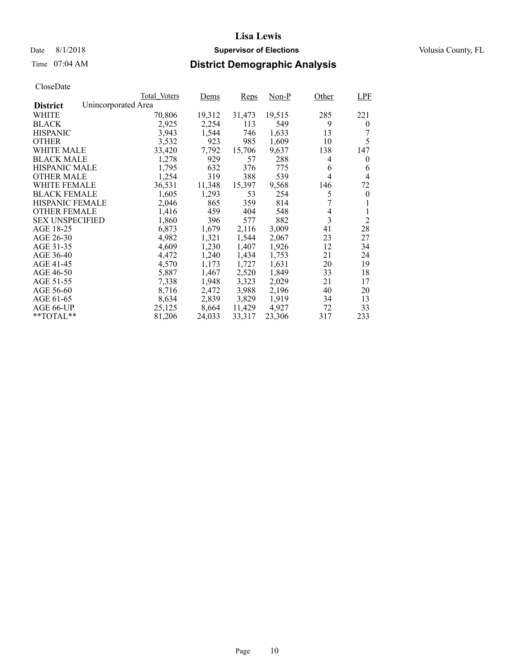## Date 8/1/2018 **Supervisor of Elections Supervisor of Elections** Volusia County, FL

# Time 07:04 AM **District Demographic Analysis**

|                        |                     | Total Voters | Dems   | <b>Reps</b> | Non-P  | Other | <b>LPF</b>       |
|------------------------|---------------------|--------------|--------|-------------|--------|-------|------------------|
| <b>District</b>        | Unincorporated Area |              |        |             |        |       |                  |
| WHITE                  |                     | 70,806       | 19,312 | 31,473      | 19,515 | 285   | 221              |
| <b>BLACK</b>           |                     | 2,925        | 2,254  | 113         | 549    | 9     | $\overline{0}$   |
| <b>HISPANIC</b>        |                     | 3,943        | 1,544  | 746         | 1,633  | 13    |                  |
| <b>OTHER</b>           |                     | 3,532        | 923    | 985         | 1,609  | 10    | 5                |
| WHITE MALE             |                     | 33,420       | 7,792  | 15,706      | 9,637  | 138   | 147              |
| <b>BLACK MALE</b>      |                     | 1,278        | 929    | 57          | 288    | 4     | 0                |
| <b>HISPANIC MALE</b>   |                     | 1,795        | 632    | 376         | 775    | 6     | 6                |
| <b>OTHER MALE</b>      |                     | 1,254        | 319    | 388         | 539    | 4     | 4                |
| <b>WHITE FEMALE</b>    |                     | 36,531       | 11,348 | 15,397      | 9,568  | 146   | 72               |
| <b>BLACK FEMALE</b>    |                     | 1,605        | 1,293  | 53          | 254    | 5     | $\boldsymbol{0}$ |
| HISPANIC FEMALE        |                     | 2,046        | 865    | 359         | 814    |       |                  |
| <b>OTHER FEMALE</b>    |                     | 1,416        | 459    | 404         | 548    | 4     | 1                |
| <b>SEX UNSPECIFIED</b> |                     | 1,860        | 396    | 577         | 882    | 3     | $\overline{2}$   |
| AGE 18-25              |                     | 6,873        | 1,679  | 2,116       | 3,009  | 41    | 28               |
| AGE 26-30              |                     | 4,982        | 1,321  | 1,544       | 2,067  | 23    | 27               |
| AGE 31-35              |                     | 4,609        | 1,230  | 1,407       | 1,926  | 12    | 34               |
| AGE 36-40              |                     | 4,472        | 1,240  | 1,434       | 1,753  | 21    | 24               |
| AGE 41-45              |                     | 4,570        | 1,173  | 1,727       | 1,631  | 20    | 19               |
| AGE 46-50              |                     | 5,887        | 1,467  | 2,520       | 1,849  | 33    | 18               |
| AGE 51-55              |                     | 7,338        | 1,948  | 3,323       | 2,029  | 21    | 17               |
| AGE 56-60              |                     | 8,716        | 2,472  | 3,988       | 2,196  | 40    | 20               |
| AGE 61-65              |                     | 8,634        | 2,839  | 3,829       | 1,919  | 34    | 13               |
| AGE 66-UP              |                     | 25,125       | 8,664  | 11,429      | 4,927  | 72    | 33               |
| $*$ TOTAL $*$          |                     | 81,206       | 24,033 | 33,317      | 23,306 | 317   | 233              |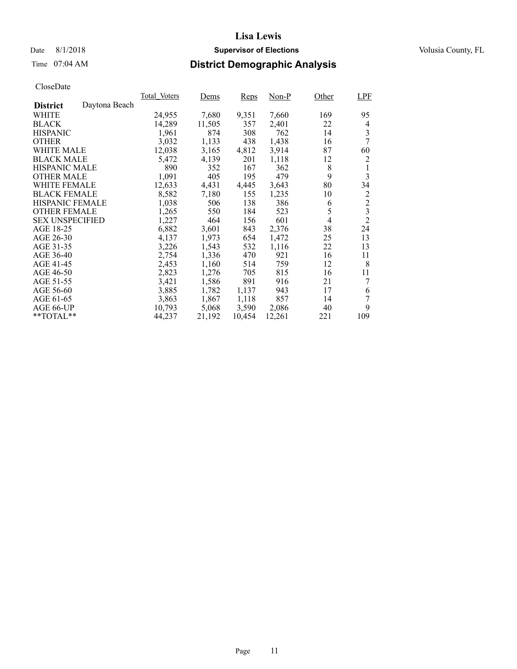## Date 8/1/2018 **Supervisor of Elections Supervisor of Elections** Volusia County, FL

## Time 07:04 AM **District Demographic Analysis**

|                        |               | Total Voters | Dems   | <b>Reps</b> | Non-P  | Other          | <b>LPF</b>              |
|------------------------|---------------|--------------|--------|-------------|--------|----------------|-------------------------|
| <b>District</b>        | Daytona Beach |              |        |             |        |                |                         |
| WHITE                  |               | 24,955       | 7,680  | 9,351       | 7,660  | 169            | 95                      |
| <b>BLACK</b>           |               | 14,289       | 11,505 | 357         | 2,401  | 22             | 4                       |
| <b>HISPANIC</b>        |               | 1,961        | 874    | 308         | 762    | 14             | 3                       |
| <b>OTHER</b>           |               | 3,032        | 1,133  | 438         | 1,438  | 16             | 7                       |
| WHITE MALE             |               | 12,038       | 3,165  | 4,812       | 3,914  | 87             | 60                      |
| <b>BLACK MALE</b>      |               | 5,472        | 4,139  | 201         | 1,118  | 12             | 2                       |
| <b>HISPANIC MALE</b>   |               | 890          | 352    | 167         | 362    | 8              | 1                       |
| <b>OTHER MALE</b>      |               | 1,091        | 405    | 195         | 479    | 9              | 3                       |
| <b>WHITE FEMALE</b>    |               | 12,633       | 4,431  | 4,445       | 3,643  | 80             | 34                      |
| <b>BLACK FEMALE</b>    |               | 8,582        | 7,180  | 155         | 1,235  | 10             | 2                       |
| HISPANIC FEMALE        |               | 1,038        | 506    | 138         | 386    | 6              | $\overline{c}$          |
| <b>OTHER FEMALE</b>    |               | 1,265        | 550    | 184         | 523    | 5              | $\overline{\mathbf{3}}$ |
| <b>SEX UNSPECIFIED</b> |               | 1,227        | 464    | 156         | 601    | $\overline{4}$ | $\overline{2}$          |
| AGE 18-25              |               | 6,882        | 3,601  | 843         | 2,376  | 38             | 24                      |
| AGE 26-30              |               | 4,137        | 1,973  | 654         | 1,472  | 25             | 13                      |
| AGE 31-35              |               | 3,226        | 1,543  | 532         | 1,116  | 22             | 13                      |
| AGE 36-40              |               | 2,754        | 1,336  | 470         | 921    | 16             | 11                      |
| AGE 41-45              |               | 2,453        | 1,160  | 514         | 759    | 12             | 8                       |
| AGE 46-50              |               | 2,823        | 1,276  | 705         | 815    | 16             | 11                      |
| AGE 51-55              |               | 3,421        | 1,586  | 891         | 916    | 21             | 7                       |
| AGE 56-60              |               | 3,885        | 1,782  | 1,137       | 943    | 17             | 6                       |
| AGE 61-65              |               | 3,863        | 1,867  | 1,118       | 857    | 14             | 7                       |
| AGE 66-UP              |               | 10,793       | 5,068  | 3,590       | 2,086  | 40             | 9                       |
| $*$ $TOTAL**$          |               | 44,237       | 21,192 | 10,454      | 12,261 | 221            | 109                     |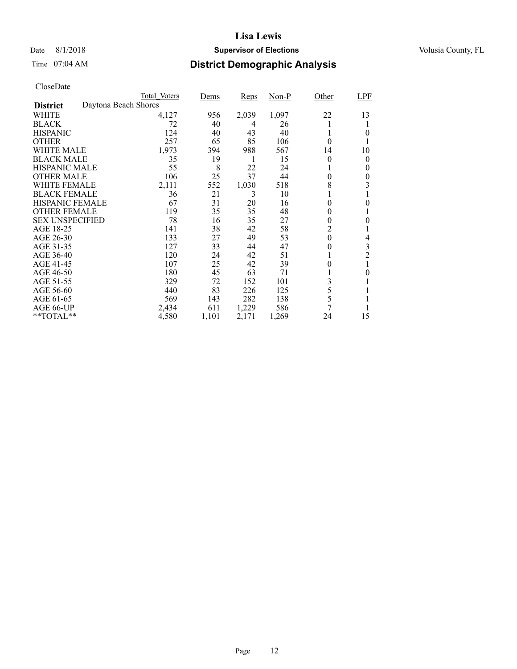## Date 8/1/2018 **Supervisor of Elections Supervisor of Elections** Volusia County, FL

# Time 07:04 AM **District Demographic Analysis**

|                        |                      | Total Voters | Dems  | <b>Reps</b> | $Non-P$ | Other    | <b>LPF</b>     |
|------------------------|----------------------|--------------|-------|-------------|---------|----------|----------------|
| <b>District</b>        | Daytona Beach Shores |              |       |             |         |          |                |
| WHITE                  |                      | 4,127        | 956   | 2,039       | 1,097   | 22       | 13             |
| <b>BLACK</b>           |                      | 72           | 40    | 4           | 26      | 1        |                |
| <b>HISPANIC</b>        |                      | 124          | 40    | 43          | 40      | 1        | 0              |
| <b>OTHER</b>           |                      | 257          | 65    | 85          | 106     | 0        |                |
| WHITE MALE             |                      | 1,973        | 394   | 988         | 567     | 14       | 10             |
| <b>BLACK MALE</b>      |                      | 35           | 19    | 1           | 15      | 0        | 0              |
| <b>HISPANIC MALE</b>   |                      | 55           | 8     | 22          | 24      |          | 0              |
| <b>OTHER MALE</b>      |                      | 106          | 25    | 37          | 44      | 0        | 0              |
| WHITE FEMALE           |                      | 2,111        | 552   | 1,030       | 518     | 8        | 3              |
| <b>BLACK FEMALE</b>    |                      | 36           | 21    | 3           | 10      |          |                |
| HISPANIC FEMALE        |                      | 67           | 31    | 20          | 16      | 0        | 0              |
| <b>OTHER FEMALE</b>    |                      | 119          | 35    | 35          | 48      | 0        |                |
| <b>SEX UNSPECIFIED</b> |                      | 78           | 16    | 35          | 27      | 0        | 0              |
| AGE 18-25              |                      | 141          | 38    | 42          | 58      | 2        |                |
| AGE 26-30              |                      | 133          | 27    | 49          | 53      | $\theta$ | 4              |
| AGE 31-35              |                      | 127          | 33    | 44          | 47      | 0        | 3              |
| AGE 36-40              |                      | 120          | 24    | 42          | 51      | T        | $\overline{c}$ |
| AGE 41-45              |                      | 107          | 25    | 42          | 39      |          |                |
| AGE 46-50              |                      | 180          | 45    | 63          | 71      |          | 0              |
| AGE 51-55              |                      | 329          | 72    | 152         | 101     | 3        |                |
| AGE 56-60              |                      | 440          | 83    | 226         | 125     | 5        |                |
| AGE 61-65              |                      | 569          | 143   | 282         | 138     | 5        |                |
| AGE 66-UP              |                      | 2,434        | 611   | 1,229       | 586     | 7        |                |
| **TOTAL**              |                      | 4,580        | 1,101 | 2,171       | 1,269   | 24       | 15             |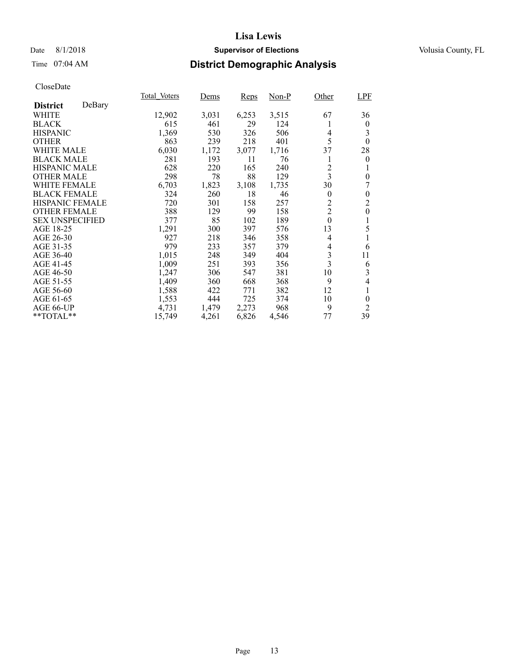## Date 8/1/2018 **Supervisor of Elections Supervisor of Elections** Volusia County, FL

## Time 07:04 AM **District Demographic Analysis**

|                           | Total Voters | Dems  | <b>Reps</b> | Non-P | Other                   | LPF            |
|---------------------------|--------------|-------|-------------|-------|-------------------------|----------------|
| DeBary<br><b>District</b> |              |       |             |       |                         |                |
| <b>WHITE</b>              | 12,902       | 3,031 | 6,253       | 3,515 | 67                      | 36             |
| <b>BLACK</b>              | 615          | 461   | 29          | 124   |                         | $\overline{0}$ |
| <b>HISPANIC</b>           | 1,369        | 530   | 326         | 506   | 4                       | 3              |
| <b>OTHER</b>              | 863          | 239   | 218         | 401   | 5                       | $\theta$       |
| WHITE MALE                | 6,030        | 1,172 | 3,077       | 1,716 | 37                      | 28             |
| <b>BLACK MALE</b>         | 281          | 193   | 11          | 76    | 1                       | $\overline{0}$ |
| <b>HISPANIC MALE</b>      | 628          | 220   | 165         | 240   | 2                       | 1              |
| <b>OTHER MALE</b>         | 298          | 78    | 88          | 129   | $\overline{\mathbf{3}}$ | $\overline{0}$ |
| <b>WHITE FEMALE</b>       | 6,703        | 1,823 | 3,108       | 1,735 | 30                      | 7              |
| <b>BLACK FEMALE</b>       | 324          | 260   | 18          | 46    | $\theta$                | $\theta$       |
| HISPANIC FEMALE           | 720          | 301   | 158         | 257   | $\overline{2}$          | $\overline{2}$ |
| <b>OTHER FEMALE</b>       | 388          | 129   | 99          | 158   | $\overline{2}$          | $\mathbf{0}$   |
| <b>SEX UNSPECIFIED</b>    | 377          | 85    | 102         | 189   | $\boldsymbol{0}$        | 1              |
| AGE 18-25                 | 1,291        | 300   | 397         | 576   | 13                      | 5              |
| AGE 26-30                 | 927          | 218   | 346         | 358   | $\overline{4}$          |                |
| AGE 31-35                 | 979          | 233   | 357         | 379   | 4                       | 6              |
| AGE 36-40                 | 1.015        | 248   | 349         | 404   | $\mathfrak{Z}$          | 11             |
| AGE 41-45                 | 1,009        | 251   | 393         | 356   | $\overline{3}$          | 6              |
| AGE 46-50                 | 1,247        | 306   | 547         | 381   | 10                      | 3              |
| AGE 51-55                 | 1,409        | 360   | 668         | 368   | 9                       | 4              |
| AGE 56-60                 | 1,588        | 422   | 771         | 382   | 12                      | 1              |
| AGE 61-65                 | 1,553        | 444   | 725         | 374   | 10                      | $\theta$       |
| AGE 66-UP                 | 4,731        | 1,479 | 2,273       | 968   | 9                       | 2              |
| **TOTAL**                 | 15,749       | 4,261 | 6,826       | 4,546 | 77                      | 39             |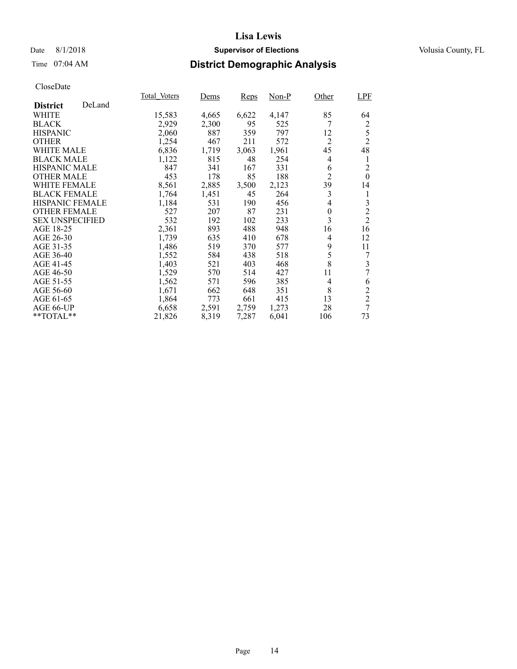## Date 8/1/2018 **Supervisor of Elections Supervisor of Elections** Volusia County, FL

## Time 07:04 AM **District Demographic Analysis**

|                        |        | Total Voters | Dems  | <b>Reps</b> | Non-P | Other          | LPF              |
|------------------------|--------|--------------|-------|-------------|-------|----------------|------------------|
| <b>District</b>        | DeLand |              |       |             |       |                |                  |
| <b>WHITE</b>           |        | 15,583       | 4,665 | 6,622       | 4,147 | 85             | 64               |
| <b>BLACK</b>           |        | 2,929        | 2,300 | 95          | 525   | 7              | $\overline{c}$   |
| <b>HISPANIC</b>        |        | 2,060        | 887   | 359         | 797   | 12             | 5                |
| <b>OTHER</b>           |        | 1,254        | 467   | 211         | 572   | $\overline{2}$ | $\overline{2}$   |
| <b>WHITE MALE</b>      |        | 6,836        | 1,719 | 3,063       | 1,961 | 45             | 48               |
| <b>BLACK MALE</b>      |        | 1,122        | 815   | 48          | 254   | 4              | 1                |
| <b>HISPANIC MALE</b>   |        | 847          | 341   | 167         | 331   | 6              | $\overline{2}$   |
| <b>OTHER MALE</b>      |        | 453          | 178   | 85          | 188   | $\overline{2}$ | $\boldsymbol{0}$ |
| <b>WHITE FEMALE</b>    |        | 8,561        | 2,885 | 3,500       | 2,123 | 39             | 14               |
| <b>BLACK FEMALE</b>    |        | 1,764        | 1,451 | 45          | 264   | 3              | 1                |
| <b>HISPANIC FEMALE</b> |        | 1,184        | 531   | 190         | 456   | 4              | 3                |
| <b>OTHER FEMALE</b>    |        | 527          | 207   | 87          | 231   | $\theta$       | $\frac{2}{2}$    |
| <b>SEX UNSPECIFIED</b> |        | 532          | 192   | 102         | 233   | 3              |                  |
| AGE 18-25              |        | 2,361        | 893   | 488         | 948   | 16             | 16               |
| AGE 26-30              |        | 1,739        | 635   | 410         | 678   | 4              | 12               |
| AGE 31-35              |        | 1,486        | 519   | 370         | 577   | 9              | 11               |
| AGE 36-40              |        | 1,552        | 584   | 438         | 518   | 5              | 7                |
| AGE 41-45              |        | 1,403        | 521   | 403         | 468   | 8              | 3                |
| AGE 46-50              |        | 1,529        | 570   | 514         | 427   | 11             | 7                |
| AGE 51-55              |        | 1,562        | 571   | 596         | 385   | 4              | 6                |
| AGE 56-60              |        | 1,671        | 662   | 648         | 351   | 8              | $\overline{c}$   |
| AGE 61-65              |        | 1,864        | 773   | 661         | 415   | 13             | $\overline{2}$   |
| AGE 66-UP              |        | 6,658        | 2,591 | 2,759       | 1,273 | 28             | $\overline{7}$   |
| **TOTAL**              |        | 21,826       | 8,319 | 7,287       | 6,041 | 106            | 73               |
|                        |        |              |       |             |       |                |                  |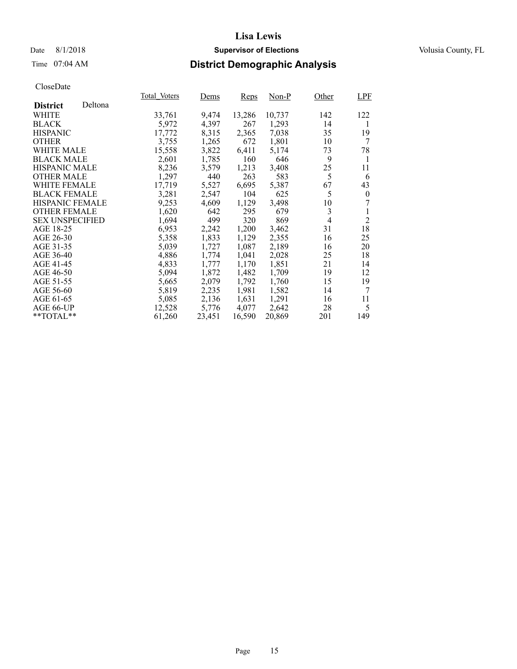## Date 8/1/2018 **Supervisor of Elections Supervisor of Elections** Volusia County, FL

## Time 07:04 AM **District Demographic Analysis**

|                        |         | Total Voters | Dems   | Reps   | Non-P  | Other          | LPF            |
|------------------------|---------|--------------|--------|--------|--------|----------------|----------------|
| <b>District</b>        | Deltona |              |        |        |        |                |                |
| <b>WHITE</b>           |         | 33,761       | 9,474  | 13,286 | 10,737 | 142            | 122            |
| <b>BLACK</b>           |         | 5,972        | 4,397  | 267    | 1,293  | 14             | 1              |
| <b>HISPANIC</b>        |         | 17,772       | 8,315  | 2,365  | 7,038  | 35             | 19             |
| <b>OTHER</b>           |         | 3,755        | 1,265  | 672    | 1,801  | 10             | 7              |
| <b>WHITE MALE</b>      |         | 15,558       | 3,822  | 6,411  | 5.174  | 73             | 78             |
| <b>BLACK MALE</b>      |         | 2,601        | 1,785  | 160    | 646    | 9              | 1              |
| <b>HISPANIC MALE</b>   |         | 8,236        | 3,579  | 1,213  | 3,408  | 25             | 11             |
| <b>OTHER MALE</b>      |         | 1,297        | 440    | 263    | 583    | 5              | 6              |
| <b>WHITE FEMALE</b>    |         | 17,719       | 5,527  | 6,695  | 5,387  | 67             | 43             |
| <b>BLACK FEMALE</b>    |         | 3.281        | 2,547  | 104    | 625    | 5              | $\theta$       |
| <b>HISPANIC FEMALE</b> |         | 9,253        | 4,609  | 1,129  | 3,498  | 10             | 7              |
| <b>OTHER FEMALE</b>    |         | 1,620        | 642    | 295    | 679    | 3              |                |
| <b>SEX UNSPECIFIED</b> |         | 1,694        | 499    | 320    | 869    | $\overline{4}$ | $\overline{2}$ |
| AGE 18-25              |         | 6,953        | 2,242  | 1,200  | 3,462  | 31             | 18             |
| AGE 26-30              |         | 5,358        | 1,833  | 1,129  | 2,355  | 16             | 25             |
| AGE 31-35              |         | 5,039        | 1,727  | 1,087  | 2,189  | 16             | 20             |
| AGE 36-40              |         | 4,886        | 1,774  | 1,041  | 2,028  | 25             | 18             |
| AGE 41-45              |         | 4,833        | 1,777  | 1,170  | 1,851  | 21             | 14             |
| AGE 46-50              |         | 5,094        | 1,872  | 1,482  | 1,709  | 19             | 12             |
| AGE 51-55              |         | 5,665        | 2,079  | 1,792  | 1,760  | 15             | 19             |
| AGE 56-60              |         | 5,819        | 2,235  | 1,981  | 1,582  | 14             | 7              |
| AGE 61-65              |         | 5,085        | 2,136  | 1,631  | 1,291  | 16             | 11             |
| AGE 66-UP              |         | 12,528       | 5,776  | 4,077  | 2,642  | 28             | 5              |
| $*$ TOTAL $*$          |         | 61,260       | 23,451 | 16,590 | 20,869 | 201            | 149            |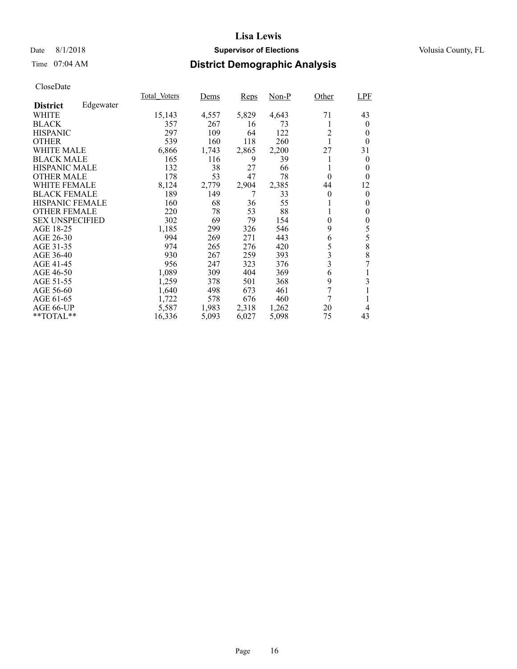## Date 8/1/2018 **Supervisor of Elections Supervisor of Elections** Volusia County, FL

## Time 07:04 AM **District Demographic Analysis**

|                        |           | Total Voters | Dems  | <b>Reps</b> | Non-P | Other                   | <b>LPF</b> |
|------------------------|-----------|--------------|-------|-------------|-------|-------------------------|------------|
| <b>District</b>        | Edgewater |              |       |             |       |                         |            |
| <b>WHITE</b>           |           | 15,143       | 4,557 | 5,829       | 4,643 | 71                      | 43         |
| <b>BLACK</b>           |           | 357          | 267   | 16          | 73    | 1                       | $\theta$   |
| <b>HISPANIC</b>        |           | 297          | 109   | 64          | 122   | $\overline{2}$          | $\Omega$   |
| <b>OTHER</b>           |           | 539          | 160   | 118         | 260   | 1                       | $\theta$   |
| <b>WHITE MALE</b>      |           | 6,866        | 1,743 | 2,865       | 2,200 | 27                      | 31         |
| <b>BLACK MALE</b>      |           | 165          | 116   | 9           | 39    | 1                       | $\theta$   |
| <b>HISPANIC MALE</b>   |           | 132          | 38    | 27          | 66    | 1                       | $\theta$   |
| <b>OTHER MALE</b>      |           | 178          | 53    | 47          | 78    | $\theta$                | $\theta$   |
| <b>WHITE FEMALE</b>    |           | 8,124        | 2,779 | 2,904       | 2,385 | 44                      | 12         |
| <b>BLACK FEMALE</b>    |           | 189          | 149   | 7           | 33    | $\theta$                | $\theta$   |
| <b>HISPANIC FEMALE</b> |           | 160          | 68    | 36          | 55    | 1                       | $\theta$   |
| <b>OTHER FEMALE</b>    |           | 220          | 78    | 53          | 88    | 1                       | $\theta$   |
| <b>SEX UNSPECIFIED</b> |           | 302          | 69    | 79          | 154   | $\theta$                | $\theta$   |
| AGE 18-25              |           | 1,185        | 299   | 326         | 546   | 9                       | 5          |
| AGE 26-30              |           | 994          | 269   | 271         | 443   | 6                       | 5          |
| AGE 31-35              |           | 974          | 265   | 276         | 420   | 5                       | 8          |
| AGE 36-40              |           | 930          | 267   | 259         | 393   | 3                       | 8          |
| AGE 41-45              |           | 956          | 247   | 323         | 376   | $\overline{\mathbf{3}}$ | 7          |
| AGE 46-50              |           | 1,089        | 309   | 404         | 369   | 6                       |            |
| AGE 51-55              |           | 1,259        | 378   | 501         | 368   | 9                       | 3          |
| AGE 56-60              |           | 1,640        | 498   | 673         | 461   | 7                       |            |
| AGE 61-65              |           | 1,722        | 578   | 676         | 460   | 7                       |            |
| AGE 66-UP              |           | 5,587        | 1,983 | 2,318       | 1,262 | 20                      | 4          |
| $*$ $TOTAL**$          |           | 16,336       | 5,093 | 6,027       | 5,098 | 75                      | 43         |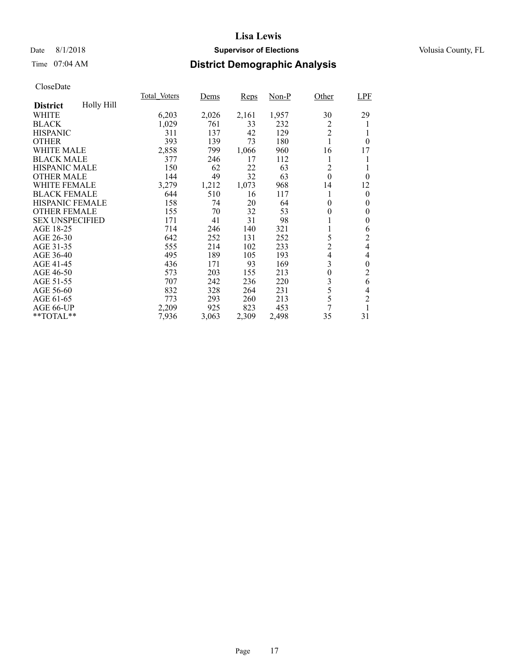## Date 8/1/2018 **Supervisor of Elections Supervisor of Elections** Volusia County, FL

## Time 07:04 AM **District Demographic Analysis**

|                        |            | Total Voters | Dems  | <b>Reps</b> | Non-P | Other          | LPF              |
|------------------------|------------|--------------|-------|-------------|-------|----------------|------------------|
| <b>District</b>        | Holly Hill |              |       |             |       |                |                  |
| WHITE                  |            | 6,203        | 2,026 | 2,161       | 1,957 | 30             | 29               |
| <b>BLACK</b>           |            | 1,029        | 761   | 33          | 232   | 2              |                  |
| <b>HISPANIC</b>        |            | 311          | 137   | 42          | 129   | $\overline{2}$ |                  |
| <b>OTHER</b>           |            | 393          | 139   | 73          | 180   | 1              | $\theta$         |
| <b>WHITE MALE</b>      |            | 2,858        | 799   | 1,066       | 960   | 16             | 17               |
| <b>BLACK MALE</b>      |            | 377          | 246   | 17          | 112   | 1              |                  |
| <b>HISPANIC MALE</b>   |            | 150          | 62    | 22          | 63    | 2              |                  |
| <b>OTHER MALE</b>      |            | 144          | 49    | 32          | 63    | $\mathbf{0}$   | $\theta$         |
| <b>WHITE FEMALE</b>    |            | 3,279        | 1,212 | 1,073       | 968   | 14             | 12               |
| <b>BLACK FEMALE</b>    |            | 644          | 510   | 16          | 117   | 1              | $\boldsymbol{0}$ |
| HISPANIC FEMALE        |            | 158          | 74    | 20          | 64    | $\theta$       | $\theta$         |
| <b>OTHER FEMALE</b>    |            | 155          | 70    | 32          | 53    | $\theta$       | $\theta$         |
| <b>SEX UNSPECIFIED</b> |            | 171          | 41    | 31          | 98    | 1              | $\boldsymbol{0}$ |
| AGE 18-25              |            | 714          | 246   | 140         | 321   |                | 6                |
| AGE 26-30              |            | 642          | 252   | 131         | 252   | 5              | 2                |
| AGE 31-35              |            | 555          | 214   | 102         | 233   | $\overline{2}$ | 4                |
| AGE 36-40              |            | 495          | 189   | 105         | 193   | 4              | 4                |
| AGE 41-45              |            | 436          | 171   | 93          | 169   | 3              | $\boldsymbol{0}$ |
| AGE 46-50              |            | 573          | 203   | 155         | 213   | $\theta$       | 2                |
| AGE 51-55              |            | 707          | 242   | 236         | 220   | 3              | 6                |
| AGE 56-60              |            | 832          | 328   | 264         | 231   | 5              | 4                |
| AGE 61-65              |            | 773          | 293   | 260         | 213   | 5              | $\overline{c}$   |
| AGE 66-UP              |            | 2,209        | 925   | 823         | 453   | 7              |                  |
| **TOTAL**              |            | 7,936        | 3,063 | 2,309       | 2,498 | 35             | 31               |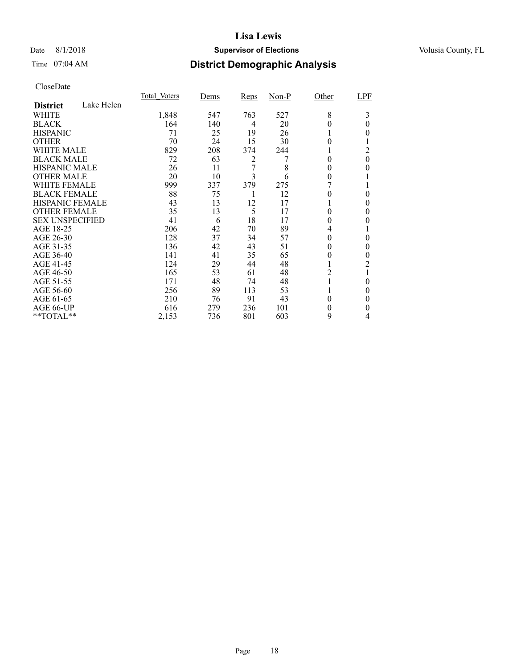## Date 8/1/2018 **Supervisor of Elections Supervisor of Elections** Volusia County, FL

## Time 07:04 AM **District Demographic Analysis**

|                        |            | Total Voters | Dems | <b>Reps</b> | Non-P | Other    | LPF      |
|------------------------|------------|--------------|------|-------------|-------|----------|----------|
| <b>District</b>        | Lake Helen |              |      |             |       |          |          |
| WHITE                  |            | 1,848        | 547  | 763         | 527   | 8        | 3        |
| <b>BLACK</b>           |            | 164          | 140  | 4           | 20    | 0        | 0        |
| <b>HISPANIC</b>        |            | 71           | 25   | 19          | 26    |          | 0        |
| <b>OTHER</b>           |            | 70           | 24   | 15          | 30    | 0        |          |
| WHITE MALE             |            | 829          | 208  | 374         | 244   |          | 2        |
| <b>BLACK MALE</b>      |            | 72           | 63   | 2           |       | 0        | $\theta$ |
| <b>HISPANIC MALE</b>   |            | 26           | 11   | 7           | 8     | 0        | 0        |
| <b>OTHER MALE</b>      |            | 20           | 10   | 3           | 6     | 0        |          |
| WHITE FEMALE           |            | 999          | 337  | 379         | 275   |          |          |
| <b>BLACK FEMALE</b>    |            | 88           | 75   |             | 12    | 0        | 0        |
| HISPANIC FEMALE        |            | 43           | 13   | 12          | 17    |          | 0        |
| <b>OTHER FEMALE</b>    |            | 35           | 13   | 5           | 17    | 0        | 0        |
| <b>SEX UNSPECIFIED</b> |            | 41           | 6    | 18          | 17    | $\theta$ | 0        |
| AGE 18-25              |            | 206          | 42   | 70          | 89    | 4        |          |
| AGE 26-30              |            | 128          | 37   | 34          | 57    | $\theta$ | $\theta$ |
| AGE 31-35              |            | 136          | 42   | 43          | 51    | 0        | 0        |
| AGE 36-40              |            | 141          | 41   | 35          | 65    | 0        | 0        |
| AGE 41-45              |            | 124          | 29   | 44          | 48    |          | 2        |
| AGE 46-50              |            | 165          | 53   | 61          | 48    | 2        |          |
| AGE 51-55              |            | 171          | 48   | 74          | 48    |          | 0        |
| AGE 56-60              |            | 256          | 89   | 113         | 53    |          | 0        |
| AGE 61-65              |            | 210          | 76   | 91          | 43    | $\theta$ | 0        |
| AGE 66-UP              |            | 616          | 279  | 236         | 101   | 0        | 0        |
| **TOTAL**              |            | 2,153        | 736  | 801         | 603   | 9        | 4        |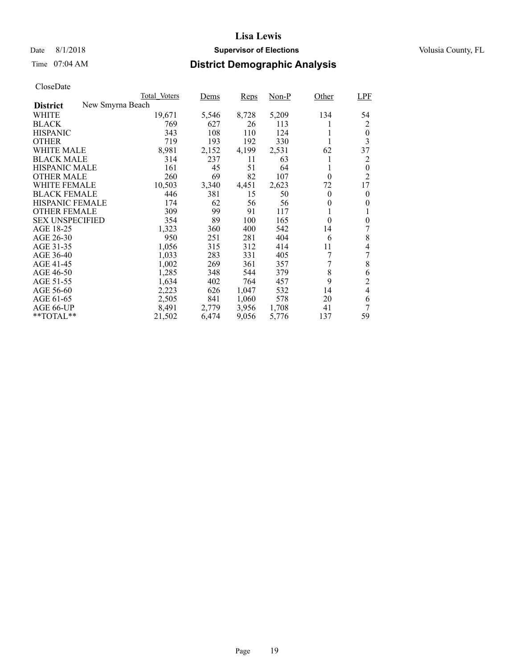## Date 8/1/2018 **Supervisor of Elections Supervisor of Elections** Volusia County, FL

## Time 07:04 AM **District Demographic Analysis**

|                        | Total Voters     | Dems  | Reps  | Non-P | Other    | <b>LPF</b>     |
|------------------------|------------------|-------|-------|-------|----------|----------------|
| <b>District</b>        | New Smyrna Beach |       |       |       |          |                |
| WHITE                  | 19,671           | 5,546 | 8,728 | 5,209 | 134      | 54             |
| <b>BLACK</b>           | 769              | 627   | 26    | 113   | 1        | 2              |
| <b>HISPANIC</b>        | 343              | 108   | 110   | 124   | 1        | $\theta$       |
| <b>OTHER</b>           | 719              | 193   | 192   | 330   |          | 3              |
| WHITE MALE             | 8,981            | 2,152 | 4,199 | 2,531 | 62       | 37             |
| <b>BLACK MALE</b>      | 314              | 237   | 11    | 63    | 1        | 2              |
| <b>HISPANIC MALE</b>   | 161              | 45    | 51    | 64    | 1        | $\overline{0}$ |
| <b>OTHER MALE</b>      | 260              | 69    | 82    | 107   | $\theta$ | $\overline{c}$ |
| WHITE FEMALE           | 10,503           | 3,340 | 4,451 | 2,623 | 72       | 17             |
| <b>BLACK FEMALE</b>    | 446              | 381   | 15    | 50    | $\theta$ | $\theta$       |
| <b>HISPANIC FEMALE</b> | 174              | 62    | 56    | 56    | $\theta$ | 0              |
| <b>OTHER FEMALE</b>    | 309              | 99    | 91    | 117   | 1        | 1              |
| <b>SEX UNSPECIFIED</b> | 354              | 89    | 100   | 165   | $\theta$ | $\theta$       |
| AGE 18-25              | 1,323            | 360   | 400   | 542   | 14       | 7              |
| AGE 26-30              | 950              | 251   | 281   | 404   | 6        | 8              |
| AGE 31-35              | 1,056            | 315   | 312   | 414   | 11       | 4              |
| AGE 36-40              | 1,033            | 283   | 331   | 405   | 7        | 7              |
| AGE 41-45              | 1,002            | 269   | 361   | 357   | 7        | 8              |
| AGE 46-50              | 1,285            | 348   | 544   | 379   | 8        | 6              |
| AGE 51-55              | 1,634            | 402   | 764   | 457   | 9        | $\overline{c}$ |
| AGE 56-60              | 2,223            | 626   | 1,047 | 532   | 14       | $\overline{4}$ |
| AGE 61-65              | 2,505            | 841   | 1,060 | 578   | 20       | 6              |
| AGE 66-UP              | 8,491            | 2,779 | 3,956 | 1,708 | 41       | 7              |
| $*$ $TOTAL**$          | 21,502           | 6,474 | 9,056 | 5,776 | 137      | 59             |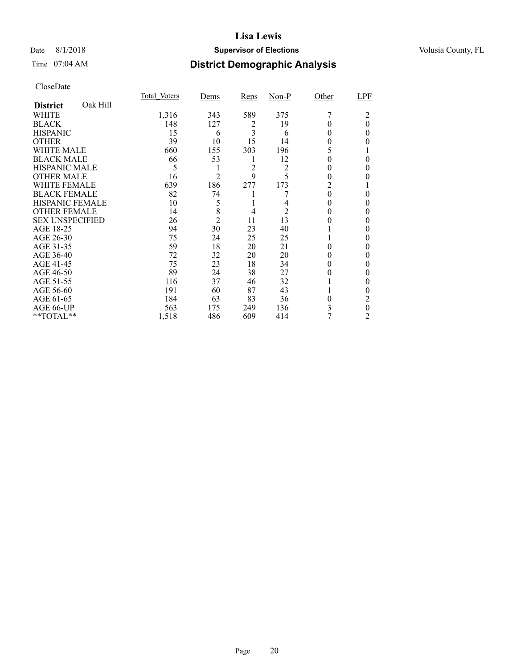## Date 8/1/2018 **Supervisor of Elections Supervisor of Elections** Volusia County, FL

## Time 07:04 AM **District Demographic Analysis**

|                        |          | Total Voters | Dems           | Reps | $Non-P$ | Other | LPF      |
|------------------------|----------|--------------|----------------|------|---------|-------|----------|
| <b>District</b>        | Oak Hill |              |                |      |         |       |          |
| WHITE                  |          | 1,316        | 343            | 589  | 375     |       | 2        |
| <b>BLACK</b>           |          | 148          | 127            | 2    | 19      |       | $\theta$ |
| <b>HISPANIC</b>        |          | 15           | 6              | 3    | 6       | 0     | $\Omega$ |
| <b>OTHER</b>           |          | 39           | 10             | 15   | 14      | 0     | 0        |
| WHITE MALE             |          | 660          | 155            | 303  | 196     | 5     |          |
| <b>BLACK MALE</b>      |          | 66           | 53             | 1    | 12      | 0     | $\theta$ |
| <b>HISPANIC MALE</b>   |          | 5            | 1              | 2    | 2       | 0     | 0        |
| <b>OTHER MALE</b>      |          | 16           | $\overline{c}$ | 9    | 5       | 0     | 0        |
| WHITE FEMALE           |          | 639          | 186            | 277  | 173     | 2     |          |
| <b>BLACK FEMALE</b>    |          | 82           | 74             |      |         | 0     | 0        |
| HISPANIC FEMALE        |          | 10           | 5              |      | 4       | 0     | 0        |
| <b>OTHER FEMALE</b>    |          | 14           | 8              | 4    | 2       | 0     | 0        |
| <b>SEX UNSPECIFIED</b> |          | 26           | $\overline{2}$ | 11   | 13      | 0     | 0        |
| AGE 18-25              |          | 94           | 30             | 23   | 40      |       | 0        |
| AGE 26-30              |          | 75           | 24             | 25   | 25      |       | 0        |
| AGE 31-35              |          | 59           | 18             | 20   | 21      | 0     | 0        |
| AGE 36-40              |          | 72           | 32             | 20   | 20      | 0     | 0        |
| AGE 41-45              |          | 75           | 23             | 18   | 34      | 0     | 0        |
| AGE 46-50              |          | 89           | 24             | 38   | 27      | 0     | 0        |
| AGE 51-55              |          | 116          | 37             | 46   | 32      |       | 0        |
| AGE 56-60              |          | 191          | 60             | 87   | 43      |       | 0        |
| AGE 61-65              |          | 184          | 63             | 83   | 36      | 0     | 2        |
| AGE 66-UP              |          | 563          | 175            | 249  | 136     | 3     | $\theta$ |
| **TOTAL**              |          | 1,518        | 486            | 609  | 414     | 7     | 2        |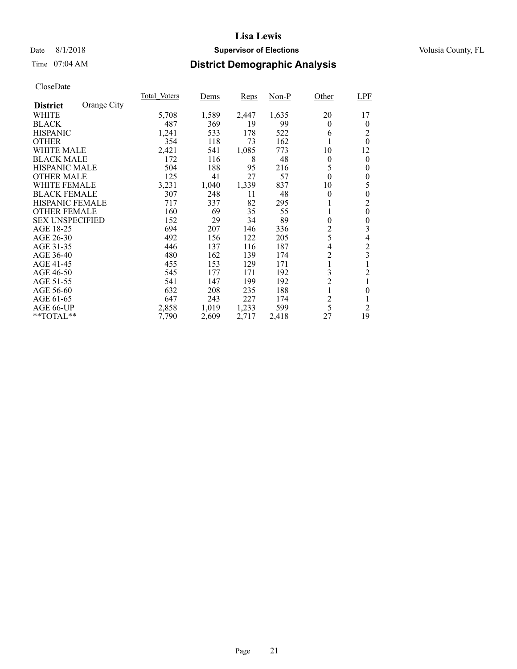## Date 8/1/2018 **Supervisor of Elections Supervisor of Elections** Volusia County, FL

## Time 07:04 AM **District Demographic Analysis**

|                        |             | Total Voters | Dems  | Reps  | Non-P | Other          | LPF              |
|------------------------|-------------|--------------|-------|-------|-------|----------------|------------------|
| <b>District</b>        | Orange City |              |       |       |       |                |                  |
| WHITE                  |             | 5,708        | 1,589 | 2,447 | 1,635 | 20             | 17               |
| <b>BLACK</b>           |             | 487          | 369   | 19    | 99    | $\theta$       | $\theta$         |
| <b>HISPANIC</b>        |             | 1,241        | 533   | 178   | 522   | 6              | 2                |
| <b>OTHER</b>           |             | 354          | 118   | 73    | 162   |                | $\theta$         |
| WHITE MALE             |             | 2,421        | 541   | 1,085 | 773   | 10             | 12               |
| <b>BLACK MALE</b>      |             | 172          | 116   | 8     | 48    | $\overline{0}$ | $\theta$         |
| <b>HISPANIC MALE</b>   |             | 504          | 188   | 95    | 216   | 5              | $\theta$         |
| <b>OTHER MALE</b>      |             | 125          | 41    | 27    | 57    | $\theta$       | $\theta$         |
| <b>WHITE FEMALE</b>    |             | 3,231        | 1,040 | 1,339 | 837   | 10             | 5                |
| <b>BLACK FEMALE</b>    |             | 307          | 248   | 11    | 48    | $\theta$       | $\theta$         |
| <b>HISPANIC FEMALE</b> |             | 717          | 337   | 82    | 295   |                | 2                |
| <b>OTHER FEMALE</b>    |             | 160          | 69    | 35    | 55    | 1              | $\boldsymbol{0}$ |
| <b>SEX UNSPECIFIED</b> |             | 152          | 29    | 34    | 89    | $\theta$       | $\theta$         |
| AGE 18-25              |             | 694          | 207   | 146   | 336   | 2              | 3                |
| AGE 26-30              |             | 492          | 156   | 122   | 205   | 5              | 4                |
| AGE 31-35              |             | 446          | 137   | 116   | 187   | 4              | $\overline{c}$   |
| AGE 36-40              |             | 480          | 162   | 139   | 174   | $\overline{c}$ | 3                |
| AGE 41-45              |             | 455          | 153   | 129   | 171   | 1              |                  |
| AGE 46-50              |             | 545          | 177   | 171   | 192   | 3              | $\overline{c}$   |
| AGE 51-55              |             | 541          | 147   | 199   | 192   | $\overline{c}$ |                  |
| AGE 56-60              |             | 632          | 208   | 235   | 188   | 1              | $\overline{0}$   |
| AGE 61-65              |             | 647          | 243   | 227   | 174   | $\overline{c}$ |                  |
| AGE 66-UP              |             | 2,858        | 1,019 | 1,233 | 599   | 5              | $\overline{2}$   |
| **TOTAL**              |             | 7,790        | 2,609 | 2,717 | 2,418 | 27             | 19               |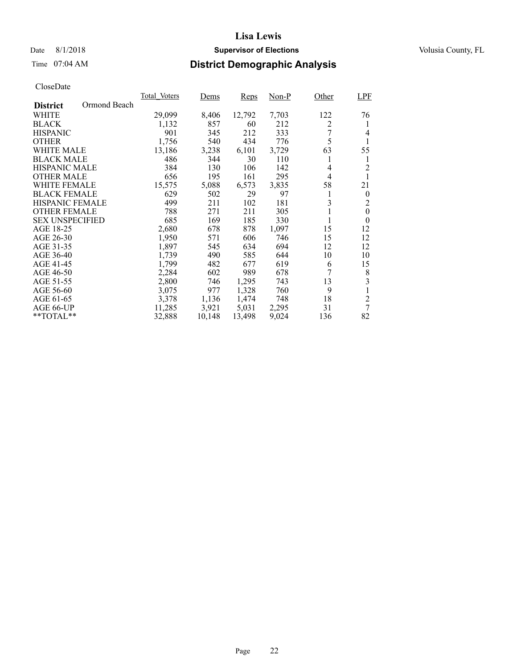## Date 8/1/2018 **Supervisor of Elections Supervisor of Elections** Volusia County, FL

## Time 07:04 AM **District Demographic Analysis**

|                                 | Total Voters | Dems   | Reps   | Non-P | Other | LPF              |
|---------------------------------|--------------|--------|--------|-------|-------|------------------|
| Ormond Beach<br><b>District</b> |              |        |        |       |       |                  |
| WHITE                           | 29,099       | 8,406  | 12,792 | 7,703 | 122   | 76               |
| <b>BLACK</b>                    | 1,132        | 857    | 60     | 212   | 2     | 1                |
| <b>HISPANIC</b>                 | 901          | 345    | 212    | 333   | 7     | 4                |
| <b>OTHER</b>                    | 1,756        | 540    | 434    | 776   | 5     | 1                |
| WHITE MALE                      | 13,186       | 3,238  | 6,101  | 3,729 | 63    | 55               |
| <b>BLACK MALE</b>               | 486          | 344    | 30     | 110   | 1     | 1                |
| <b>HISPANIC MALE</b>            | 384          | 130    | 106    | 142   | 4     | 2                |
| <b>OTHER MALE</b>               | 656          | 195    | 161    | 295   | 4     |                  |
| <b>WHITE FEMALE</b>             | 15,575       | 5,088  | 6,573  | 3,835 | 58    | 21               |
| <b>BLACK FEMALE</b>             | 629          | 502    | 29     | 97    | 1     | $\theta$         |
| <b>HISPANIC FEMALE</b>          | 499          | 211    | 102    | 181   | 3     | 2                |
| <b>OTHER FEMALE</b>             | 788          | 271    | 211    | 305   | 1     | $\boldsymbol{0}$ |
| <b>SEX UNSPECIFIED</b>          | 685          | 169    | 185    | 330   | 1     | $\overline{0}$   |
| AGE 18-25                       | 2,680        | 678    | 878    | 1,097 | 15    | 12               |
| AGE 26-30                       | 1,950        | 571    | 606    | 746   | 15    | 12               |
| AGE 31-35                       | 1,897        | 545    | 634    | 694   | 12    | 12               |
| AGE 36-40                       | 1.739        | 490    | 585    | 644   | 10    | 10               |
| AGE 41-45                       | 1,799        | 482    | 677    | 619   | 6     | 15               |
| AGE 46-50                       | 2,284        | 602    | 989    | 678   | 7     | 8                |
| AGE 51-55                       | 2,800        | 746    | 1,295  | 743   | 13    | 3                |
| AGE 56-60                       | 3,075        | 977    | 1,328  | 760   | 9     |                  |
| AGE 61-65                       | 3,378        | 1,136  | 1,474  | 748   | 18    | $\overline{c}$   |
| AGE 66-UP                       | 11,285       | 3,921  | 5,031  | 2,295 | 31    | 7                |
| $*$ $TOTAL**$                   | 32,888       | 10,148 | 13,498 | 9,024 | 136   | 82               |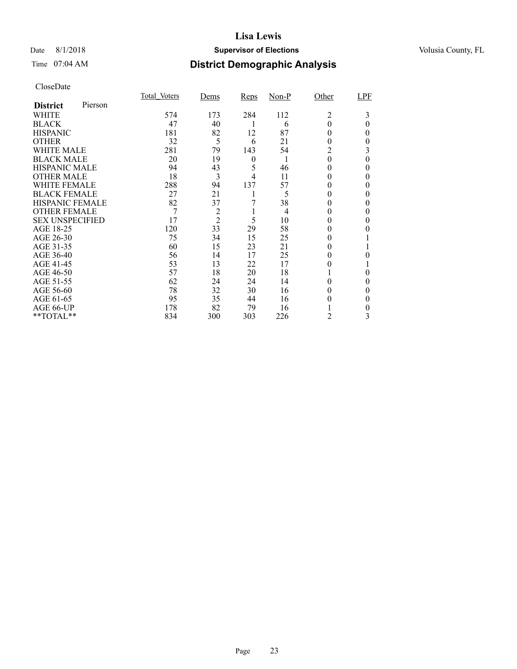## Date 8/1/2018 **Supervisor of Elections Supervisor of Elections** Volusia County, FL

## Time 07:04 AM **District Demographic Analysis**

|                        |         | <b>Total Voters</b> | Dems           | Reps | $Non-P$        | Other    | LPF      |
|------------------------|---------|---------------------|----------------|------|----------------|----------|----------|
| <b>District</b>        | Pierson |                     |                |      |                |          |          |
| WHITE                  |         | 574                 | 173            | 284  | 112            | 2        | 3        |
| <b>BLACK</b>           |         | 47                  | 40             |      | 6              | 0        | $\theta$ |
| <b>HISPANIC</b>        |         | 181                 | 82             | 12   | 87             | 0        | 0        |
| <b>OTHER</b>           |         | 32                  | 5              | 6    | 21             | 0        | 0        |
| <b>WHITE MALE</b>      |         | 281                 | 79             | 143  | 54             | 2        | 3        |
| <b>BLACK MALE</b>      |         | 20                  | 19             | 0    | 1              | $\theta$ | 0        |
| <b>HISPANIC MALE</b>   |         | 94                  | 43             | 5    | 46             | $^{(1)}$ | 0        |
| <b>OTHER MALE</b>      |         | 18                  | 3              | 4    | 11             | $\theta$ | 0        |
| <b>WHITE FEMALE</b>    |         | 288                 | 94             | 137  | 57             |          | 0        |
| <b>BLACK FEMALE</b>    |         | 27                  | 21             |      | 5              | 0        | 0        |
| HISPANIC FEMALE        |         | 82                  | 37             |      | 38             | 0        | 0        |
| <b>OTHER FEMALE</b>    |         | 7                   | $\overline{c}$ |      | $\overline{4}$ | $\theta$ | 0        |
| <b>SEX UNSPECIFIED</b> |         | 17                  | $\overline{2}$ | 5    | 10             | $_{0}$   | 0        |
| AGE 18-25              |         | 120                 | 33             | 29   | 58             | $_{0}$   |          |
| AGE 26-30              |         | 75                  | 34             | 15   | 25             | $^{(1)}$ |          |
| AGE 31-35              |         | 60                  | 15             | 23   | 21             |          |          |
| AGE 36-40              |         | 56                  | 14             | 17   | 25             |          | 0        |
| AGE 41-45              |         | 53                  | 13             | 22   | 17             |          |          |
| AGE 46-50              |         | 57                  | 18             | 20   | 18             |          | 0        |
| AGE 51-55              |         | 62                  | 24             | 24   | 14             |          | 0        |
| AGE 56-60              |         | 78                  | 32             | 30   | 16             | 0        |          |
| AGE 61-65              |         | 95                  | 35             | 44   | 16             |          | 0        |
| AGE 66-UP              |         | 178                 | 82             | 79   | 16             |          | 0        |
| **TOTAL**              |         | 834                 | 300            | 303  | 226            | 2        | 3        |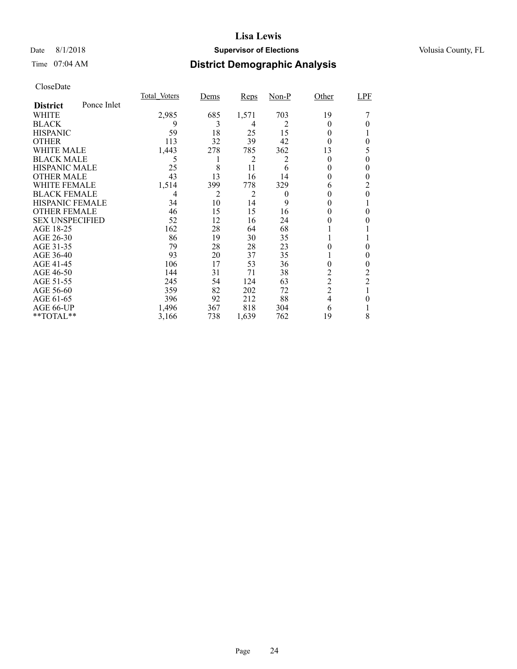## Date 8/1/2018 **Supervisor of Elections Supervisor of Elections** Volusia County, FL

## Time 07:04 AM **District Demographic Analysis**

|                        |             | Total Voters | <u>Dems</u> | <b>Reps</b>    | $Non-P$  | Other          | <b>LPF</b>     |
|------------------------|-------------|--------------|-------------|----------------|----------|----------------|----------------|
| <b>District</b>        | Ponce Inlet |              |             |                |          |                |                |
| WHITE                  |             | 2,985        | 685         | 1,571          | 703      | 19             |                |
| <b>BLACK</b>           |             | 9            | 3           | 4              | 2        | $_{0}$         |                |
| <b>HISPANIC</b>        |             | 59           | 18          | 25             | 15       | $_{0}$         |                |
| <b>OTHER</b>           |             | 113          | 32          | 39             | 42       | $_{0}$         | 0              |
| WHITE MALE             |             | 1,443        | 278         | 785            | 362      | 13             | 5              |
| <b>BLACK MALE</b>      |             | 5            | 1           | 2              | 2        | $_{0}$         | 0              |
| <b>HISPANIC MALE</b>   |             | 25           | 8           | 11             | 6        | 0              | 0              |
| <b>OTHER MALE</b>      |             | 43           | 13          | 16             | 14       | 0              | 0              |
| WHITE FEMALE           |             | 1,514        | 399         | 778            | 329      | 6              | 2              |
| <b>BLACK FEMALE</b>    |             | 4            | 2           | $\overline{2}$ | $\theta$ |                | 0              |
| <b>HISPANIC FEMALE</b> |             | 34           | 10          | 14             | 9        |                |                |
| <b>OTHER FEMALE</b>    |             | 46           | 15          | 15             | 16       | 0              | 0              |
| <b>SEX UNSPECIFIED</b> |             | 52           | 12          | 16             | 24       |                |                |
| AGE 18-25              |             | 162          | 28          | 64             | 68       |                |                |
| AGE 26-30              |             | 86           | 19          | 30             | 35       |                |                |
| AGE 31-35              |             | 79           | 28          | 28             | 23       |                | 0              |
| AGE 36-40              |             | 93           | 20          | 37             | 35       |                | 0              |
| AGE 41-45              |             | 106          | 17          | 53             | 36       | 0              | 0              |
| AGE 46-50              |             | 144          | 31          | 71             | 38       | 2              | 2              |
| AGE 51-55              |             | 245          | 54          | 124            | 63       | $\overline{c}$ | $\overline{2}$ |
| AGE 56-60              |             | 359          | 82          | 202            | 72       | $\overline{2}$ |                |
| AGE 61-65              |             | 396          | 92          | 212            | 88       | 4              | 0              |
| AGE 66-UP              |             | 1,496        | 367         | 818            | 304      | 6              |                |
| **TOTAL**              |             | 3,166        | 738         | 1,639          | 762      | 19             | 8              |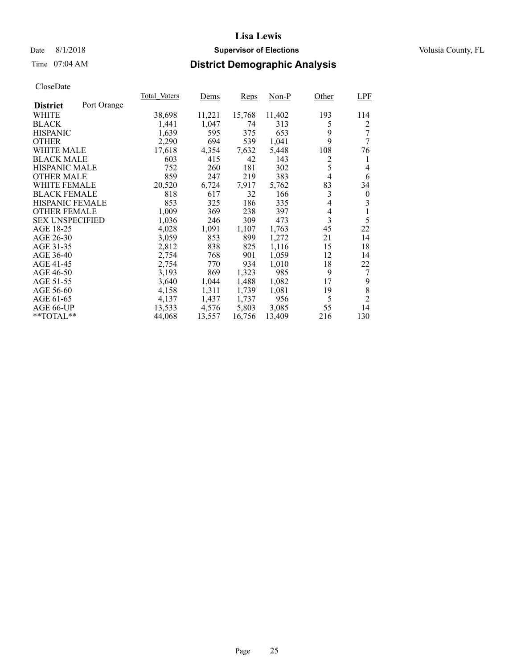## Date 8/1/2018 **Supervisor of Elections Supervisor of Elections** Volusia County, FL

## Time 07:04 AM **District Demographic Analysis**

|                        |             | Total Voters | Dems   | <b>Reps</b> | Non-P  | Other          | <b>LPF</b>       |
|------------------------|-------------|--------------|--------|-------------|--------|----------------|------------------|
| <b>District</b>        | Port Orange |              |        |             |        |                |                  |
| WHITE                  |             | 38,698       | 11,221 | 15,768      | 11,402 | 193            | 114              |
| <b>BLACK</b>           |             | 1,441        | 1,047  | 74          | 313    | 5              | 2                |
| <b>HISPANIC</b>        |             | 1,639        | 595    | 375         | 653    | 9              | 7                |
| <b>OTHER</b>           |             | 2,290        | 694    | 539         | 1,041  | 9              | 7                |
| <b>WHITE MALE</b>      |             | 17,618       | 4,354  | 7,632       | 5,448  | 108            | 76               |
| <b>BLACK MALE</b>      |             | 603          | 415    | 42          | 143    | $\overline{c}$ | 1                |
| <b>HISPANIC MALE</b>   |             | 752          | 260    | 181         | 302    | 5              | 4                |
| <b>OTHER MALE</b>      |             | 859          | 247    | 219         | 383    | $\overline{4}$ | 6                |
| <b>WHITE FEMALE</b>    |             | 20,520       | 6,724  | 7,917       | 5,762  | 83             | 34               |
| <b>BLACK FEMALE</b>    |             | 818          | 617    | 32          | 166    | 3              | $\boldsymbol{0}$ |
| HISPANIC FEMALE        |             | 853          | 325    | 186         | 335    | $\overline{4}$ | 3                |
| <b>OTHER FEMALE</b>    |             | 1,009        | 369    | 238         | 397    | 4              |                  |
| <b>SEX UNSPECIFIED</b> |             | 1,036        | 246    | 309         | 473    | 3              | 5                |
| AGE 18-25              |             | 4,028        | 1,091  | 1,107       | 1,763  | 45             | 22               |
| AGE 26-30              |             | 3,059        | 853    | 899         | 1,272  | 21             | 14               |
| AGE 31-35              |             | 2,812        | 838    | 825         | 1,116  | 15             | 18               |
| AGE 36-40              |             | 2,754        | 768    | 901         | 1,059  | 12             | 14               |
| AGE 41-45              |             | 2,754        | 770    | 934         | 1,010  | 18             | 22               |
| AGE 46-50              |             | 3,193        | 869    | 1,323       | 985    | 9              | 7                |
| AGE 51-55              |             | 3,640        | 1,044  | 1,488       | 1,082  | 17             | 9                |
| AGE 56-60              |             | 4,158        | 1,311  | 1,739       | 1,081  | 19             | 8                |
| AGE 61-65              |             | 4,137        | 1,437  | 1,737       | 956    | 5              | $\overline{2}$   |
| AGE 66-UP              |             | 13,533       | 4,576  | 5,803       | 3,085  | 55             | 14               |
| $*$ TOTAL $*$          |             | 44,068       | 13,557 | 16,756      | 13,409 | 216            | 130              |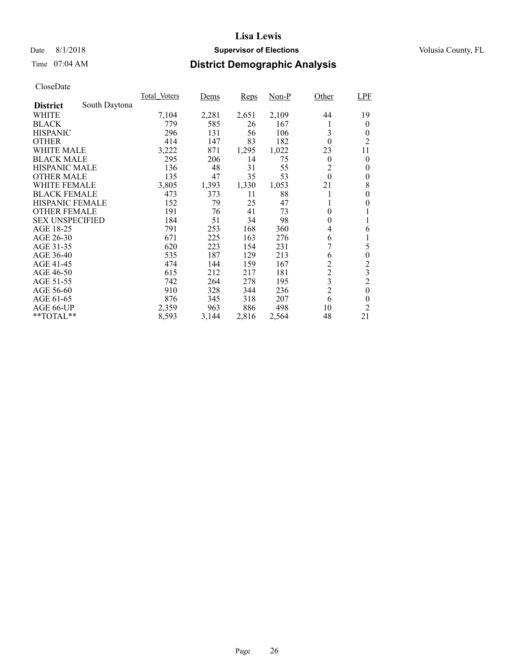## Date 8/1/2018 **Supervisor of Elections Supervisor of Elections** Volusia County, FL

## Time 07:04 AM **District Demographic Analysis**

|                        |               | Total Voters | Dems  | <b>Reps</b> | $Non-P$ | Other          | <b>LPF</b>       |
|------------------------|---------------|--------------|-------|-------------|---------|----------------|------------------|
| <b>District</b>        | South Daytona |              |       |             |         |                |                  |
| WHITE                  |               | 7,104        | 2,281 | 2,651       | 2,109   | 44             | 19               |
| <b>BLACK</b>           |               | 779          | 585   | 26          | 167     | 1              | $\theta$         |
| <b>HISPANIC</b>        |               | 296          | 131   | 56          | 106     | 3              | 0                |
| <b>OTHER</b>           |               | 414          | 147   | 83          | 182     | $\theta$       | $\overline{2}$   |
| WHITE MALE             |               | 3,222        | 871   | 1,295       | 1,022   | 23             | 11               |
| <b>BLACK MALE</b>      |               | 295          | 206   | 14          | 75      | $\theta$       | $\theta$         |
| <b>HISPANIC MALE</b>   |               | 136          | 48    | 31          | 55      | $\overline{c}$ | 0                |
| <b>OTHER MALE</b>      |               | 135          | 47    | 35          | 53      | $\mathbf{0}$   | $\theta$         |
| <b>WHITE FEMALE</b>    |               | 3,805        | 1,393 | 1,330       | 1,053   | 21             | 8                |
| <b>BLACK FEMALE</b>    |               | 473          | 373   | 11          | 88      |                | 0                |
| HISPANIC FEMALE        |               | 152          | 79    | 25          | 47      |                | 0                |
| <b>OTHER FEMALE</b>    |               | 191          | 76    | 41          | 73      | $\theta$       |                  |
| <b>SEX UNSPECIFIED</b> |               | 184          | 51    | 34          | 98      | $\theta$       |                  |
| AGE 18-25              |               | 791          | 253   | 168         | 360     | 4              | 6                |
| AGE 26-30              |               | 671          | 225   | 163         | 276     | 6              | 1                |
| AGE 31-35              |               | 620          | 223   | 154         | 231     | 7              | 5                |
| AGE 36-40              |               | 535          | 187   | 129         | 213     | 6              | $\boldsymbol{0}$ |
| AGE 41-45              |               | 474          | 144   | 159         | 167     | $\overline{c}$ | $\overline{c}$   |
| AGE 46-50              |               | 615          | 212   | 217         | 181     | $\overline{c}$ | 3                |
| AGE 51-55              |               | 742          | 264   | 278         | 195     | 3              | $\overline{c}$   |
| AGE 56-60              |               | 910          | 328   | 344         | 236     | $\overline{2}$ | $\theta$         |
| AGE 61-65              |               | 876          | 345   | 318         | 207     | 6              | $\theta$         |
| AGE 66-UP              |               | 2,359        | 963   | 886         | 498     | 10             | $\overline{2}$   |
| **TOTAL**              |               | 8,593        | 3,144 | 2,816       | 2,564   | 48             | 21               |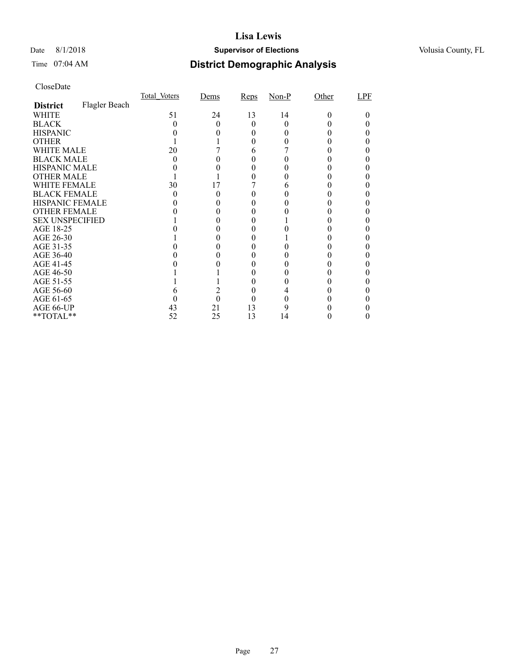## Date 8/1/2018 **Supervisor of Elections Supervisor of Elections** Volusia County, FL

# Time 07:04 AM **District Demographic Analysis**

|                        |               | Total Voters | Dems | Reps | $Non-P$ | Other | LPF |
|------------------------|---------------|--------------|------|------|---------|-------|-----|
| <b>District</b>        | Flagler Beach |              |      |      |         |       |     |
| WHITE                  |               | 51           | 24   | 13   | 14      | 0     |     |
| <b>BLACK</b>           |               |              |      | 0    |         |       |     |
| <b>HISPANIC</b>        |               |              |      |      |         |       |     |
| <b>OTHER</b>           |               |              |      |      |         |       |     |
| WHITE MALE             |               | 20           |      | 6    |         |       |     |
| <b>BLACK MALE</b>      |               |              |      |      |         |       |     |
| <b>HISPANIC MALE</b>   |               |              |      |      |         |       |     |
| <b>OTHER MALE</b>      |               |              |      |      |         |       |     |
| WHITE FEMALE           |               | 30           | 17   |      |         |       |     |
| <b>BLACK FEMALE</b>    |               |              |      |      |         |       |     |
| HISPANIC FEMALE        |               |              |      |      |         |       |     |
| <b>OTHER FEMALE</b>    |               |              |      |      |         |       |     |
| <b>SEX UNSPECIFIED</b> |               |              |      |      |         |       |     |
| AGE 18-25              |               |              |      |      |         |       |     |
| AGE 26-30              |               |              |      |      |         |       |     |
| AGE 31-35              |               |              |      |      |         |       |     |
| AGE 36-40              |               |              |      |      |         |       |     |
| AGE 41-45              |               |              |      |      |         |       |     |
| AGE 46-50              |               |              |      |      |         |       |     |
| AGE 51-55              |               |              |      |      |         |       |     |
| AGE 56-60              |               |              |      |      |         |       |     |
| AGE 61-65              |               |              | 0    |      |         |       |     |
| AGE 66-UP              |               | 43           | 21   | 13   |         |       |     |
| **TOTAL**              |               | 52           | 25   | 13   | 14      |       |     |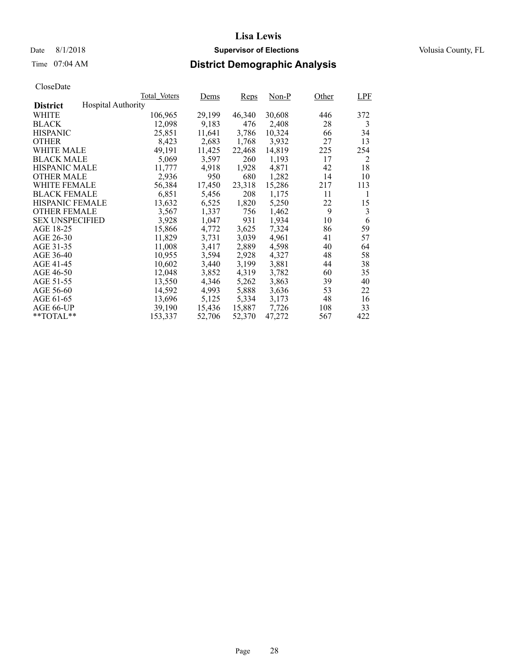# Time 07:04 AM **District Demographic Analysis**

|                        |                           | Total Voters | Dems   | <b>Reps</b> | $Non-P$ | Other | LPF |
|------------------------|---------------------------|--------------|--------|-------------|---------|-------|-----|
| <b>District</b>        | <b>Hospital Authority</b> |              |        |             |         |       |     |
| WHITE                  |                           | 106,965      | 29,199 | 46,340      | 30,608  | 446   | 372 |
| <b>BLACK</b>           |                           | 12,098       | 9,183  | 476         | 2,408   | 28    | 3   |
| <b>HISPANIC</b>        |                           | 25,851       | 11,641 | 3,786       | 10,324  | 66    | 34  |
| <b>OTHER</b>           |                           | 8,423        | 2,683  | 1,768       | 3,932   | 27    | 13  |
| WHITE MALE             |                           | 49.191       | 11,425 | 22,468      | 14,819  | 225   | 254 |
| <b>BLACK MALE</b>      |                           | 5,069        | 3,597  | 260         | 1,193   | 17    | 2   |
| <b>HISPANIC MALE</b>   |                           | 11,777       | 4,918  | 1,928       | 4,871   | 42    | 18  |
| <b>OTHER MALE</b>      |                           | 2,936        | 950    | 680         | 1,282   | 14    | 10  |
| <b>WHITE FEMALE</b>    |                           | 56,384       | 17,450 | 23,318      | 15,286  | 217   | 113 |
| <b>BLACK FEMALE</b>    |                           | 6,851        | 5,456  | 208         | 1,175   | 11    | 1   |
| HISPANIC FEMALE        |                           | 13,632       | 6,525  | 1,820       | 5,250   | 22    | 15  |
| <b>OTHER FEMALE</b>    |                           | 3,567        | 1,337  | 756         | 1,462   | 9     | 3   |
| <b>SEX UNSPECIFIED</b> |                           | 3,928        | 1,047  | 931         | 1,934   | 10    | 6   |
| AGE 18-25              |                           | 15,866       | 4,772  | 3,625       | 7,324   | 86    | 59  |
| AGE 26-30              |                           | 11,829       | 3,731  | 3,039       | 4.961   | 41    | 57  |
| AGE 31-35              |                           | 11,008       | 3,417  | 2,889       | 4,598   | 40    | 64  |
| AGE 36-40              |                           | 10,955       | 3,594  | 2,928       | 4,327   | 48    | 58  |
| AGE 41-45              |                           | 10,602       | 3,440  | 3,199       | 3,881   | 44    | 38  |
| AGE 46-50              |                           | 12,048       | 3,852  | 4,319       | 3,782   | 60    | 35  |
| AGE 51-55              |                           | 13,550       | 4,346  | 5,262       | 3,863   | 39    | 40  |
| AGE 56-60              |                           | 14,592       | 4,993  | 5,888       | 3,636   | 53    | 22  |
| AGE 61-65              |                           | 13,696       | 5,125  | 5,334       | 3,173   | 48    | 16  |
| AGE 66-UP              |                           | 39,190       | 15,436 | 15,887      | 7,726   | 108   | 33  |
| $*$ TOTAL $*$          |                           | 153,337      | 52,706 | 52,370      | 47.272  | 567   | 422 |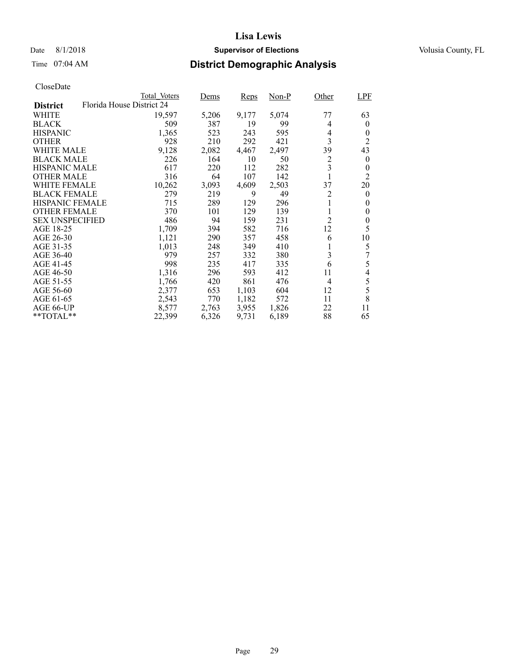## Date 8/1/2018 **Supervisor of Elections Supervisor of Elections** Volusia County, FL

## Time 07:04 AM **District Demographic Analysis**

|                        |                           | Total Voters | Dems  | <b>Reps</b> | Non-P | Other          | <b>LPF</b>     |
|------------------------|---------------------------|--------------|-------|-------------|-------|----------------|----------------|
| <b>District</b>        | Florida House District 24 |              |       |             |       |                |                |
| WHITE                  |                           | 19,597       | 5,206 | 9,177       | 5,074 | 77             | 63             |
| <b>BLACK</b>           |                           | 509          | 387   | 19          | 99    | 4              | $\theta$       |
| <b>HISPANIC</b>        |                           | 1,365        | 523   | 243         | 595   | 4              | $\theta$       |
| <b>OTHER</b>           |                           | 928          | 210   | 292         | 421   | 3              | 2              |
| WHITE MALE             |                           | 9,128        | 2,082 | 4,467       | 2,497 | 39             | 43             |
| <b>BLACK MALE</b>      |                           | 226          | 164   | 10          | 50    | 2              | $\theta$       |
| <b>HISPANIC MALE</b>   |                           | 617          | 220   | 112         | 282   | 3              | 0              |
| <b>OTHER MALE</b>      |                           | 316          | 64    | 107         | 142   |                | $\overline{2}$ |
| WHITE FEMALE           |                           | 10,262       | 3,093 | 4,609       | 2,503 | 37             | 20             |
| <b>BLACK FEMALE</b>    |                           | 279          | 219   | 9           | 49    | 2              | $\theta$       |
| <b>HISPANIC FEMALE</b> |                           | 715          | 289   | 129         | 296   |                | $\theta$       |
| <b>OTHER FEMALE</b>    |                           | 370          | 101   | 129         | 139   | 1              | $\theta$       |
| <b>SEX UNSPECIFIED</b> |                           | 486          | 94    | 159         | 231   | $\overline{2}$ | $\overline{0}$ |
| AGE 18-25              |                           | 1,709        | 394   | 582         | 716   | 12             | 5              |
| AGE 26-30              |                           | 1,121        | 290   | 357         | 458   | 6              | 10             |
| AGE 31-35              |                           | 1,013        | 248   | 349         | 410   |                | 5              |
| AGE 36-40              |                           | 979          | 257   | 332         | 380   | 3              |                |
| AGE 41-45              |                           | 998          | 235   | 417         | 335   | 6              | 5              |
| AGE 46-50              |                           | 1,316        | 296   | 593         | 412   | 11             | 4              |
| AGE 51-55              |                           | 1,766        | 420   | 861         | 476   | 4              | 5              |
| AGE 56-60              |                           | 2,377        | 653   | 1,103       | 604   | 12             | 5              |
| AGE 61-65              |                           | 2,543        | 770   | 1,182       | 572   | 11             | 8              |
| AGE 66-UP              |                           | 8,577        | 2,763 | 3,955       | 1,826 | 22             | 11             |
| **TOTAL**              |                           | 22,399       | 6,326 | 9,731       | 6,189 | 88             | 65             |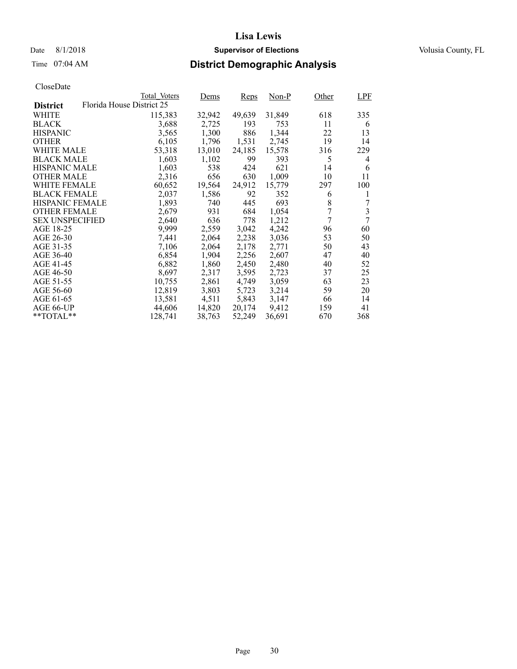## Date 8/1/2018 **Supervisor of Elections Supervisor of Elections** Volusia County, FL

## Time 07:04 AM **District Demographic Analysis**

|                        |                           | Total Voters | Dems   | <b>Reps</b> | Non-P  | Other          | LPF |
|------------------------|---------------------------|--------------|--------|-------------|--------|----------------|-----|
| <b>District</b>        | Florida House District 25 |              |        |             |        |                |     |
| WHITE                  |                           | 115,383      | 32,942 | 49,639      | 31,849 | 618            | 335 |
| <b>BLACK</b>           |                           | 3,688        | 2,725  | 193         | 753    | 11             | 6   |
| <b>HISPANIC</b>        |                           | 3,565        | 1,300  | 886         | 1,344  | 22             | 13  |
| <b>OTHER</b>           |                           | 6,105        | 1,796  | 1,531       | 2,745  | 19             | 14  |
| WHITE MALE             |                           | 53,318       | 13,010 | 24,185      | 15,578 | 316            | 229 |
| <b>BLACK MALE</b>      |                           | 1,603        | 1,102  | 99          | 393    | 5              | 4   |
| <b>HISPANIC MALE</b>   |                           | 1,603        | 538    | 424         | 621    | 14             | 6   |
| OTHER MALE             |                           | 2,316        | 656    | 630         | 1,009  | 10             | 11  |
| <b>WHITE FEMALE</b>    |                           | 60,652       | 19,564 | 24,912      | 15,779 | 297            | 100 |
| <b>BLACK FEMALE</b>    |                           | 2,037        | 1,586  | 92          | 352    | 6              | 1   |
| HISPANIC FEMALE        |                           | 1,893        | 740    | 445         | 693    | 8              | 7   |
| <b>OTHER FEMALE</b>    |                           | 2,679        | 931    | 684         | 1,054  | 7              | 3   |
| <b>SEX UNSPECIFIED</b> |                           | 2,640        | 636    | 778         | 1,212  | $\overline{7}$ | 7   |
| AGE 18-25              |                           | 9,999        | 2,559  | 3,042       | 4,242  | 96             | 60  |
| AGE 26-30              |                           | 7,441        | 2,064  | 2,238       | 3,036  | 53             | 50  |
| AGE 31-35              |                           | 7,106        | 2,064  | 2,178       | 2,771  | 50             | 43  |
| AGE 36-40              |                           | 6,854        | 1,904  | 2,256       | 2,607  | 47             | 40  |
| AGE 41-45              |                           | 6,882        | 1,860  | 2,450       | 2,480  | 40             | 52  |
| AGE 46-50              |                           | 8,697        | 2,317  | 3,595       | 2,723  | 37             | 25  |
| AGE 51-55              |                           | 10,755       | 2,861  | 4,749       | 3,059  | 63             | 23  |
| AGE 56-60              |                           | 12,819       | 3,803  | 5,723       | 3,214  | 59             | 20  |
| AGE 61-65              |                           | 13,581       | 4,511  | 5,843       | 3,147  | 66             | 14  |
| AGE 66-UP              |                           | 44,606       | 14,820 | 20,174      | 9,412  | 159            | 41  |
| $*$ TOTAL $*$          |                           | 128,741      | 38,763 | 52,249      | 36,691 | 670            | 368 |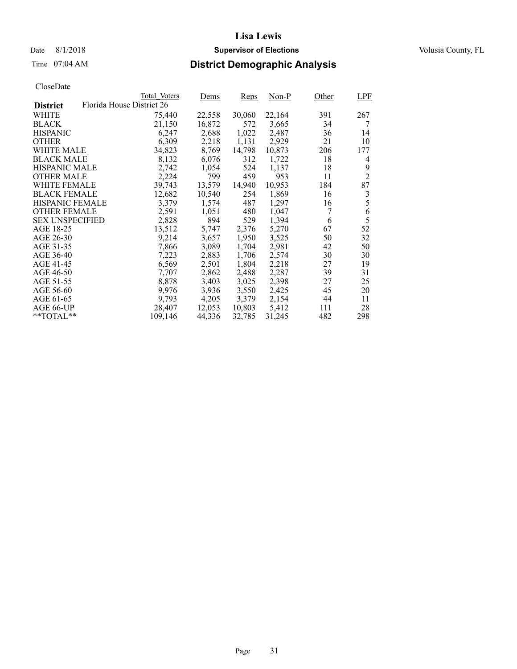## Date 8/1/2018 **Supervisor of Elections Supervisor of Elections** Volusia County, FL

## Time 07:04 AM **District Demographic Analysis**

|                        |                           | Total Voters | Dems   | <b>Reps</b> | $Non-P$ | Other | <b>LPF</b>     |
|------------------------|---------------------------|--------------|--------|-------------|---------|-------|----------------|
| <b>District</b>        | Florida House District 26 |              |        |             |         |       |                |
| WHITE                  |                           | 75,440       | 22,558 | 30,060      | 22,164  | 391   | 267            |
| <b>BLACK</b>           |                           | 21,150       | 16,872 | 572         | 3,665   | 34    | 7              |
| <b>HISPANIC</b>        |                           | 6,247        | 2,688  | 1,022       | 2,487   | 36    | 14             |
| <b>OTHER</b>           |                           | 6,309        | 2,218  | 1,131       | 2,929   | 21    | 10             |
| WHITE MALE             |                           | 34,823       | 8,769  | 14,798      | 10.873  | 206   | 177            |
| <b>BLACK MALE</b>      |                           | 8,132        | 6,076  | 312         | 1,722   | 18    | 4              |
| <b>HISPANIC MALE</b>   |                           | 2,742        | 1,054  | 524         | 1,137   | 18    | 9              |
| <b>OTHER MALE</b>      |                           | 2,224        | 799    | 459         | 953     | 11    | $\overline{2}$ |
| <b>WHITE FEMALE</b>    |                           | 39,743       | 13,579 | 14,940      | 10,953  | 184   | 87             |
| <b>BLACK FEMALE</b>    |                           | 12,682       | 10,540 | 254         | 1,869   | 16    | 3              |
| HISPANIC FEMALE        |                           | 3,379        | 1,574  | 487         | 1,297   | 16    | 5              |
| <b>OTHER FEMALE</b>    |                           | 2,591        | 1,051  | 480         | 1,047   | 7     | 6              |
| <b>SEX UNSPECIFIED</b> |                           | 2,828        | 894    | 529         | 1,394   | 6     | 5              |
| AGE 18-25              |                           | 13,512       | 5,747  | 2,376       | 5,270   | 67    | 52             |
| AGE 26-30              |                           | 9,214        | 3,657  | 1,950       | 3,525   | 50    | 32             |
| AGE 31-35              |                           | 7,866        | 3,089  | 1,704       | 2,981   | 42    | 50             |
| AGE 36-40              |                           | 7,223        | 2,883  | 1,706       | 2,574   | 30    | 30             |
| AGE 41-45              |                           | 6,569        | 2,501  | 1,804       | 2,218   | 27    | 19             |
| AGE 46-50              |                           | 7,707        | 2,862  | 2,488       | 2,287   | 39    | 31             |
| AGE 51-55              |                           | 8,878        | 3,403  | 3,025       | 2,398   | 27    | 25             |
| AGE 56-60              |                           | 9,976        | 3,936  | 3,550       | 2,425   | 45    | 20             |
| AGE 61-65              |                           | 9,793        | 4,205  | 3,379       | 2,154   | 44    | 11             |
| AGE 66-UP              |                           | 28,407       | 12,053 | 10,803      | 5,412   | 111   | 28             |
| $*$ TOTAL $*$          |                           | 109,146      | 44,336 | 32,785      | 31,245  | 482   | 298            |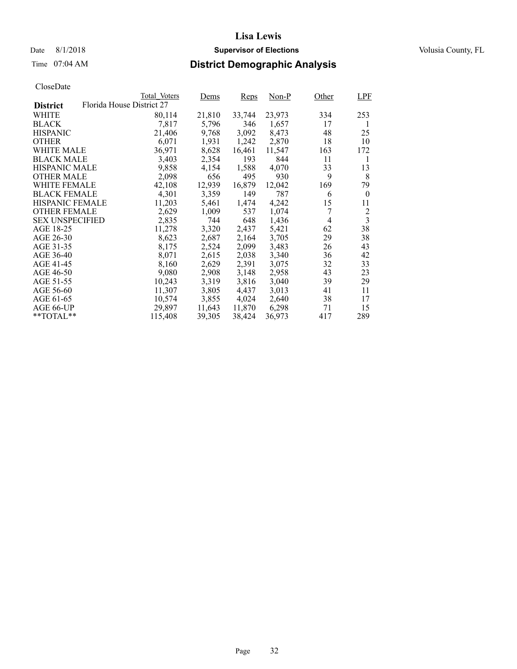## Date 8/1/2018 **Supervisor of Elections Supervisor of Elections** Volusia County, FL

## Time 07:04 AM **District Demographic Analysis**

|                        |                           | Total Voters | Dems   | <b>Reps</b> | $Non-P$ | Other | LPF              |
|------------------------|---------------------------|--------------|--------|-------------|---------|-------|------------------|
| <b>District</b>        | Florida House District 27 |              |        |             |         |       |                  |
| WHITE                  |                           | 80,114       | 21,810 | 33,744      | 23,973  | 334   | 253              |
| <b>BLACK</b>           |                           | 7,817        | 5,796  | 346         | 1,657   | 17    | 1                |
| <b>HISPANIC</b>        |                           | 21,406       | 9,768  | 3,092       | 8,473   | 48    | 25               |
| <b>OTHER</b>           |                           | 6,071        | 1,931  | 1,242       | 2,870   | 18    | 10               |
| WHITE MALE             |                           | 36,971       | 8,628  | 16,461      | 11,547  | 163   | 172              |
| <b>BLACK MALE</b>      |                           | 3,403        | 2,354  | 193         | 844     | 11    | 1                |
| <b>HISPANIC MALE</b>   |                           | 9,858        | 4,154  | 1,588       | 4,070   | 33    | 13               |
| <b>OTHER MALE</b>      |                           | 2,098        | 656    | 495         | 930     | 9     | 8                |
| <b>WHITE FEMALE</b>    |                           | 42,108       | 12,939 | 16,879      | 12,042  | 169   | 79               |
| <b>BLACK FEMALE</b>    |                           | 4,301        | 3,359  | 149         | 787     | 6     | $\boldsymbol{0}$ |
| HISPANIC FEMALE        |                           | 11,203       | 5,461  | 1,474       | 4,242   | 15    | 11               |
| <b>OTHER FEMALE</b>    |                           | 2,629        | 1,009  | 537         | 1,074   |       | 2                |
| <b>SEX UNSPECIFIED</b> |                           | 2,835        | 744    | 648         | 1,436   | 4     | $\overline{3}$   |
| AGE 18-25              |                           | 11,278       | 3,320  | 2,437       | 5,421   | 62    | 38               |
| AGE 26-30              |                           | 8,623        | 2,687  | 2,164       | 3,705   | 29    | 38               |
| AGE 31-35              |                           | 8,175        | 2,524  | 2,099       | 3,483   | 26    | 43               |
| AGE 36-40              |                           | 8,071        | 2,615  | 2,038       | 3,340   | 36    | 42               |
| AGE 41-45              |                           | 8,160        | 2,629  | 2,391       | 3,075   | 32    | 33               |
| AGE 46-50              |                           | 9,080        | 2,908  | 3,148       | 2,958   | 43    | 23               |
| AGE 51-55              |                           | 10,243       | 3,319  | 3,816       | 3,040   | 39    | 29               |
| AGE 56-60              |                           | 11,307       | 3,805  | 4,437       | 3,013   | 41    | 11               |
| AGE 61-65              |                           | 10,574       | 3,855  | 4,024       | 2,640   | 38    | 17               |
| AGE 66-UP              |                           | 29,897       | 11,643 | 11,870      | 6,298   | 71    | 15               |
| $*$ TOTAL $*$          |                           | 115,408      | 39,305 | 38,424      | 36,973  | 417   | 289              |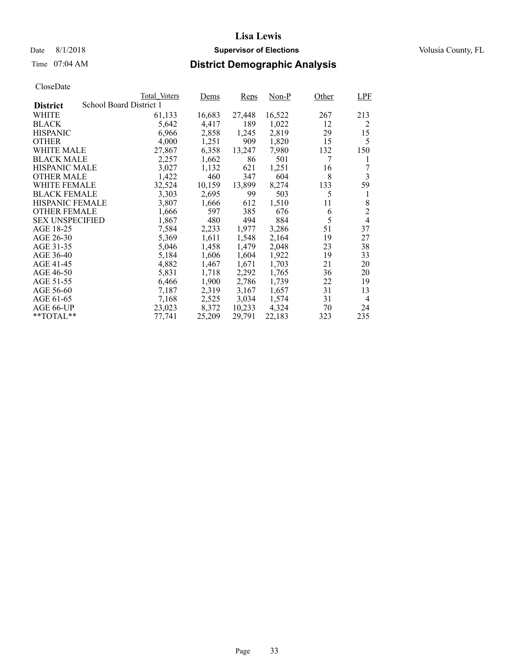## Date 8/1/2018 **Supervisor of Elections Supervisor of Elections** Volusia County, FL

## Time 07:04 AM **District Demographic Analysis**

|                        |                         | Total Voters | Dems   | <b>Reps</b> | Non-P  | Other | <b>LPF</b>     |
|------------------------|-------------------------|--------------|--------|-------------|--------|-------|----------------|
| <b>District</b>        | School Board District 1 |              |        |             |        |       |                |
| WHITE                  |                         | 61,133       | 16,683 | 27,448      | 16,522 | 267   | 213            |
| <b>BLACK</b>           |                         | 5,642        | 4,417  | 189         | 1,022  | 12    | 2              |
| <b>HISPANIC</b>        |                         | 6,966        | 2,858  | 1,245       | 2,819  | 29    | 15             |
| <b>OTHER</b>           |                         | 4,000        | 1,251  | 909         | 1,820  | 15    | 5              |
| WHITE MALE             |                         | 27,867       | 6,358  | 13,247      | 7,980  | 132   | 150            |
| <b>BLACK MALE</b>      |                         | 2,257        | 1,662  | 86          | 501    | 7     | 1              |
| <b>HISPANIC MALE</b>   |                         | 3,027        | 1,132  | 621         | 1,251  | 16    | 7              |
| <b>OTHER MALE</b>      |                         | 1,422        | 460    | 347         | 604    | 8     | 3              |
| WHITE FEMALE           |                         | 32,524       | 10,159 | 13,899      | 8,274  | 133   | 59             |
| <b>BLACK FEMALE</b>    |                         | 3,303        | 2,695  | 99          | 503    | 5     | 1              |
| HISPANIC FEMALE        |                         | 3,807        | 1,666  | 612         | 1,510  | 11    | 8              |
| <b>OTHER FEMALE</b>    |                         | 1,666        | 597    | 385         | 676    | 6     | $\overline{2}$ |
| <b>SEX UNSPECIFIED</b> |                         | 1,867        | 480    | 494         | 884    | 5     | $\overline{4}$ |
| AGE 18-25              |                         | 7,584        | 2,233  | 1,977       | 3,286  | 51    | 37             |
| AGE 26-30              |                         | 5,369        | 1,611  | 1,548       | 2,164  | 19    | 27             |
| AGE 31-35              |                         | 5,046        | 1,458  | 1,479       | 2,048  | 23    | 38             |
| AGE 36-40              |                         | 5,184        | 1,606  | 1,604       | 1,922  | 19    | 33             |
| AGE 41-45              |                         | 4,882        | 1,467  | 1,671       | 1,703  | 21    | 20             |
| AGE 46-50              |                         | 5,831        | 1,718  | 2,292       | 1,765  | 36    | 20             |
| AGE 51-55              |                         | 6,466        | 1,900  | 2,786       | 1,739  | 22    | 19             |
| AGE 56-60              |                         | 7,187        | 2,319  | 3,167       | 1,657  | 31    | 13             |
| AGE 61-65              |                         | 7,168        | 2,525  | 3,034       | 1,574  | 31    | $\overline{4}$ |
| AGE 66-UP              |                         | 23,023       | 8,372  | 10,233      | 4,324  | 70    | 24             |
| $*$ $TOTAL**$          |                         | 77.741       | 25,209 | 29,791      | 22,183 | 323   | 235            |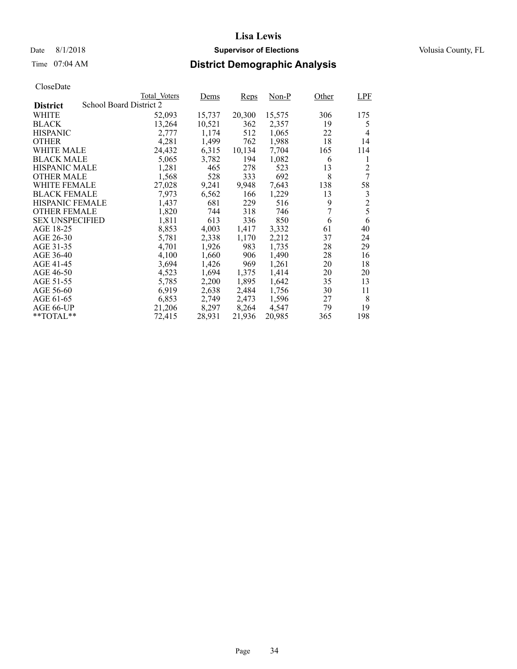## Date 8/1/2018 **Supervisor of Elections Supervisor of Elections** Volusia County, FL

## Time 07:04 AM **District Demographic Analysis**

|                                            | Total Voters | Dems   | <b>Reps</b> | Non-P  | Other | LPF            |
|--------------------------------------------|--------------|--------|-------------|--------|-------|----------------|
| School Board District 2<br><b>District</b> |              |        |             |        |       |                |
| WHITE                                      | 52,093       | 15,737 | 20,300      | 15,575 | 306   | 175            |
| <b>BLACK</b>                               | 13.264       | 10,521 | 362         | 2,357  | 19    | 5              |
| <b>HISPANIC</b>                            | 2,777        | 1,174  | 512         | 1,065  | 22    | $\overline{4}$ |
| <b>OTHER</b>                               | 4,281        | 1,499  | 762         | 1,988  | 18    | 14             |
| WHITE MALE                                 | 24,432       | 6,315  | 10,134      | 7,704  | 165   | 114            |
| <b>BLACK MALE</b>                          | 5,065        | 3,782  | 194         | 1,082  | 6     | 1              |
| <b>HISPANIC MALE</b>                       | 1,281        | 465    | 278         | 523    | 13    | $\overline{c}$ |
| <b>OTHER MALE</b>                          | 1,568        | 528    | 333         | 692    | 8     | 7              |
| <b>WHITE FEMALE</b>                        | 27,028       | 9,241  | 9.948       | 7.643  | 138   | 58             |
| <b>BLACK FEMALE</b>                        | 7.973        | 6,562  | 166         | 1,229  | 13    | 3              |
| <b>HISPANIC FEMALE</b>                     | 1,437        | 681    | 229         | 516    | 9     | $\overline{c}$ |
| <b>OTHER FEMALE</b>                        | 1,820        | 744    | 318         | 746    | 7     | 5              |
| <b>SEX UNSPECIFIED</b>                     | 1,811        | 613    | 336         | 850    | 6     | 6              |
| AGE 18-25                                  | 8,853        | 4,003  | 1,417       | 3,332  | 61    | 40             |
| AGE 26-30                                  | 5,781        | 2,338  | 1,170       | 2,212  | 37    | 24             |
| AGE 31-35                                  | 4,701        | 1,926  | 983         | 1,735  | 28    | 29             |
| AGE 36-40                                  | 4,100        | 1,660  | 906         | 1,490  | 28    | 16             |
| AGE 41-45                                  | 3,694        | 1,426  | 969         | 1,261  | 20    | 18             |
| AGE 46-50                                  | 4,523        | 1,694  | 1,375       | 1,414  | 20    | 20             |
| AGE 51-55                                  | 5,785        | 2,200  | 1,895       | 1,642  | 35    | 13             |
| AGE 56-60                                  | 6,919        | 2,638  | 2,484       | 1,756  | 30    | 11             |
| AGE 61-65                                  | 6,853        | 2,749  | 2,473       | 1,596  | 27    | 8              |
| AGE 66-UP                                  | 21,206       | 8,297  | 8,264       | 4,547  | 79    | 19             |
| $*$ TOTAL $*$                              | 72,415       | 28,931 | 21,936      | 20,985 | 365   | 198            |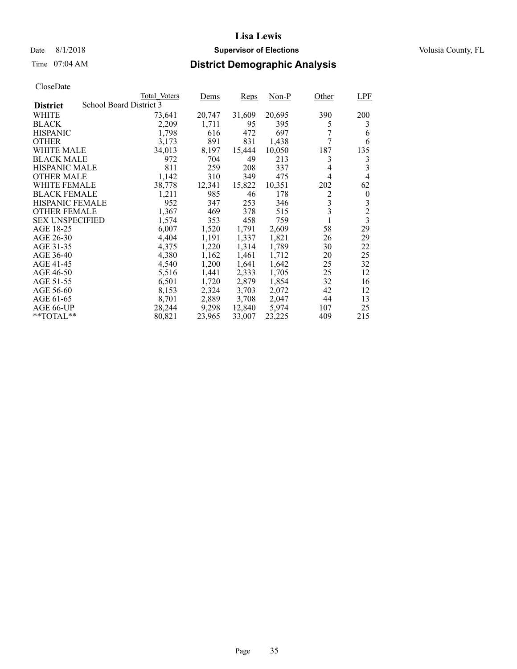## Date 8/1/2018 **Supervisor of Elections Supervisor of Elections** Volusia County, FL

# Time 07:04 AM **District Demographic Analysis**

|                        |                         | Total Voters | Dems   | <b>Reps</b> | Non-P  | Other          | LPF                     |
|------------------------|-------------------------|--------------|--------|-------------|--------|----------------|-------------------------|
| <b>District</b>        | School Board District 3 |              |        |             |        |                |                         |
| WHITE                  |                         | 73,641       | 20,747 | 31,609      | 20,695 | 390            | 200                     |
| <b>BLACK</b>           |                         | 2,209        | 1,711  | 95          | 395    | 5              | 3                       |
| <b>HISPANIC</b>        |                         | 1,798        | 616    | 472         | 697    |                | 6                       |
| <b>OTHER</b>           |                         | 3,173        | 891    | 831         | 1,438  | 7              | 6                       |
| WHITE MALE             |                         | 34,013       | 8,197  | 15,444      | 10,050 | 187            | 135                     |
| <b>BLACK MALE</b>      |                         | 972          | 704    | 49          | 213    | 3              | 3                       |
| <b>HISPANIC MALE</b>   |                         | 811          | 259    | 208         | 337    | 4              | 3                       |
| <b>OTHER MALE</b>      |                         | 1,142        | 310    | 349         | 475    | $\overline{4}$ | 4                       |
| WHITE FEMALE           |                         | 38,778       | 12,341 | 15,822      | 10,351 | 202            | 62                      |
| <b>BLACK FEMALE</b>    |                         | 1,211        | 985    | 46          | 178    | 2              | $\boldsymbol{0}$        |
| HISPANIC FEMALE        |                         | 952          | 347    | 253         | 346    | 3              | 3                       |
| <b>OTHER FEMALE</b>    |                         | 1,367        | 469    | 378         | 515    | 3              | $\overline{c}$          |
| <b>SEX UNSPECIFIED</b> |                         | 1,574        | 353    | 458         | 759    |                | $\overline{\mathbf{3}}$ |
| AGE 18-25              |                         | 6,007        | 1,520  | 1,791       | 2,609  | 58             | 29                      |
| AGE 26-30              |                         | 4,404        | 1,191  | 1,337       | 1,821  | 26             | 29                      |
| AGE 31-35              |                         | 4,375        | 1,220  | 1,314       | 1,789  | 30             | 22                      |
| AGE 36-40              |                         | 4,380        | 1,162  | 1,461       | 1,712  | 20             | 25                      |
| AGE 41-45              |                         | 4,540        | 1,200  | 1,641       | 1,642  | 25             | 32                      |
| AGE 46-50              |                         | 5,516        | 1,441  | 2,333       | 1,705  | 25             | 12                      |
| AGE 51-55              |                         | 6,501        | 1,720  | 2,879       | 1,854  | 32             | 16                      |
| AGE 56-60              |                         | 8,153        | 2,324  | 3,703       | 2,072  | 42             | 12                      |
| AGE 61-65              |                         | 8,701        | 2,889  | 3,708       | 2,047  | 44             | 13                      |
| AGE 66-UP              |                         | 28,244       | 9,298  | 12,840      | 5,974  | 107            | 25                      |
| $*$ TOTAL $*$          |                         | 80,821       | 23,965 | 33,007      | 23,225 | 409            | 215                     |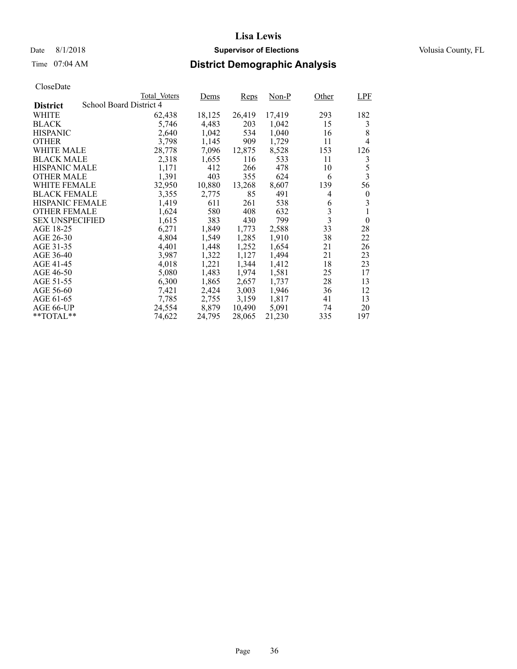## Date 8/1/2018 **Supervisor of Elections Supervisor of Elections** Volusia County, FL

## Time 07:04 AM **District Demographic Analysis**

|                        |                         | Total Voters | Dems   | <b>Reps</b> | Non-P  | Other                   | <b>LPF</b>       |
|------------------------|-------------------------|--------------|--------|-------------|--------|-------------------------|------------------|
| <b>District</b>        | School Board District 4 |              |        |             |        |                         |                  |
| WHITE                  |                         | 62,438       | 18,125 | 26,419      | 17,419 | 293                     | 182              |
| <b>BLACK</b>           |                         | 5,746        | 4,483  | 203         | 1,042  | 15                      | 3                |
| <b>HISPANIC</b>        |                         | 2,640        | 1,042  | 534         | 1,040  | 16                      | 8                |
| <b>OTHER</b>           |                         | 3,798        | 1,145  | 909         | 1,729  | 11                      | $\overline{4}$   |
| WHITE MALE             |                         | 28,778       | 7,096  | 12,875      | 8,528  | 153                     | 126              |
| <b>BLACK MALE</b>      |                         | 2,318        | 1,655  | 116         | 533    | 11                      | 3                |
| <b>HISPANIC MALE</b>   |                         | 1,171        | 412    | 266         | 478    | 10                      | 5                |
| <b>OTHER MALE</b>      |                         | 1,391        | 403    | 355         | 624    | 6                       | $\overline{3}$   |
| WHITE FEMALE           |                         | 32,950       | 10,880 | 13,268      | 8,607  | 139                     | 56               |
| <b>BLACK FEMALE</b>    |                         | 3,355        | 2,775  | 85          | 491    | 4                       | $\boldsymbol{0}$ |
| <b>HISPANIC FEMALE</b> |                         | 1,419        | 611    | 261         | 538    | 6                       | 3                |
| <b>OTHER FEMALE</b>    |                         | 1,624        | 580    | 408         | 632    | 3                       | 1                |
| <b>SEX UNSPECIFIED</b> |                         | 1,615        | 383    | 430         | 799    | $\overline{\mathbf{3}}$ | $\theta$         |
| AGE 18-25              |                         | 6,271        | 1,849  | 1,773       | 2,588  | 33                      | 28               |
| AGE 26-30              |                         | 4,804        | 1,549  | 1,285       | 1,910  | 38                      | 22               |
| AGE 31-35              |                         | 4,401        | 1,448  | 1,252       | 1,654  | 21                      | 26               |
| AGE 36-40              |                         | 3,987        | 1,322  | 1,127       | 1,494  | 21                      | 23               |
| AGE 41-45              |                         | 4,018        | 1,221  | 1,344       | 1,412  | 18                      | 23               |
| AGE 46-50              |                         | 5,080        | 1,483  | 1,974       | 1,581  | 25                      | 17               |
| AGE 51-55              |                         | 6,300        | 1,865  | 2,657       | 1.737  | 28                      | 13               |
| AGE 56-60              |                         | 7,421        | 2,424  | 3,003       | 1,946  | 36                      | 12               |
| AGE 61-65              |                         | 7,785        | 2,755  | 3,159       | 1,817  | 41                      | 13               |
| AGE 66-UP              |                         | 24,554       | 8,879  | 10,490      | 5,091  | 74                      | 20               |
| $*$ $TOTAL**$          |                         | 74,622       | 24,795 | 28,065      | 21,230 | 335                     | 197              |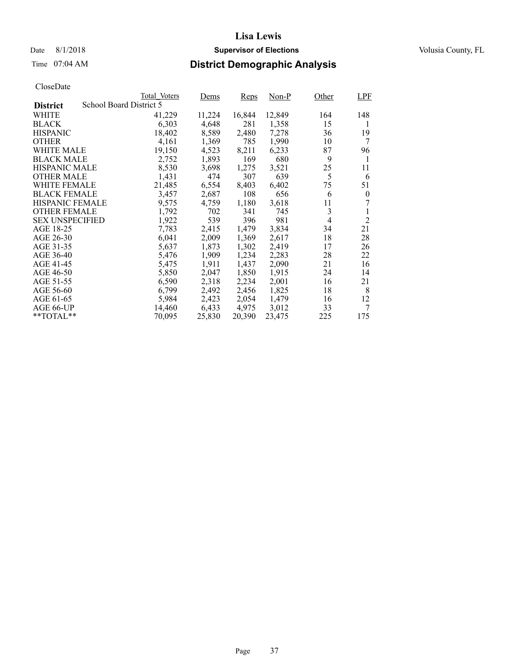### Date 8/1/2018 **Supervisor of Elections Supervisor of Elections** Volusia County, FL

# Time 07:04 AM **District Demographic Analysis**

|                        |                         | Total Voters | Dems   | <b>Reps</b> | Non-P  | Other | <b>LPF</b>       |
|------------------------|-------------------------|--------------|--------|-------------|--------|-------|------------------|
| <b>District</b>        | School Board District 5 |              |        |             |        |       |                  |
| WHITE                  |                         | 41,229       | 11,224 | 16,844      | 12,849 | 164   | 148              |
| <b>BLACK</b>           |                         | 6,303        | 4,648  | 281         | 1,358  | 15    | 1                |
| <b>HISPANIC</b>        |                         | 18,402       | 8,589  | 2,480       | 7,278  | 36    | 19               |
| <b>OTHER</b>           |                         | 4,161        | 1,369  | 785         | 1,990  | 10    | 7                |
| WHITE MALE             |                         | 19,150       | 4,523  | 8,211       | 6,233  | 87    | 96               |
| <b>BLACK MALE</b>      |                         | 2,752        | 1,893  | 169         | 680    | 9     | 1                |
| <b>HISPANIC MALE</b>   |                         | 8,530        | 3,698  | 1,275       | 3,521  | 25    | 11               |
| <b>OTHER MALE</b>      |                         | 1,431        | 474    | 307         | 639    | 5     | 6                |
| <b>WHITE FEMALE</b>    |                         | 21,485       | 6,554  | 8,403       | 6,402  | 75    | 51               |
| <b>BLACK FEMALE</b>    |                         | 3,457        | 2,687  | 108         | 656    | 6     | $\boldsymbol{0}$ |
| HISPANIC FEMALE        |                         | 9,575        | 4,759  | 1,180       | 3,618  | 11    |                  |
| <b>OTHER FEMALE</b>    |                         | 1,792        | 702    | 341         | 745    | 3     |                  |
| <b>SEX UNSPECIFIED</b> |                         | 1,922        | 539    | 396         | 981    | 4     | $\overline{2}$   |
| AGE 18-25              |                         | 7,783        | 2,415  | 1,479       | 3,834  | 34    | 21               |
| AGE 26-30              |                         | 6,041        | 2,009  | 1,369       | 2,617  | 18    | 28               |
| AGE 31-35              |                         | 5,637        | 1,873  | 1,302       | 2,419  | 17    | 26               |
| AGE 36-40              |                         | 5,476        | 1,909  | 1,234       | 2,283  | 28    | 22               |
| AGE 41-45              |                         | 5,475        | 1,911  | 1,437       | 2,090  | 21    | 16               |
| AGE 46-50              |                         | 5,850        | 2,047  | 1,850       | 1,915  | 24    | 14               |
| AGE 51-55              |                         | 6,590        | 2,318  | 2,234       | 2,001  | 16    | 21               |
| AGE 56-60              |                         | 6,799        | 2,492  | 2,456       | 1,825  | 18    | 8                |
| AGE 61-65              |                         | 5,984        | 2,423  | 2,054       | 1,479  | 16    | 12               |
| AGE 66-UP              |                         | 14,460       | 6,433  | 4,975       | 3,012  | 33    | 7                |
| $*$ TOTAL $*$          |                         | 70,095       | 25,830 | 20,390      | 23,475 | 225   | 175              |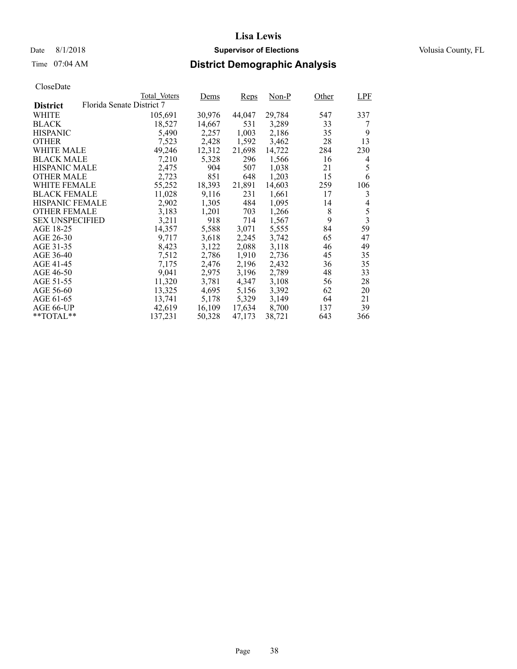## Date 8/1/2018 **Supervisor of Elections Supervisor of Elections** Volusia County, FL

# Time 07:04 AM **District Demographic Analysis**

|                        |                           | Total Voters | Dems   | <b>Reps</b> | Non-P  | Other | LPF                     |
|------------------------|---------------------------|--------------|--------|-------------|--------|-------|-------------------------|
| <b>District</b>        | Florida Senate District 7 |              |        |             |        |       |                         |
| WHITE                  |                           | 105,691      | 30,976 | 44,047      | 29,784 | 547   | 337                     |
| <b>BLACK</b>           |                           | 18,527       | 14,667 | 531         | 3,289  | 33    | 7                       |
| <b>HISPANIC</b>        |                           | 5,490        | 2,257  | 1,003       | 2,186  | 35    | 9                       |
| <b>OTHER</b>           |                           | 7,523        | 2,428  | 1,592       | 3,462  | 28    | 13                      |
| WHITE MALE             |                           | 49,246       | 12,312 | 21,698      | 14,722 | 284   | 230                     |
| <b>BLACK MALE</b>      |                           | 7,210        | 5,328  | 296         | 1,566  | 16    | 4                       |
| <b>HISPANIC MALE</b>   |                           | 2,475        | 904    | 507         | 1,038  | 21    | 5                       |
| <b>OTHER MALE</b>      |                           | 2,723        | 851    | 648         | 1,203  | 15    | 6                       |
| <b>WHITE FEMALE</b>    |                           | 55,252       | 18,393 | 21,891      | 14,603 | 259   | 106                     |
| <b>BLACK FEMALE</b>    |                           | 11,028       | 9,116  | 231         | 1,661  | 17    | 3                       |
| HISPANIC FEMALE        |                           | 2,902        | 1,305  | 484         | 1,095  | 14    | 4                       |
| <b>OTHER FEMALE</b>    |                           | 3,183        | 1,201  | 703         | 1,266  | 8     | 5                       |
| <b>SEX UNSPECIFIED</b> |                           | 3,211        | 918    | 714         | 1,567  | 9     | $\overline{\mathbf{3}}$ |
| AGE 18-25              |                           | 14,357       | 5,588  | 3,071       | 5,555  | 84    | 59                      |
| AGE 26-30              |                           | 9.717        | 3,618  | 2,245       | 3,742  | 65    | 47                      |
| AGE 31-35              |                           | 8,423        | 3,122  | 2,088       | 3,118  | 46    | 49                      |
| AGE 36-40              |                           | 7,512        | 2,786  | 1,910       | 2,736  | 45    | 35                      |
| AGE 41-45              |                           | 7,175        | 2,476  | 2,196       | 2,432  | 36    | 35                      |
| AGE 46-50              |                           | 9,041        | 2,975  | 3,196       | 2,789  | 48    | 33                      |
| AGE 51-55              |                           | 11,320       | 3,781  | 4,347       | 3,108  | 56    | 28                      |
| AGE 56-60              |                           | 13,325       | 4,695  | 5,156       | 3,392  | 62    | 20                      |
| AGE 61-65              |                           | 13,741       | 5,178  | 5,329       | 3,149  | 64    | 21                      |
| AGE 66-UP              |                           | 42,619       | 16,109 | 17,634      | 8,700  | 137   | 39                      |
| $*$ TOTAL $*$          |                           | 137,231      | 50,328 | 47,173      | 38,721 | 643   | 366                     |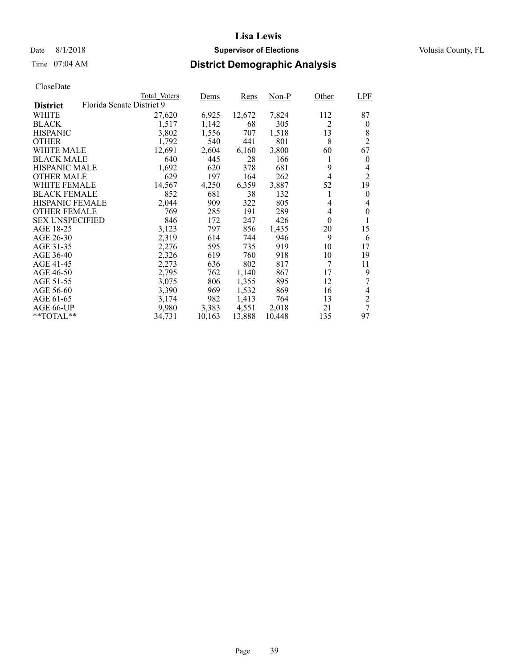### Date 8/1/2018 **Supervisor of Elections Supervisor of Elections** Volusia County, FL

# Time 07:04 AM **District Demographic Analysis**

|                        |                           | Total Voters | Dems   | <b>Reps</b> | Non-P  | Other          | LPF            |
|------------------------|---------------------------|--------------|--------|-------------|--------|----------------|----------------|
| <b>District</b>        | Florida Senate District 9 |              |        |             |        |                |                |
| WHITE                  |                           | 27,620       | 6,925  | 12,672      | 7,824  | 112            | 87             |
| <b>BLACK</b>           |                           | 1,517        | 1,142  | 68          | 305    | $\overline{2}$ | $\overline{0}$ |
| <b>HISPANIC</b>        |                           | 3,802        | 1,556  | 707         | 1,518  | 13             | 8              |
| <b>OTHER</b>           |                           | 1,792        | 540    | 441         | 801    | 8              | $\overline{2}$ |
| WHITE MALE             |                           | 12,691       | 2,604  | 6,160       | 3,800  | 60             | 67             |
| <b>BLACK MALE</b>      |                           | 640          | 445    | 28          | 166    | 1              | $\overline{0}$ |
| <b>HISPANIC MALE</b>   |                           | 1,692        | 620    | 378         | 681    | 9              | 4              |
| <b>OTHER MALE</b>      |                           | 629          | 197    | 164         | 262    | 4              | $\overline{c}$ |
| <b>WHITE FEMALE</b>    |                           | 14,567       | 4,250  | 6,359       | 3,887  | 52             | 19             |
| <b>BLACK FEMALE</b>    |                           | 852          | 681    | 38          | 132    | 1              | $\theta$       |
| HISPANIC FEMALE        |                           | 2,044        | 909    | 322         | 805    | 4              | 4              |
| <b>OTHER FEMALE</b>    |                           | 769          | 285    | 191         | 289    | 4              | $\theta$       |
| <b>SEX UNSPECIFIED</b> |                           | 846          | 172    | 247         | 426    | $\theta$       |                |
| AGE 18-25              |                           | 3,123        | 797    | 856         | 1,435  | 20             | 15             |
| AGE 26-30              |                           | 2,319        | 614    | 744         | 946    | 9              | 6              |
| AGE 31-35              |                           | 2,276        | 595    | 735         | 919    | 10             | 17             |
| AGE 36-40              |                           | 2,326        | 619    | 760         | 918    | 10             | 19             |
| AGE 41-45              |                           | 2,273        | 636    | 802         | 817    | 7              | 11             |
| AGE 46-50              |                           | 2,795        | 762    | 1,140       | 867    | 17             | 9              |
| AGE 51-55              |                           | 3,075        | 806    | 1,355       | 895    | 12             | 7              |
| AGE 56-60              |                           | 3,390        | 969    | 1,532       | 869    | 16             | 4              |
| AGE 61-65              |                           | 3,174        | 982    | 1,413       | 764    | 13             | $\overline{c}$ |
| AGE 66-UP              |                           | 9,980        | 3,383  | 4,551       | 2,018  | 21             | 7              |
| **TOTAL**              |                           | 34,731       | 10,163 | 13,888      | 10,448 | 135            | 97             |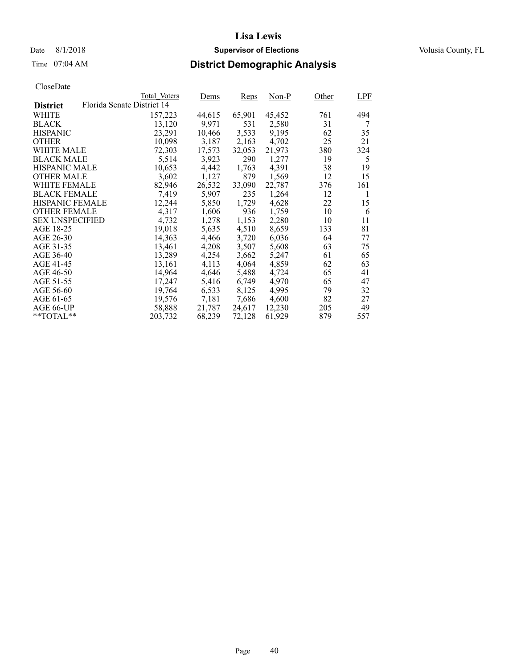### Date 8/1/2018 **Supervisor of Elections Supervisor of Elections** Volusia County, FL

# Time 07:04 AM **District Demographic Analysis**

|                        |                            | Total Voters | Dems   | <b>Reps</b> | $Non-P$ | Other | LPF |
|------------------------|----------------------------|--------------|--------|-------------|---------|-------|-----|
| <b>District</b>        | Florida Senate District 14 |              |        |             |         |       |     |
| WHITE                  |                            | 157,223      | 44,615 | 65,901      | 45,452  | 761   | 494 |
| <b>BLACK</b>           |                            | 13,120       | 9,971  | 531         | 2,580   | 31    | 7   |
| <b>HISPANIC</b>        |                            | 23,291       | 10,466 | 3,533       | 9,195   | 62    | 35  |
| <b>OTHER</b>           |                            | 10,098       | 3,187  | 2,163       | 4,702   | 25    | 21  |
| WHITE MALE             |                            | 72,303       | 17,573 | 32,053      | 21.973  | 380   | 324 |
| <b>BLACK MALE</b>      |                            | 5,514        | 3,923  | 290         | 1,277   | 19    | 5   |
| <b>HISPANIC MALE</b>   |                            | 10,653       | 4,442  | 1,763       | 4,391   | 38    | 19  |
| <b>OTHER MALE</b>      |                            | 3,602        | 1,127  | 879         | 1,569   | 12    | 15  |
| <b>WHITE FEMALE</b>    |                            | 82,946       | 26,532 | 33,090      | 22,787  | 376   | 161 |
| <b>BLACK FEMALE</b>    |                            | 7,419        | 5,907  | 235         | 1,264   | 12    | 1   |
| HISPANIC FEMALE        |                            | 12,244       | 5,850  | 1,729       | 4,628   | 22    | 15  |
| <b>OTHER FEMALE</b>    |                            | 4.317        | 1,606  | 936         | 1.759   | 10    | 6   |
| <b>SEX UNSPECIFIED</b> |                            | 4,732        | 1,278  | 1,153       | 2,280   | 10    | 11  |
| AGE 18-25              |                            | 19,018       | 5,635  | 4,510       | 8,659   | 133   | 81  |
| AGE 26-30              |                            | 14.363       | 4,466  | 3.720       | 6,036   | 64    | 77  |
| AGE 31-35              |                            | 13,461       | 4,208  | 3,507       | 5,608   | 63    | 75  |
| AGE 36-40              |                            | 13,289       | 4,254  | 3,662       | 5,247   | 61    | 65  |
| AGE 41-45              |                            | 13,161       | 4,113  | 4,064       | 4,859   | 62    | 63  |
| AGE 46-50              |                            | 14,964       | 4,646  | 5,488       | 4,724   | 65    | 41  |
| AGE 51-55              |                            | 17,247       | 5,416  | 6.749       | 4.970   | 65    | 47  |
| AGE 56-60              |                            | 19,764       | 6,533  | 8,125       | 4,995   | 79    | 32  |
| AGE 61-65              |                            | 19,576       | 7,181  | 7,686       | 4,600   | 82    | 27  |
| AGE 66-UP              |                            | 58,888       | 21,787 | 24,617      | 12,230  | 205   | 49  |
| $*$ TOTAL $*$          |                            | 203,732      | 68,239 | 72,128      | 61,929  | 879   | 557 |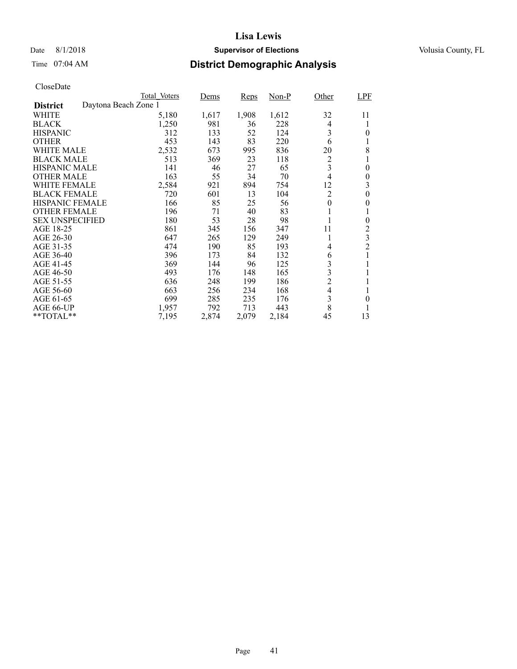### Date 8/1/2018 **Supervisor of Elections Supervisor of Elections** Volusia County, FL

# Time 07:04 AM **District Demographic Analysis**

|                        |                      | Total Voters | Dems  | <b>Reps</b> | $Non-P$ | Other          | <b>LPF</b>     |
|------------------------|----------------------|--------------|-------|-------------|---------|----------------|----------------|
| <b>District</b>        | Daytona Beach Zone 1 |              |       |             |         |                |                |
| WHITE                  |                      | 5,180        | 1,617 | 1,908       | 1,612   | 32             | 11             |
| <b>BLACK</b>           |                      | 1,250        | 981   | 36          | 228     | 4              | l              |
| <b>HISPANIC</b>        |                      | 312          | 133   | 52          | 124     | 3              | 0              |
| <b>OTHER</b>           |                      | 453          | 143   | 83          | 220     | 6              | l              |
| WHITE MALE             |                      | 2,532        | 673   | 995         | 836     | 20             | 8              |
| <b>BLACK MALE</b>      |                      | 513          | 369   | 23          | 118     | $\overline{c}$ | 1              |
| <b>HISPANIC MALE</b>   |                      | 141          | 46    | 27          | 65      | 3              | 0              |
| <b>OTHER MALE</b>      |                      | 163          | 55    | 34          | 70      | $\overline{4}$ | $\theta$       |
| WHITE FEMALE           |                      | 2,584        | 921   | 894         | 754     | 12             | 3              |
| <b>BLACK FEMALE</b>    |                      | 720          | 601   | 13          | 104     | $\overline{2}$ | $\theta$       |
| HISPANIC FEMALE        |                      | 166          | 85    | 25          | 56      | $\theta$       | 0              |
| <b>OTHER FEMALE</b>    |                      | 196          | 71    | 40          | 83      | 1              |                |
| <b>SEX UNSPECIFIED</b> |                      | 180          | 53    | 28          | 98      | 1              | $\theta$       |
| AGE 18-25              |                      | 861          | 345   | 156         | 347     | 11             | 2              |
| AGE 26-30              |                      | 647          | 265   | 129         | 249     | 1              | 3              |
| AGE 31-35              |                      | 474          | 190   | 85          | 193     | 4              | $\overline{2}$ |
| AGE 36-40              |                      | 396          | 173   | 84          | 132     | 6              | 1              |
| AGE 41-45              |                      | 369          | 144   | 96          | 125     | 3              | 1              |
| AGE 46-50              |                      | 493          | 176   | 148         | 165     | 3              | 1              |
| AGE 51-55              |                      | 636          | 248   | 199         | 186     | $\overline{c}$ | 1              |
| AGE 56-60              |                      | 663          | 256   | 234         | 168     | $\overline{4}$ |                |
| AGE 61-65              |                      | 699          | 285   | 235         | 176     | 3              | 0              |
| AGE 66-UP              |                      | 1,957        | 792   | 713         | 443     | 8              | 1              |
| **TOTAL**              |                      | 7,195        | 2,874 | 2,079       | 2,184   | 45             | 13             |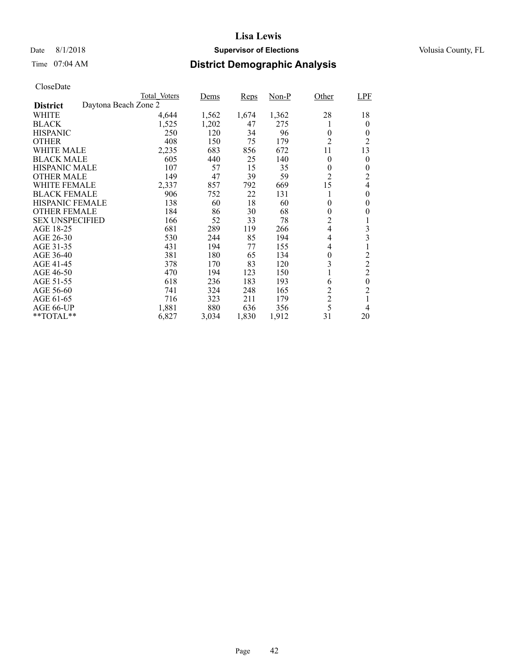### Date 8/1/2018 **Supervisor of Elections Supervisor of Elections** Volusia County, FL

# Time 07:04 AM **District Demographic Analysis**

|                        |                      | Total Voters | Dems  | <b>Reps</b> | Non-P | Other          | LPF              |
|------------------------|----------------------|--------------|-------|-------------|-------|----------------|------------------|
| <b>District</b>        | Daytona Beach Zone 2 |              |       |             |       |                |                  |
| WHITE                  |                      | 4,644        | 1,562 | 1,674       | 1,362 | 28             | 18               |
| <b>BLACK</b>           |                      | 1,525        | 1,202 | 47          | 275   |                | $\theta$         |
| <b>HISPANIC</b>        |                      | 250          | 120   | 34          | 96    | $\theta$       | $\theta$         |
| <b>OTHER</b>           |                      | 408          | 150   | 75          | 179   | $\overline{2}$ | 2                |
| WHITE MALE             |                      | 2,235        | 683   | 856         | 672   | 11             | 13               |
| <b>BLACK MALE</b>      |                      | 605          | 440   | 25          | 140   | $\theta$       | $\theta$         |
| <b>HISPANIC MALE</b>   |                      | 107          | 57    | 15          | 35    | 0              | $\boldsymbol{0}$ |
| <b>OTHER MALE</b>      |                      | 149          | 47    | 39          | 59    | $\overline{2}$ | 2                |
| WHITE FEMALE           |                      | 2,337        | 857   | 792         | 669   | 15             | 4                |
| <b>BLACK FEMALE</b>    |                      | 906          | 752   | 22          | 131   | 1              | $\theta$         |
| HISPANIC FEMALE        |                      | 138          | 60    | 18          | 60    | $\theta$       | $\theta$         |
| <b>OTHER FEMALE</b>    |                      | 184          | 86    | 30          | 68    | $\theta$       | 0                |
| <b>SEX UNSPECIFIED</b> |                      | 166          | 52    | 33          | 78    | $\overline{c}$ | 1                |
| AGE 18-25              |                      | 681          | 289   | 119         | 266   | $\overline{4}$ | 3                |
| AGE 26-30              |                      | 530          | 244   | 85          | 194   | 4              | 3                |
| AGE 31-35              |                      | 431          | 194   | 77          | 155   | 4              | 1                |
| AGE 36-40              |                      | 381          | 180   | 65          | 134   | $\theta$       | $\overline{c}$   |
| AGE 41-45              |                      | 378          | 170   | 83          | 120   | 3              | $\overline{2}$   |
| AGE 46-50              |                      | 470          | 194   | 123         | 150   | -1             | $\overline{c}$   |
| AGE 51-55              |                      | 618          | 236   | 183         | 193   | 6              | $\boldsymbol{0}$ |
| AGE 56-60              |                      | 741          | 324   | 248         | 165   | $\overline{c}$ | $\overline{2}$   |
| AGE 61-65              |                      | 716          | 323   | 211         | 179   | $\overline{c}$ | 1                |
| AGE 66-UP              |                      | 1,881        | 880   | 636         | 356   | 5              | 4                |
| **TOTAL**              |                      | 6,827        | 3,034 | 1,830       | 1,912 | 31             | 20               |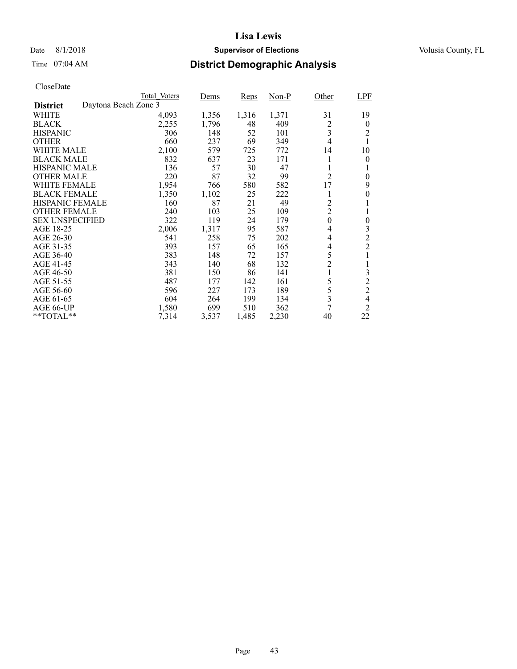### Date 8/1/2018 **Supervisor of Elections Supervisor of Elections** Volusia County, FL

# Time 07:04 AM **District Demographic Analysis**

|                        |                      | Total Voters | Dems  | Reps  | $Non-P$ | Other            | <b>LPF</b>     |
|------------------------|----------------------|--------------|-------|-------|---------|------------------|----------------|
| <b>District</b>        | Daytona Beach Zone 3 |              |       |       |         |                  |                |
| WHITE                  |                      | 4,093        | 1,356 | 1,316 | 1,371   | 31               | 19             |
| <b>BLACK</b>           |                      | 2,255        | 1,796 | 48    | 409     | 2                | $\theta$       |
| <b>HISPANIC</b>        |                      | 306          | 148   | 52    | 101     | $\overline{3}$   | 2              |
| <b>OTHER</b>           |                      | 660          | 237   | 69    | 349     | 4                | 1              |
| WHITE MALE             |                      | 2,100        | 579   | 725   | 772     | 14               | 10             |
| <b>BLACK MALE</b>      |                      | 832          | 637   | 23    | 171     | 1                | 0              |
| <b>HISPANIC MALE</b>   |                      | 136          | 57    | 30    | 47      | 1                | 1              |
| <b>OTHER MALE</b>      |                      | 220          | 87    | 32    | 99      | $\overline{2}$   | $\theta$       |
| WHITE FEMALE           |                      | 1,954        | 766   | 580   | 582     | 17               | 9              |
| <b>BLACK FEMALE</b>    |                      | 1,350        | 1,102 | 25    | 222     | 1                | $\theta$       |
| HISPANIC FEMALE        |                      | 160          | 87    | 21    | 49      | $\overline{c}$   |                |
| <b>OTHER FEMALE</b>    |                      | 240          | 103   | 25    | 109     | $\overline{2}$   | 1              |
| <b>SEX UNSPECIFIED</b> |                      | 322          | 119   | 24    | 179     | $\boldsymbol{0}$ | $\theta$       |
| AGE 18-25              |                      | 2,006        | 1,317 | 95    | 587     | 4                | 3              |
| AGE 26-30              |                      | 541          | 258   | 75    | 202     | 4                | $\overline{c}$ |
| AGE 31-35              |                      | 393          | 157   | 65    | 165     | 4                | $\overline{2}$ |
| AGE 36-40              |                      | 383          | 148   | 72    | 157     | 5                | 1              |
| AGE 41-45              |                      | 343          | 140   | 68    | 132     | $\overline{c}$   | 1              |
| AGE 46-50              |                      | 381          | 150   | 86    | 141     | 1                | 3              |
| AGE 51-55              |                      | 487          | 177   | 142   | 161     | 5                | $\overline{c}$ |
| AGE 56-60              |                      | 596          | 227   | 173   | 189     | 5                | $\overline{2}$ |
| AGE 61-65              |                      | 604          | 264   | 199   | 134     | 3                | $\overline{4}$ |
| AGE 66-UP              |                      | 1,580        | 699   | 510   | 362     | 7                | 2              |
| **TOTAL**              |                      | 7,314        | 3,537 | 1,485 | 2,230   | 40               | 22             |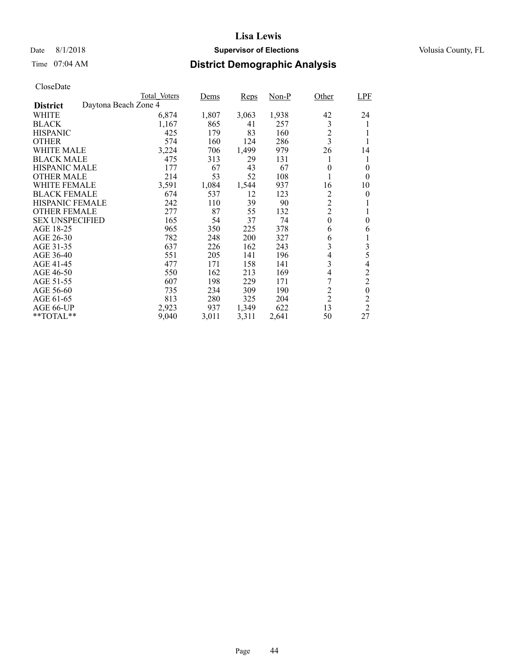### Date 8/1/2018 **Supervisor of Elections Supervisor of Elections** Volusia County, FL

# Time 07:04 AM **District Demographic Analysis**

|                        |                      | Total Voters | Dems  | <b>Reps</b> | $Non-P$ | Other                   | <b>LPF</b>     |
|------------------------|----------------------|--------------|-------|-------------|---------|-------------------------|----------------|
| <b>District</b>        | Daytona Beach Zone 4 |              |       |             |         |                         |                |
| WHITE                  |                      | 6,874        | 1,807 | 3,063       | 1,938   | 42                      | 24             |
| <b>BLACK</b>           |                      | 1,167        | 865   | 41          | 257     | 3                       | 1              |
| <b>HISPANIC</b>        |                      | 425          | 179   | 83          | 160     | $\overline{c}$          |                |
| <b>OTHER</b>           |                      | 574          | 160   | 124         | 286     | $\overline{\mathbf{3}}$ |                |
| WHITE MALE             |                      | 3,224        | 706   | 1,499       | 979     | 26                      | 14             |
| <b>BLACK MALE</b>      |                      | 475          | 313   | 29          | 131     | 1                       | 1              |
| <b>HISPANIC MALE</b>   |                      | 177          | 67    | 43          | 67      | 0                       | 0              |
| <b>OTHER MALE</b>      |                      | 214          | 53    | 52          | 108     | 1                       | $\theta$       |
| WHITE FEMALE           |                      | 3,591        | 1,084 | 1,544       | 937     | 16                      | 10             |
| <b>BLACK FEMALE</b>    |                      | 674          | 537   | 12          | 123     | 2                       | 0              |
| <b>HISPANIC FEMALE</b> |                      | 242          | 110   | 39          | 90      | $\overline{c}$          |                |
| <b>OTHER FEMALE</b>    |                      | 277          | 87    | 55          | 132     | $\overline{c}$          | 1              |
| <b>SEX UNSPECIFIED</b> |                      | 165          | 54    | 37          | 74      | $\theta$                | $\theta$       |
| AGE 18-25              |                      | 965          | 350   | 225         | 378     | 6                       | 6              |
| AGE 26-30              |                      | 782          | 248   | 200         | 327     | 6                       | 1              |
| AGE 31-35              |                      | 637          | 226   | 162         | 243     | 3                       | $\mathfrak{Z}$ |
| AGE 36-40              |                      | 551          | 205   | 141         | 196     | 4                       | 5              |
| AGE 41-45              |                      | 477          | 171   | 158         | 141     | 3                       | 4              |
| AGE 46-50              |                      | 550          | 162   | 213         | 169     | $\overline{4}$          | $\overline{c}$ |
| AGE 51-55              |                      | 607          | 198   | 229         | 171     | 7                       | $\overline{c}$ |
| AGE 56-60              |                      | 735          | 234   | 309         | 190     | $\overline{c}$          | $\theta$       |
| AGE 61-65              |                      | 813          | 280   | 325         | 204     | $\overline{2}$          | 2              |
| AGE 66-UP              |                      | 2,923        | 937   | 1,349       | 622     | 13                      | $\overline{2}$ |
| **TOTAL**              |                      | 9,040        | 3,011 | 3,311       | 2,641   | 50                      | 27             |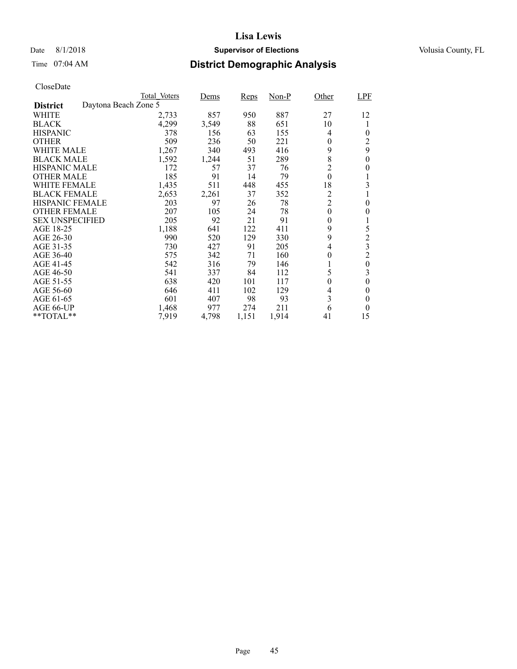### Date 8/1/2018 **Supervisor of Elections Supervisor of Elections** Volusia County, FL

# Time 07:04 AM **District Demographic Analysis**

|                        |                      | Total Voters | Dems  | Reps  | $Non-P$ | Other            | LPF              |
|------------------------|----------------------|--------------|-------|-------|---------|------------------|------------------|
| <b>District</b>        | Daytona Beach Zone 5 |              |       |       |         |                  |                  |
| WHITE                  |                      | 2,733        | 857   | 950   | 887     | 27               | 12               |
| <b>BLACK</b>           |                      | 4,299        | 3,549 | 88    | 651     | 10               | 1                |
| <b>HISPANIC</b>        |                      | 378          | 156   | 63    | 155     | $\overline{4}$   | $\theta$         |
| <b>OTHER</b>           |                      | 509          | 236   | 50    | 221     | $\theta$         | 2                |
| WHITE MALE             |                      | 1,267        | 340   | 493   | 416     | 9                | 9                |
| <b>BLACK MALE</b>      |                      | 1,592        | 1,244 | 51    | 289     | 8                | $\theta$         |
| <b>HISPANIC MALE</b>   |                      | 172          | 57    | 37    | 76      | $\overline{c}$   | 0                |
| <b>OTHER MALE</b>      |                      | 185          | 91    | 14    | 79      | $\boldsymbol{0}$ | 1                |
| WHITE FEMALE           |                      | 1,435        | 511   | 448   | 455     | 18               | 3                |
| <b>BLACK FEMALE</b>    |                      | 2,653        | 2,261 | 37    | 352     | $\overline{c}$   |                  |
| HISPANIC FEMALE        |                      | 203          | 97    | 26    | 78      | $\overline{c}$   | $\theta$         |
| <b>OTHER FEMALE</b>    |                      | 207          | 105   | 24    | 78      | $\boldsymbol{0}$ | $\theta$         |
| <b>SEX UNSPECIFIED</b> |                      | 205          | 92    | 21    | 91      | $\boldsymbol{0}$ | 1                |
| AGE 18-25              |                      | 1,188        | 641   | 122   | 411     | 9                | 5                |
| AGE 26-30              |                      | 990          | 520   | 129   | 330     | 9                | $\overline{c}$   |
| AGE 31-35              |                      | 730          | 427   | 91    | 205     | 4                | 3                |
| AGE 36-40              |                      | 575          | 342   | 71    | 160     | $\theta$         | $\overline{c}$   |
| AGE 41-45              |                      | 542          | 316   | 79    | 146     |                  | $\boldsymbol{0}$ |
| AGE 46-50              |                      | 541          | 337   | 84    | 112     | 5                | 3                |
| AGE 51-55              |                      | 638          | 420   | 101   | 117     | $\boldsymbol{0}$ | $\theta$         |
| AGE 56-60              |                      | 646          | 411   | 102   | 129     | 4                | 0                |
| AGE 61-65              |                      | 601          | 407   | 98    | 93      | 3                | $\theta$         |
| AGE 66-UP              |                      | 1,468        | 977   | 274   | 211     | 6                | $\Omega$         |
| **TOTAL**              |                      | 7,919        | 4,798 | 1,151 | 1,914   | 41               | 15               |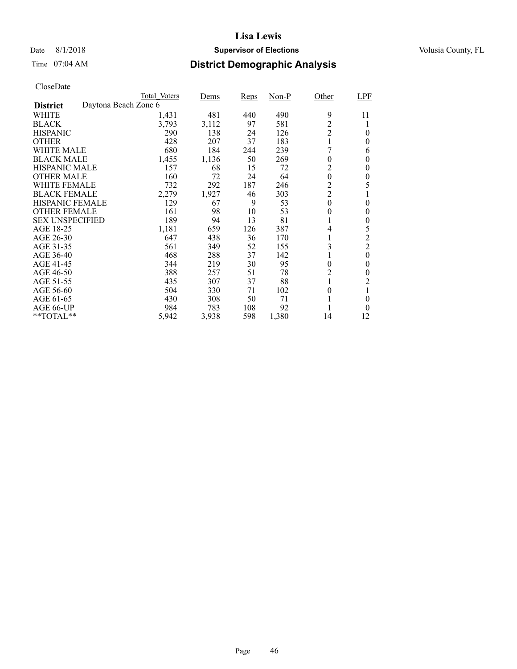### Date 8/1/2018 **Supervisor of Elections Supervisor of Elections** Volusia County, FL

# Time 07:04 AM **District Demographic Analysis**

|                        |                      | Total Voters | Dems  | Reps | Non-P | Other            | LPF            |
|------------------------|----------------------|--------------|-------|------|-------|------------------|----------------|
| <b>District</b>        | Daytona Beach Zone 6 |              |       |      |       |                  |                |
| WHITE                  |                      | 1,431        | 481   | 440  | 490   | 9                | 11             |
| <b>BLACK</b>           |                      | 3,793        | 3,112 | 97   | 581   | $\overline{c}$   |                |
| <b>HISPANIC</b>        |                      | 290          | 138   | 24   | 126   | $\overline{2}$   | $\theta$       |
| <b>OTHER</b>           |                      | 428          | 207   | 37   | 183   |                  | $\theta$       |
| WHITE MALE             |                      | 680          | 184   | 244  | 239   | 7                | 6              |
| <b>BLACK MALE</b>      |                      | 1,455        | 1,136 | 50   | 269   | 0                | $\theta$       |
| <b>HISPANIC MALE</b>   |                      | 157          | 68    | 15   | 72    | 2                | $\theta$       |
| <b>OTHER MALE</b>      |                      | 160          | 72    | 24   | 64    | $\boldsymbol{0}$ | $\theta$       |
| WHITE FEMALE           |                      | 732          | 292   | 187  | 246   | $\overline{c}$   | 5              |
| <b>BLACK FEMALE</b>    |                      | 2,279        | 1,927 | 46   | 303   | $\overline{c}$   |                |
| <b>HISPANIC FEMALE</b> |                      | 129          | 67    | 9    | 53    | $\theta$         | $\theta$       |
| <b>OTHER FEMALE</b>    |                      | 161          | 98    | 10   | 53    | $\theta$         | $\theta$       |
| <b>SEX UNSPECIFIED</b> |                      | 189          | 94    | 13   | 81    |                  | $\theta$       |
| AGE 18-25              |                      | 1,181        | 659   | 126  | 387   | 4                | 5              |
| AGE 26-30              |                      | 647          | 438   | 36   | 170   |                  | $\overline{c}$ |
| AGE 31-35              |                      | 561          | 349   | 52   | 155   | 3                | $\overline{2}$ |
| AGE 36-40              |                      | 468          | 288   | 37   | 142   |                  | $\theta$       |
| AGE 41-45              |                      | 344          | 219   | 30   | 95    | 0                | 0              |
| AGE 46-50              |                      | 388          | 257   | 51   | 78    | 2                | $\theta$       |
| AGE 51-55              |                      | 435          | 307   | 37   | 88    |                  | 2              |
| AGE 56-60              |                      | 504          | 330   | 71   | 102   | 0                |                |
| AGE 61-65              |                      | 430          | 308   | 50   | 71    |                  | $\theta$       |
| AGE 66-UP              |                      | 984          | 783   | 108  | 92    |                  | 0              |
| **TOTAL**              |                      | 5,942        | 3,938 | 598  | 1,380 | 14               | 12             |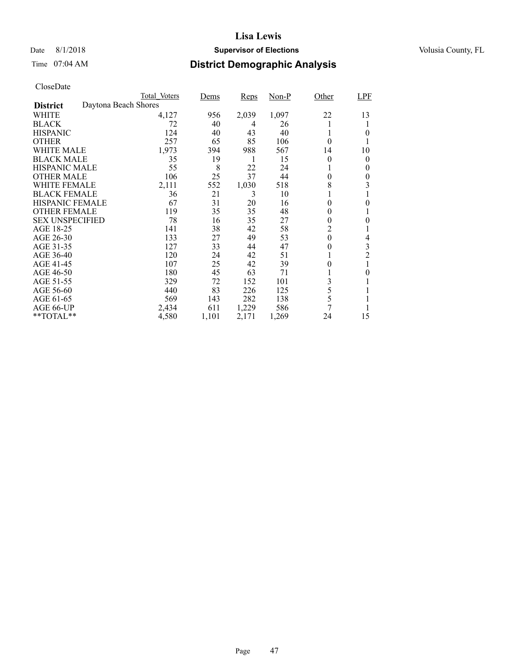## Date 8/1/2018 **Supervisor of Elections Supervisor of Elections** Volusia County, FL

# Time 07:04 AM **District Demographic Analysis**

|                        |                      | Total Voters | Dems  | <b>Reps</b> | $Non-P$ | Other            | LPF            |
|------------------------|----------------------|--------------|-------|-------------|---------|------------------|----------------|
| <b>District</b>        | Daytona Beach Shores |              |       |             |         |                  |                |
| WHITE                  |                      | 4,127        | 956   | 2,039       | 1,097   | 22               | 13             |
| <b>BLACK</b>           |                      | 72           | 40    | 4           | 26      |                  |                |
| <b>HISPANIC</b>        |                      | 124          | 40    | 43          | 40      |                  | 0              |
| <b>OTHER</b>           |                      | 257          | 65    | 85          | 106     | $\theta$         |                |
| WHITE MALE             |                      | 1,973        | 394   | 988         | 567     | 14               | 10             |
| <b>BLACK MALE</b>      |                      | 35           | 19    | 1           | 15      | $\theta$         | 0              |
| <b>HISPANIC MALE</b>   |                      | 55           | 8     | 22          | 24      |                  | 0              |
| <b>OTHER MALE</b>      |                      | 106          | 25    | 37          | 44      | 0                | 0              |
| WHITE FEMALE           |                      | 2,111        | 552   | 1,030       | 518     | 8                | 3              |
| <b>BLACK FEMALE</b>    |                      | 36           | 21    | 3           | 10      |                  |                |
| HISPANIC FEMALE        |                      | 67           | 31    | 20          | 16      | 0                | 0              |
| <b>OTHER FEMALE</b>    |                      | 119          | 35    | 35          | 48      | $\theta$         |                |
| <b>SEX UNSPECIFIED</b> |                      | 78           | 16    | 35          | 27      | $\theta$         | 0              |
| AGE 18-25              |                      | 141          | 38    | 42          | 58      | 2                |                |
| AGE 26-30              |                      | 133          | 27    | 49          | 53      | $\boldsymbol{0}$ | 4              |
| AGE 31-35              |                      | 127          | 33    | 44          | 47      | 0                | 3              |
| AGE 36-40              |                      | 120          | 24    | 42          | 51      |                  | $\overline{c}$ |
| AGE 41-45              |                      | 107          | 25    | 42          | 39      | 0                |                |
| AGE 46-50              |                      | 180          | 45    | 63          | 71      |                  | 0              |
| AGE 51-55              |                      | 329          | 72    | 152         | 101     | 3                |                |
| AGE 56-60              |                      | 440          | 83    | 226         | 125     | 5                |                |
| AGE 61-65              |                      | 569          | 143   | 282         | 138     | 5                |                |
| AGE 66-UP              |                      | 2,434        | 611   | 1,229       | 586     | 7                |                |
| **TOTAL**              |                      | 4,580        | 1,101 | 2,171       | 1,269   | 24               | 15             |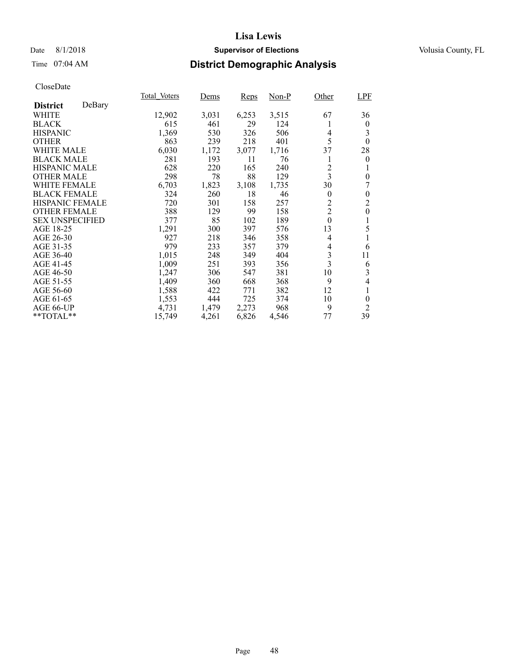### Date 8/1/2018 **Supervisor of Elections Supervisor of Elections** Volusia County, FL

### Time 07:04 AM **District Demographic Analysis**

|                           | Total Voters | Dems  | <b>Reps</b> | Non-P | Other                   | <b>LPF</b>     |
|---------------------------|--------------|-------|-------------|-------|-------------------------|----------------|
| DeBary<br><b>District</b> |              |       |             |       |                         |                |
| WHITE                     | 12,902       | 3,031 | 6,253       | 3,515 | 67                      | 36             |
| <b>BLACK</b>              | 615          | 461   | 29          | 124   |                         | $\overline{0}$ |
| <b>HISPANIC</b>           | 1,369        | 530   | 326         | 506   | 4                       | 3              |
| <b>OTHER</b>              | 863          | 239   | 218         | 401   | 5                       | $\theta$       |
| WHITE MALE                | 6,030        | 1,172 | 3,077       | 1,716 | 37                      | 28             |
| <b>BLACK MALE</b>         | 281          | 193   | 11          | 76    | 1                       | $\overline{0}$ |
| <b>HISPANIC MALE</b>      | 628          | 220   | 165         | 240   | 2                       | 1              |
| <b>OTHER MALE</b>         | 298          | 78    | 88          | 129   | $\overline{\mathbf{3}}$ | $\overline{0}$ |
| <b>WHITE FEMALE</b>       | 6,703        | 1,823 | 3,108       | 1,735 | 30                      | 7              |
| <b>BLACK FEMALE</b>       | 324          | 260   | 18          | 46    | $\theta$                | $\theta$       |
| HISPANIC FEMALE           | 720          | 301   | 158         | 257   | $\overline{2}$          | $\overline{2}$ |
| <b>OTHER FEMALE</b>       | 388          | 129   | 99          | 158   | $\overline{2}$          | $\mathbf{0}$   |
| <b>SEX UNSPECIFIED</b>    | 377          | 85    | 102         | 189   | $\boldsymbol{0}$        | 1              |
| AGE 18-25                 | 1,291        | 300   | 397         | 576   | 13                      | 5              |
| AGE 26-30                 | 927          | 218   | 346         | 358   | $\overline{4}$          |                |
| AGE 31-35                 | 979          | 233   | 357         | 379   | 4                       | 6              |
| AGE 36-40                 | 1.015        | 248   | 349         | 404   | $\mathfrak{Z}$          | 11             |
| AGE 41-45                 | 1,009        | 251   | 393         | 356   | $\overline{3}$          | 6              |
| AGE 46-50                 | 1,247        | 306   | 547         | 381   | 10                      | 3              |
| AGE 51-55                 | 1,409        | 360   | 668         | 368   | 9                       | 4              |
| AGE 56-60                 | 1,588        | 422   | 771         | 382   | 12                      | 1              |
| AGE 61-65                 | 1,553        | 444   | 725         | 374   | 10                      | $\theta$       |
| AGE 66-UP                 | 4,731        | 1,479 | 2,273       | 968   | 9                       | 2              |
| **TOTAL**                 | 15,749       | 4,261 | 6,826       | 4,546 | 77                      | 39             |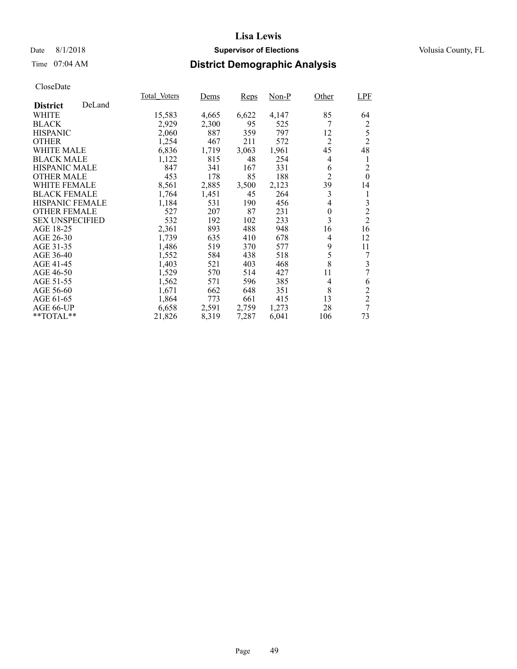### Date 8/1/2018 **Supervisor of Elections Supervisor of Elections** Volusia County, FL

# Time 07:04 AM **District Demographic Analysis**

|                        |        | Total Voters | Dems  | <b>Reps</b> | Non-P | Other          | <b>LPF</b>     |
|------------------------|--------|--------------|-------|-------------|-------|----------------|----------------|
| <b>District</b>        | DeLand |              |       |             |       |                |                |
| WHITE                  |        | 15,583       | 4,665 | 6,622       | 4,147 | 85             | 64             |
| <b>BLACK</b>           |        | 2,929        | 2,300 | 95          | 525   | 7              | $\overline{c}$ |
| <b>HISPANIC</b>        |        | 2,060        | 887   | 359         | 797   | 12             | 5              |
| <b>OTHER</b>           |        | 1,254        | 467   | 211         | 572   | $\overline{2}$ | $\overline{2}$ |
| <b>WHITE MALE</b>      |        | 6,836        | 1,719 | 3,063       | 1,961 | 45             | 48             |
| <b>BLACK MALE</b>      |        | 1,122        | 815   | 48          | 254   | 4              | 1              |
| <b>HISPANIC MALE</b>   |        | 847          | 341   | 167         | 331   | 6              | $\overline{c}$ |
| <b>OTHER MALE</b>      |        | 453          | 178   | 85          | 188   | $\overline{2}$ | $\theta$       |
| <b>WHITE FEMALE</b>    |        | 8,561        | 2,885 | 3,500       | 2,123 | 39             | 14             |
| <b>BLACK FEMALE</b>    |        | 1,764        | 1,451 | 45          | 264   | 3              | 1              |
| HISPANIC FEMALE        |        | 1,184        | 531   | 190         | 456   | 4              | 3              |
| <b>OTHER FEMALE</b>    |        | 527          | 207   | 87          | 231   | $\theta$       | $\overline{c}$ |
| <b>SEX UNSPECIFIED</b> |        | 532          | 192   | 102         | 233   | 3              | $\overline{2}$ |
| AGE 18-25              |        | 2,361        | 893   | 488         | 948   | 16             | 16             |
| AGE 26-30              |        | 1,739        | 635   | 410         | 678   | $\overline{4}$ | 12             |
| AGE 31-35              |        | 1,486        | 519   | 370         | 577   | 9              | 11             |
| AGE 36-40              |        | 1,552        | 584   | 438         | 518   | 5              | 7              |
| AGE 41-45              |        | 1,403        | 521   | 403         | 468   | 8              | 3              |
| AGE 46-50              |        | 1,529        | 570   | 514         | 427   | 11             | 7              |
| AGE 51-55              |        | 1,562        | 571   | 596         | 385   | 4              | 6              |
| AGE 56-60              |        | 1,671        | 662   | 648         | 351   | 8              | $\overline{2}$ |
| AGE 61-65              |        | 1,864        | 773   | 661         | 415   | 13             | $\overline{2}$ |
| AGE 66-UP              |        | 6,658        | 2,591 | 2,759       | 1,273 | 28             | 7              |
| **TOTAL**              |        | 21,826       | 8,319 | 7,287       | 6,041 | 106            | 73             |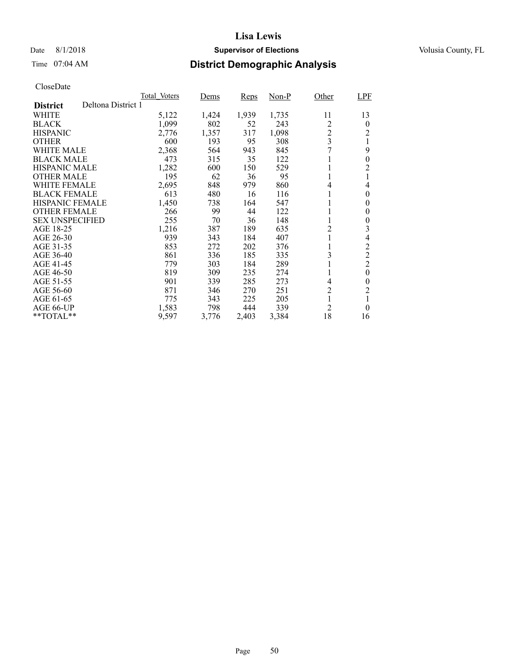### Date 8/1/2018 **Supervisor of Elections Supervisor of Elections** Volusia County, FL

# Time 07:04 AM **District Demographic Analysis**

|                        |                    | Total Voters | Dems  | Reps  | Non-P | Other          | LPF            |
|------------------------|--------------------|--------------|-------|-------|-------|----------------|----------------|
| <b>District</b>        | Deltona District 1 |              |       |       |       |                |                |
| WHITE                  |                    | 5,122        | 1,424 | 1,939 | 1,735 | 11             | 13             |
| <b>BLACK</b>           |                    | 1,099        | 802   | 52    | 243   | 2              | $\bf{0}$       |
| <b>HISPANIC</b>        |                    | 2,776        | 1,357 | 317   | 1,098 | $\overline{c}$ | $\overline{2}$ |
| <b>OTHER</b>           |                    | 600          | 193   | 95    | 308   | 3              | 1              |
| WHITE MALE             |                    | 2,368        | 564   | 943   | 845   | 7              | 9              |
| <b>BLACK MALE</b>      |                    | 473          | 315   | 35    | 122   |                | $\theta$       |
| <b>HISPANIC MALE</b>   |                    | 1,282        | 600   | 150   | 529   |                | 2              |
| <b>OTHER MALE</b>      |                    | 195          | 62    | 36    | 95    |                |                |
| WHITE FEMALE           |                    | 2,695        | 848   | 979   | 860   | 4              | $\overline{4}$ |
| <b>BLACK FEMALE</b>    |                    | 613          | 480   | 16    | 116   |                | $\theta$       |
| <b>HISPANIC FEMALE</b> |                    | 1,450        | 738   | 164   | 547   |                | $\bf{0}$       |
| <b>OTHER FEMALE</b>    |                    | 266          | 99    | 44    | 122   |                | $\theta$       |
| <b>SEX UNSPECIFIED</b> |                    | 255          | 70    | 36    | 148   |                | $\theta$       |
| AGE 18-25              |                    | 1,216        | 387   | 189   | 635   | $\overline{c}$ | 3              |
| AGE 26-30              |                    | 939          | 343   | 184   | 407   |                | $\overline{4}$ |
| AGE 31-35              |                    | 853          | 272   | 202   | 376   |                | $\overline{c}$ |
| AGE 36-40              |                    | 861          | 336   | 185   | 335   | 3              | $\overline{2}$ |
| AGE 41-45              |                    | 779          | 303   | 184   | 289   |                | $\overline{2}$ |
| AGE 46-50              |                    | 819          | 309   | 235   | 274   |                | $\theta$       |
| AGE 51-55              |                    | 901          | 339   | 285   | 273   | 4              | $\theta$       |
| AGE 56-60              |                    | 871          | 346   | 270   | 251   | $\overline{c}$ | $\overline{2}$ |
| AGE 61-65              |                    | 775          | 343   | 225   | 205   |                | 1              |
| AGE 66-UP              |                    | 1,583        | 798   | 444   | 339   | $\overline{2}$ | $\theta$       |
| $*$ *TOTAL $*$ *       |                    | 9,597        | 3,776 | 2,403 | 3,384 | 18             | 16             |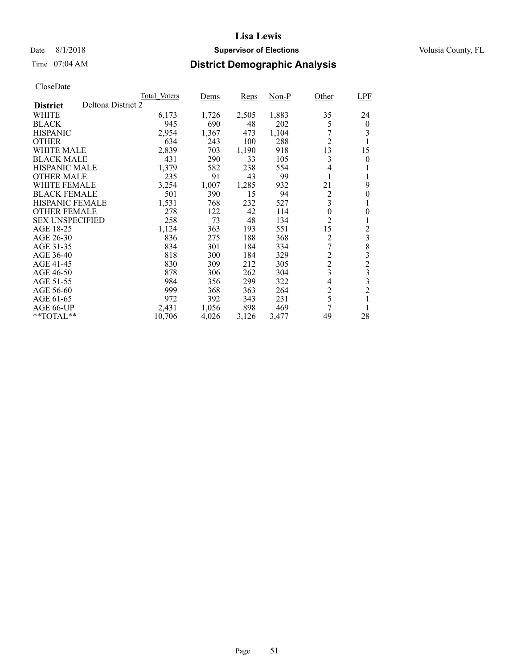### Date 8/1/2018 **Supervisor of Elections Supervisor of Elections** Volusia County, FL

# Time 07:04 AM **District Demographic Analysis**

|                        |                    | Total Voters | Dems  | <b>Reps</b> | Non-P | Other          | <b>LPF</b>     |
|------------------------|--------------------|--------------|-------|-------------|-------|----------------|----------------|
| <b>District</b>        | Deltona District 2 |              |       |             |       |                |                |
| WHITE                  |                    | 6,173        | 1,726 | 2,505       | 1,883 | 35             | 24             |
| <b>BLACK</b>           |                    | 945          | 690   | 48          | 202   | 5              | $\theta$       |
| <b>HISPANIC</b>        |                    | 2,954        | 1,367 | 473         | 1,104 |                | 3              |
| <b>OTHER</b>           |                    | 634          | 243   | 100         | 288   | $\overline{c}$ | 1              |
| WHITE MALE             |                    | 2,839        | 703   | 1,190       | 918   | 13             | 15             |
| <b>BLACK MALE</b>      |                    | 431          | 290   | 33          | 105   | 3              | 0              |
| <b>HISPANIC MALE</b>   |                    | 1,379        | 582   | 238         | 554   | 4              |                |
| <b>OTHER MALE</b>      |                    | 235          | 91    | 43          | 99    |                |                |
| WHITE FEMALE           |                    | 3,254        | 1,007 | 1,285       | 932   | 21             | 9              |
| <b>BLACK FEMALE</b>    |                    | 501          | 390   | 15          | 94    | $\frac{2}{3}$  | $\theta$       |
| <b>HISPANIC FEMALE</b> |                    | 1,531        | 768   | 232         | 527   |                | 1              |
| <b>OTHER FEMALE</b>    |                    | 278          | 122   | 42          | 114   | $\overline{0}$ | 0              |
| <b>SEX UNSPECIFIED</b> |                    | 258          | 73    | 48          | 134   | $\overline{2}$ | 1              |
| AGE 18-25              |                    | 1,124        | 363   | 193         | 551   | 15             | 2              |
| AGE 26-30              |                    | 836          | 275   | 188         | 368   | $\overline{2}$ | 3              |
| AGE 31-35              |                    | 834          | 301   | 184         | 334   | 7              | 8              |
| AGE 36-40              |                    | 818          | 300   | 184         | 329   | $\overline{c}$ | 3              |
| AGE 41-45              |                    | 830          | 309   | 212         | 305   | $\overline{c}$ | $\overline{c}$ |
| AGE 46-50              |                    | 878          | 306   | 262         | 304   | 3              | 3              |
| AGE 51-55              |                    | 984          | 356   | 299         | 322   | $\overline{4}$ | 3              |
| AGE 56-60              |                    | 999          | 368   | 363         | 264   | $\overline{c}$ | $\overline{2}$ |
| AGE 61-65              |                    | 972          | 392   | 343         | 231   | 5              | 1              |
| AGE 66-UP              |                    | 2,431        | 1,056 | 898         | 469   | 7              | 1              |
| $*$ $*$ TOTAL $*$ $*$  |                    | 10,706       | 4,026 | 3,126       | 3,477 | 49             | 28             |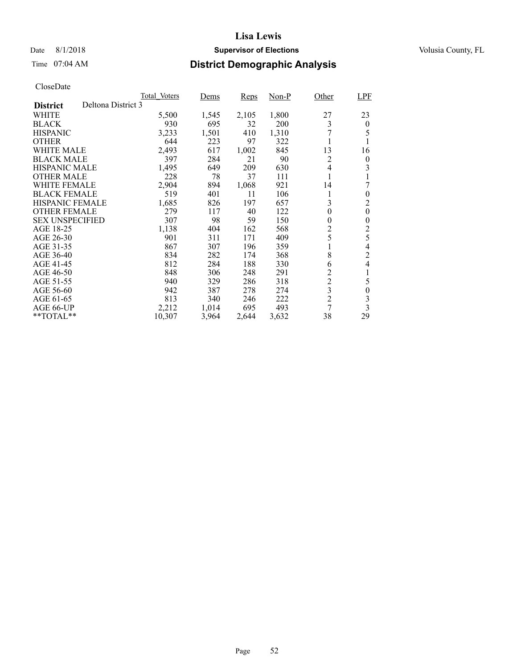### Date 8/1/2018 **Supervisor of Elections Supervisor of Elections** Volusia County, FL

# Time 07:04 AM **District Demographic Analysis**

|                        |                    | Total Voters | Dems  | Reps  | Non-P | Other          | LPF                      |
|------------------------|--------------------|--------------|-------|-------|-------|----------------|--------------------------|
| <b>District</b>        | Deltona District 3 |              |       |       |       |                |                          |
| WHITE                  |                    | 5,500        | 1,545 | 2,105 | 1,800 | 27             | 23                       |
| <b>BLACK</b>           |                    | 930          | 695   | 32    | 200   | 3              | $\boldsymbol{0}$         |
| <b>HISPANIC</b>        |                    | 3,233        | 1,501 | 410   | 1,310 | 7              | 5                        |
| <b>OTHER</b>           |                    | 644          | 223   | 97    | 322   | 1              | 1                        |
| WHITE MALE             |                    | 2,493        | 617   | 1,002 | 845   | 13             | 16                       |
| <b>BLACK MALE</b>      |                    | 397          | 284   | 21    | 90    | 2              | $\boldsymbol{0}$         |
| <b>HISPANIC MALE</b>   |                    | 1,495        | 649   | 209   | 630   | 4              | 3                        |
| <b>OTHER MALE</b>      |                    | 228          | 78    | 37    | 111   |                |                          |
| WHITE FEMALE           |                    | 2,904        | 894   | 1,068 | 921   | 14             | 7                        |
| <b>BLACK FEMALE</b>    |                    | 519          | 401   | 11    | 106   | 1              | $\theta$                 |
| <b>HISPANIC FEMALE</b> |                    | 1,685        | 826   | 197   | 657   | 3              | $\overline{c}$           |
| <b>OTHER FEMALE</b>    |                    | 279          | 117   | 40    | 122   | $\theta$       | $\boldsymbol{0}$         |
| <b>SEX UNSPECIFIED</b> |                    | 307          | 98    | 59    | 150   | $\overline{0}$ | 0                        |
| AGE 18-25              |                    | 1,138        | 404   | 162   | 568   | 2              | $\overline{c}$           |
| AGE 26-30              |                    | 901          | 311   | 171   | 409   | 5              | 5                        |
| AGE 31-35              |                    | 867          | 307   | 196   | 359   | 1              | 4                        |
| AGE 36-40              |                    | 834          | 282   | 174   | 368   | 8              | $\overline{c}$           |
| AGE 41-45              |                    | 812          | 284   | 188   | 330   | 6              | $\overline{\mathcal{L}}$ |
| AGE 46-50              |                    | 848          | 306   | 248   | 291   | $\overline{c}$ | 1                        |
| AGE 51-55              |                    | 940          | 329   | 286   | 318   | $\overline{c}$ | 5                        |
| AGE 56-60              |                    | 942          | 387   | 278   | 274   | 3              | $\boldsymbol{0}$         |
| AGE 61-65              |                    | 813          | 340   | 246   | 222   | $\overline{2}$ | 3                        |
| AGE 66-UP              |                    | 2,212        | 1,014 | 695   | 493   | 7              | 3                        |
| **TOTAL**              |                    | 10,307       | 3,964 | 2,644 | 3,632 | 38             | 29                       |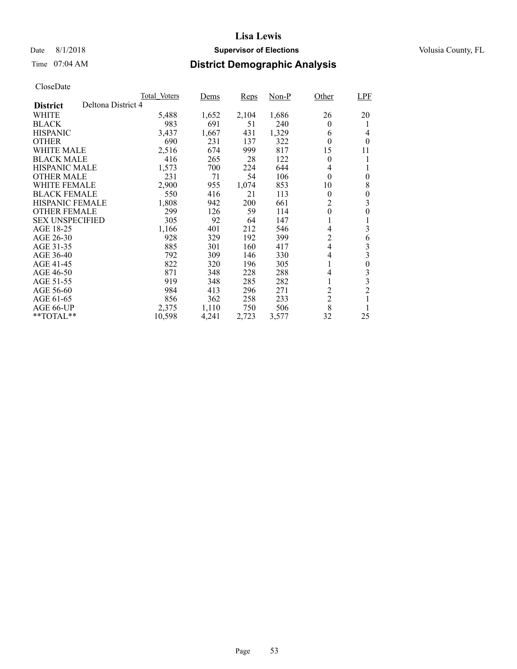### Date 8/1/2018 **Supervisor of Elections Supervisor of Elections** Volusia County, FL

# Time 07:04 AM **District Demographic Analysis**

|                        |                    | Total Voters | Dems  | Reps  | Non-P | Other            | LPF              |
|------------------------|--------------------|--------------|-------|-------|-------|------------------|------------------|
| <b>District</b>        | Deltona District 4 |              |       |       |       |                  |                  |
| WHITE                  |                    | 5,488        | 1,652 | 2,104 | 1,686 | 26               | 20               |
| <b>BLACK</b>           |                    | 983          | 691   | 51    | 240   | $\theta$         | 1                |
| <b>HISPANIC</b>        |                    | 3,437        | 1,667 | 431   | 1,329 | 6                | 4                |
| <b>OTHER</b>           |                    | 690          | 231   | 137   | 322   | $\theta$         | $\theta$         |
| <b>WHITE MALE</b>      |                    | 2,516        | 674   | 999   | 817   | 15               | 11               |
| <b>BLACK MALE</b>      |                    | 416          | 265   | 28    | 122   | $\theta$         | 1                |
| <b>HISPANIC MALE</b>   |                    | 1,573        | 700   | 224   | 644   | 4                |                  |
| <b>OTHER MALE</b>      |                    | 231          | 71    | 54    | 106   | $\theta$         | $\overline{0}$   |
| WHITE FEMALE           |                    | 2,900        | 955   | 1,074 | 853   | 10               | 8                |
| <b>BLACK FEMALE</b>    |                    | 550          | 416   | 21    | 113   | $\theta$         | $\overline{0}$   |
| <b>HISPANIC FEMALE</b> |                    | 1,808        | 942   | 200   | 661   | $\overline{c}$   | 3                |
| <b>OTHER FEMALE</b>    |                    | 299          | 126   | 59    | 114   | $\boldsymbol{0}$ | 0                |
| <b>SEX UNSPECIFIED</b> |                    | 305          | 92    | 64    | 147   | 1                | 1                |
| AGE 18-25              |                    | 1,166        | 401   | 212   | 546   | 4                | 3                |
| AGE 26-30              |                    | 928          | 329   | 192   | 399   | $\overline{c}$   | 6                |
| AGE 31-35              |                    | 885          | 301   | 160   | 417   | $\overline{4}$   | 3                |
| AGE 36-40              |                    | 792          | 309   | 146   | 330   | 4                | 3                |
| AGE 41-45              |                    | 822          | 320   | 196   | 305   | 1                | $\boldsymbol{0}$ |
| AGE 46-50              |                    | 871          | 348   | 228   | 288   | 4                | 3                |
| AGE 51-55              |                    | 919          | 348   | 285   | 282   | 1                | 3                |
| AGE 56-60              |                    | 984          | 413   | 296   | 271   | $\overline{c}$   | $\overline{2}$   |
| AGE 61-65              |                    | 856          | 362   | 258   | 233   | $\overline{2}$   | 1                |
| AGE 66-UP              |                    | 2,375        | 1,110 | 750   | 506   | 8                |                  |
| **TOTAL**              |                    | 10,598       | 4,241 | 2,723 | 3,577 | 32               | 25               |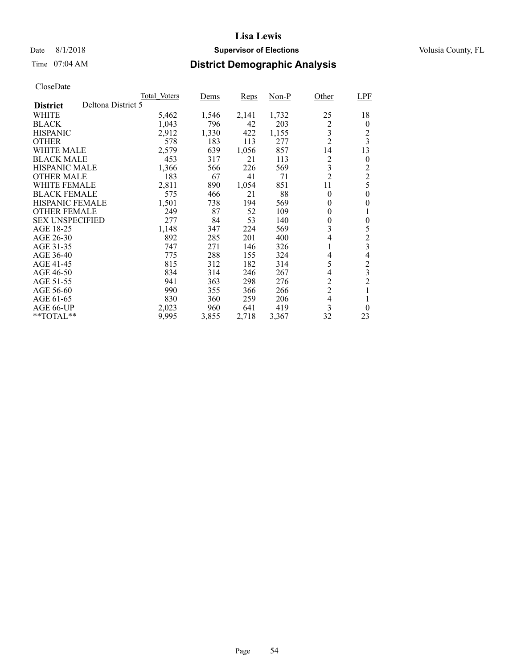### Date 8/1/2018 **Supervisor of Elections Supervisor of Elections** Volusia County, FL

# Time 07:04 AM **District Demographic Analysis**

|                        |                    | Total Voters | Dems  | <b>Reps</b> | Non-P | Other          | <b>LPF</b>              |
|------------------------|--------------------|--------------|-------|-------------|-------|----------------|-------------------------|
| <b>District</b>        | Deltona District 5 |              |       |             |       |                |                         |
| WHITE                  |                    | 5,462        | 1,546 | 2,141       | 1,732 | 25             | 18                      |
| <b>BLACK</b>           |                    | 1,043        | 796   | 42          | 203   | 2              | $\theta$                |
| <b>HISPANIC</b>        |                    | 2,912        | 1,330 | 422         | 1,155 | 3              | $\overline{c}$          |
| <b>OTHER</b>           |                    | 578          | 183   | 113         | 277   | $\overline{2}$ | $\overline{\mathbf{3}}$ |
| WHITE MALE             |                    | 2,579        | 639   | 1,056       | 857   | 14             | 13                      |
| <b>BLACK MALE</b>      |                    | 453          | 317   | 21          | 113   | 2              | $\boldsymbol{0}$        |
| <b>HISPANIC MALE</b>   |                    | 1,366        | 566   | 226         | 569   | 3              | $\overline{c}$          |
| <b>OTHER MALE</b>      |                    | 183          | 67    | 41          | 71    | $\overline{2}$ | $\overline{2}$          |
| WHITE FEMALE           |                    | 2,811        | 890   | 1,054       | 851   | 11             | 5                       |
| <b>BLACK FEMALE</b>    |                    | 575          | 466   | 21          | 88    | $\theta$       | $\theta$                |
| <b>HISPANIC FEMALE</b> |                    | 1,501        | 738   | 194         | 569   | $\theta$       | $\theta$                |
| <b>OTHER FEMALE</b>    |                    | 249          | 87    | 52          | 109   | $\theta$       | 1                       |
| <b>SEX UNSPECIFIED</b> |                    | 277          | 84    | 53          | 140   | $\overline{0}$ | $\overline{0}$          |
| AGE 18-25              |                    | 1,148        | 347   | 224         | 569   | 3              | 5                       |
| AGE 26-30              |                    | 892          | 285   | 201         | 400   | 4              | $\overline{c}$          |
| AGE 31-35              |                    | 747          | 271   | 146         | 326   | 1              | 3                       |
| AGE 36-40              |                    | 775          | 288   | 155         | 324   | 4              | 4                       |
| AGE 41-45              |                    | 815          | 312   | 182         | 314   | 5              | $\overline{c}$          |
| AGE 46-50              |                    | 834          | 314   | 246         | 267   | 4              | 3                       |
| AGE 51-55              |                    | 941          | 363   | 298         | 276   | $\overline{c}$ | $\overline{2}$          |
| AGE 56-60              |                    | 990          | 355   | 366         | 266   | $\overline{2}$ | 1                       |
| AGE 61-65              |                    | 830          | 360   | 259         | 206   | 4              |                         |
| AGE 66-UP              |                    | 2,023        | 960   | 641         | 419   | 3              | $\theta$                |
| $*$ $*$ TOTAL $*$ $*$  |                    | 9,995        | 3,855 | 2,718       | 3,367 | 32             | 23                      |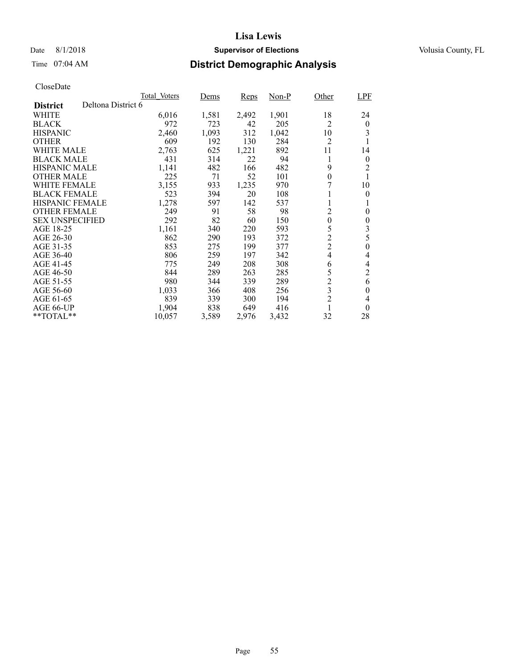### Date 8/1/2018 **Supervisor of Elections Supervisor of Elections** Volusia County, FL

### Time 07:04 AM **District Demographic Analysis**

|                                       | Total Voters | Dems  | <b>Reps</b> | $Non-P$ | Other          | <b>LPF</b>     |
|---------------------------------------|--------------|-------|-------------|---------|----------------|----------------|
| Deltona District 6<br><b>District</b> |              |       |             |         |                |                |
| WHITE                                 | 6,016        | 1,581 | 2,492       | 1,901   | 18             | 24             |
| <b>BLACK</b>                          | 972          | 723   | 42          | 205     | 2              | $\theta$       |
| <b>HISPANIC</b>                       | 2,460        | 1,093 | 312         | 1,042   | 10             | 3              |
| <b>OTHER</b>                          | 609          | 192   | 130         | 284     | 2              | 1              |
| WHITE MALE                            | 2,763        | 625   | 1,221       | 892     | 11             | 14             |
| <b>BLACK MALE</b>                     | 431          | 314   | 22          | 94      | 1              | $\theta$       |
| <b>HISPANIC MALE</b>                  | 1,141        | 482   | 166         | 482     | 9              | 2              |
| <b>OTHER MALE</b>                     | 225          | 71    | 52          | 101     | $\overline{0}$ |                |
| WHITE FEMALE                          | 3,155        | 933   | 1,235       | 970     |                | 10             |
| <b>BLACK FEMALE</b>                   | 523          | 394   | 20          | 108     |                | $\theta$       |
| <b>HISPANIC FEMALE</b>                | 1,278        | 597   | 142         | 537     | 1              | 1              |
| <b>OTHER FEMALE</b>                   | 249          | 91    | 58          | 98      | $\overline{c}$ | $\theta$       |
| <b>SEX UNSPECIFIED</b>                | 292          | 82    | 60          | 150     | $\mathbf{0}$   | $\theta$       |
| AGE 18-25                             | 1,161        | 340   | 220         | 593     | 5              | 3              |
| AGE 26-30                             | 862          | 290   | 193         | 372     | $\overline{c}$ | 5              |
| AGE 31-35                             | 853          | 275   | 199         | 377     | $\overline{2}$ | 0              |
| AGE 36-40                             | 806          | 259   | 197         | 342     | $\overline{4}$ | 4              |
| AGE 41-45                             | 775          | 249   | 208         | 308     | 6              | 4              |
| AGE 46-50                             | 844          | 289   | 263         | 285     | 5              | $\overline{2}$ |
| AGE 51-55                             | 980          | 344   | 339         | 289     | $\overline{c}$ | 6              |
| AGE 56-60                             | 1,033        | 366   | 408         | 256     | 3              | 0              |
| AGE 61-65                             | 839          | 339   | 300         | 194     | $\overline{2}$ | 4              |
| AGE 66-UP                             | 1,904        | 838   | 649         | 416     | 1              | $\theta$       |
| $*$ $*$ TOTAL $*$ $*$                 | 10,057       | 3,589 | 2,976       | 3,432   | 32             | 28             |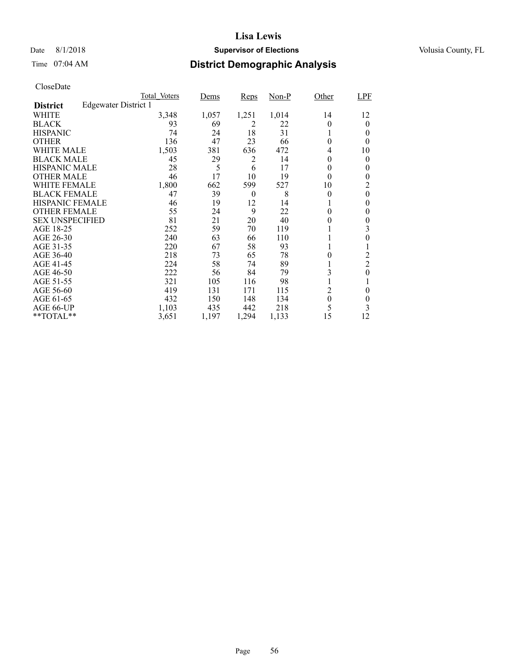### Date 8/1/2018 **Supervisor of Elections Supervisor of Elections** Volusia County, FL

# Time 07:04 AM **District Demographic Analysis**

|                        |                      | Total Voters | Dems  | <b>Reps</b>    | $Non-P$ | Other          | <b>LPF</b>     |
|------------------------|----------------------|--------------|-------|----------------|---------|----------------|----------------|
| <b>District</b>        | Edgewater District 1 |              |       |                |         |                |                |
| WHITE                  |                      | 3,348        | 1,057 | 1,251          | 1,014   | 14             | 12             |
| <b>BLACK</b>           |                      | 93           | 69    | $\overline{2}$ | 22      | $\Omega$       | 0              |
| <b>HISPANIC</b>        |                      | 74           | 24    | 18             | 31      | 1              | 0              |
| <b>OTHER</b>           |                      | 136          | 47    | 23             | 66      | $\Omega$       | 0              |
| WHITE MALE             |                      | 1,503        | 381   | 636            | 472     | 4              | 10             |
| <b>BLACK MALE</b>      |                      | 45           | 29    | 2              | 14      | 0              | 0              |
| <b>HISPANIC MALE</b>   |                      | 28           | 5     | 6              | 17      | 0              | 0              |
| <b>OTHER MALE</b>      |                      | 46           | 17    | 10             | 19      | $\theta$       | 0              |
| WHITE FEMALE           |                      | 1,800        | 662   | 599            | 527     | 10             | 2              |
| <b>BLACK FEMALE</b>    |                      | 47           | 39    | $\theta$       | 8       | 0              | $\theta$       |
| <b>HISPANIC FEMALE</b> |                      | 46           | 19    | 12             | 14      |                | 0              |
| <b>OTHER FEMALE</b>    |                      | 55           | 24    | 9              | 22      | 0              | $\theta$       |
| <b>SEX UNSPECIFIED</b> |                      | 81           | 21    | 20             | 40      | 0              | $\theta$       |
| AGE 18-25              |                      | 252          | 59    | 70             | 119     |                | 3              |
| AGE 26-30              |                      | 240          | 63    | 66             | 110     |                | 0              |
| AGE 31-35              |                      | 220          | 67    | 58             | 93      |                |                |
| AGE 36-40              |                      | 218          | 73    | 65             | 78      | 0              | $\overline{c}$ |
| AGE 41-45              |                      | 224          | 58    | 74             | 89      |                | $\overline{2}$ |
| AGE 46-50              |                      | 222          | 56    | 84             | 79      | 3              | $\theta$       |
| AGE 51-55              |                      | 321          | 105   | 116            | 98      | 1              |                |
| AGE 56-60              |                      | 419          | 131   | 171            | 115     | $\overline{c}$ | 0              |
| AGE 61-65              |                      | 432          | 150   | 148            | 134     | $\theta$       | 0              |
| AGE 66-UP              |                      | 1,103        | 435   | 442            | 218     | 5              | 3              |
| **TOTAL**              |                      | 3,651        | 1,197 | 1,294          | 1,133   | 15             | 12             |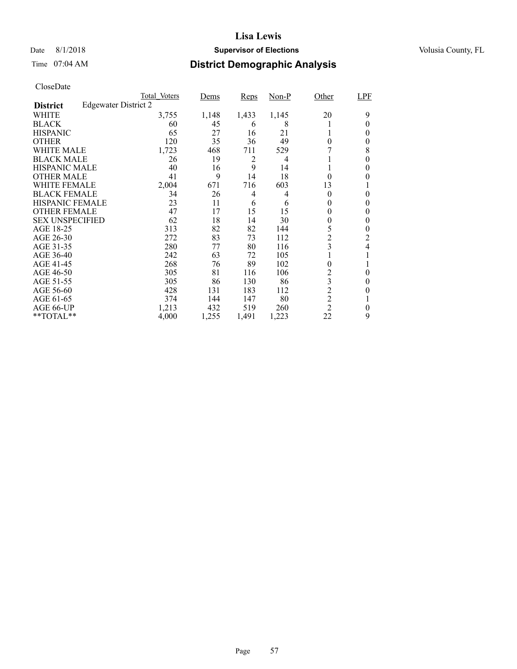### Date 8/1/2018 **Supervisor of Elections Supervisor of Elections** Volusia County, FL

# Time 07:04 AM **District Demographic Analysis**

|                        |                             | Total Voters | <u>Dems</u> | Reps  | $Non-P$ | Other          | LPF      |
|------------------------|-----------------------------|--------------|-------------|-------|---------|----------------|----------|
| <b>District</b>        | <b>Edgewater District 2</b> |              |             |       |         |                |          |
| WHITE                  |                             | 3,755        | 1,148       | 1,433 | 1,145   | 20             | 9        |
| <b>BLACK</b>           |                             | 60           | 45          | 6     | 8       |                | 0        |
| <b>HISPANIC</b>        |                             | 65           | 27          | 16    | 21      |                | 0        |
| <b>OTHER</b>           |                             | 120          | 35          | 36    | 49      | $\theta$       | 0        |
| WHITE MALE             |                             | 1,723        | 468         | 711   | 529     |                | 8        |
| <b>BLACK MALE</b>      |                             | 26           | 19          | 2     | 4       |                | 0        |
| <b>HISPANIC MALE</b>   |                             | 40           | 16          | 9     | 14      |                | 0        |
| <b>OTHER MALE</b>      |                             | 41           | 9           | 14    | 18      | $\theta$       | 0        |
| WHITE FEMALE           |                             | 2,004        | 671         | 716   | 603     | 13             |          |
| <b>BLACK FEMALE</b>    |                             | 34           | 26          | 4     | 4       | $\theta$       | 0        |
| <b>HISPANIC FEMALE</b> |                             | 23           | 11          | 6     | 6       | 0              | 0        |
| <b>OTHER FEMALE</b>    |                             | 47           | 17          | 15    | 15      | 0              | 0        |
| <b>SEX UNSPECIFIED</b> |                             | 62           | 18          | 14    | 30      | $\theta$       | 0        |
| AGE 18-25              |                             | 313          | 82          | 82    | 144     | 5              | 0        |
| AGE 26-30              |                             | 272          | 83          | 73    | 112     | $\overline{c}$ | 2        |
| AGE 31-35              |                             | 280          | 77          | 80    | 116     | 3              | 4        |
| AGE 36-40              |                             | 242          | 63          | 72    | 105     |                |          |
| AGE 41-45              |                             | 268          | 76          | 89    | 102     | 0              |          |
| AGE 46-50              |                             | 305          | 81          | 116   | 106     | 2              | $\theta$ |
| AGE 51-55              |                             | 305          | 86          | 130   | 86      | 3              | 0        |
| AGE 56-60              |                             | 428          | 131         | 183   | 112     | $\overline{2}$ | 0        |
| AGE 61-65              |                             | 374          | 144         | 147   | 80      | $\overline{c}$ |          |
| AGE 66-UP              |                             | 1,213        | 432         | 519   | 260     | $\overline{2}$ | 0        |
| **TOTAL**              |                             | 4,000        | 1,255       | 1,491 | 1,223   | 22             | 9        |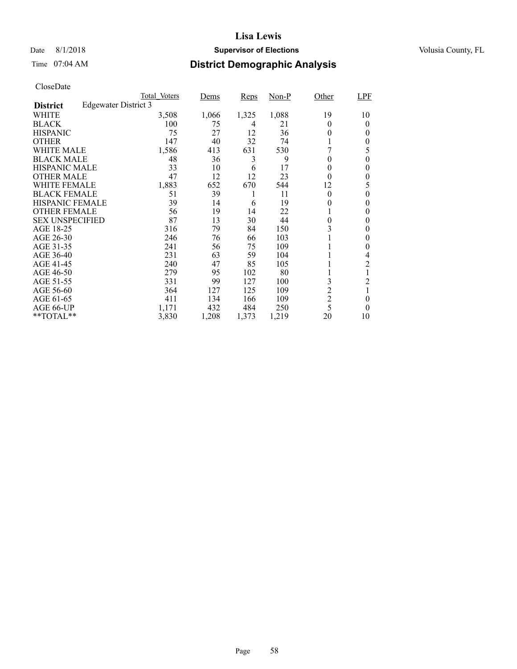### Date 8/1/2018 **Supervisor of Elections Supervisor of Elections** Volusia County, FL

# Time 07:04 AM **District Demographic Analysis**

|                        |                      | Total Voters | <u>Dems</u> | Reps  | $Non-P$ | Other          | LPF            |
|------------------------|----------------------|--------------|-------------|-------|---------|----------------|----------------|
| <b>District</b>        | Edgewater District 3 |              |             |       |         |                |                |
| WHITE                  |                      | 3,508        | 1,066       | 1,325 | 1,088   | 19             | 10             |
| <b>BLACK</b>           |                      | 100          | 75          | 4     | 21      | 0              | 0              |
| <b>HISPANIC</b>        |                      | 75           | 27          | 12    | 36      | $\theta$       | 0              |
| <b>OTHER</b>           |                      | 147          | 40          | 32    | 74      |                | 0              |
| WHITE MALE             |                      | 1,586        | 413         | 631   | 530     |                | 5              |
| <b>BLACK MALE</b>      |                      | 48           | 36          | 3     | 9       | $\theta$       | 0              |
| <b>HISPANIC MALE</b>   |                      | 33           | 10          | 6     | 17      | 0              | 0              |
| <b>OTHER MALE</b>      |                      | 47           | 12          | 12    | 23      | $\theta$       | 0              |
| WHITE FEMALE           |                      | 1,883        | 652         | 670   | 544     | 12             | 5              |
| <b>BLACK FEMALE</b>    |                      | 51           | 39          | 1     | 11      | $\theta$       | 0              |
| <b>HISPANIC FEMALE</b> |                      | 39           | 14          | 6     | 19      | 0              | 0              |
| <b>OTHER FEMALE</b>    |                      | 56           | 19          | 14    | 22      |                | 0              |
| <b>SEX UNSPECIFIED</b> |                      | 87           | 13          | 30    | 44      | $\theta$       | 0              |
| AGE 18-25              |                      | 316          | 79          | 84    | 150     | 3              | 0              |
| AGE 26-30              |                      | 246          | 76          | 66    | 103     |                | 0              |
| AGE 31-35              |                      | 241          | 56          | 75    | 109     |                | 0              |
| AGE 36-40              |                      | 231          | 63          | 59    | 104     |                | 4              |
| AGE 41-45              |                      | 240          | 47          | 85    | 105     |                | $\overline{c}$ |
| AGE 46-50              |                      | 279          | 95          | 102   | 80      |                |                |
| AGE 51-55              |                      | 331          | 99          | 127   | 100     | 3              | 2              |
| AGE 56-60              |                      | 364          | 127         | 125   | 109     | $\overline{c}$ |                |
| AGE 61-65              |                      | 411          | 134         | 166   | 109     | $\overline{2}$ | $\theta$       |
| AGE 66-UP              |                      | 1,171        | 432         | 484   | 250     | 5              | 0              |
| **TOTAL**              |                      | 3,830        | 1,208       | 1,373 | 1,219   | 20             | 10             |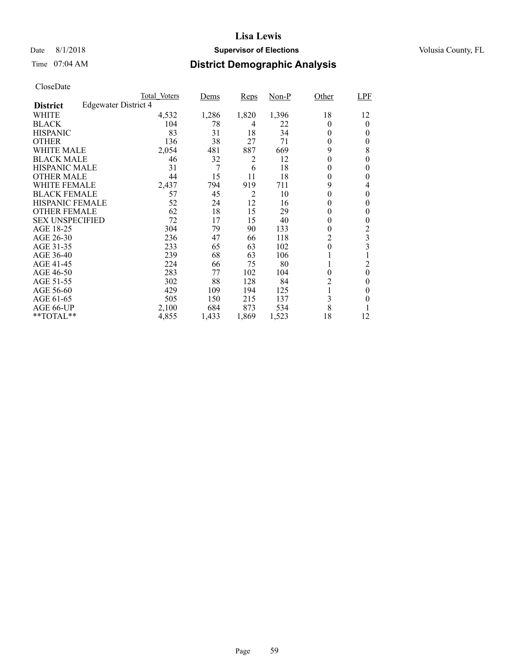### Date 8/1/2018 **Supervisor of Elections Supervisor of Elections** Volusia County, FL

# Time 07:04 AM **District Demographic Analysis**

|                        |                             | Total Voters | <u>Dems</u> | <b>Reps</b> | $Non-P$ | Other          | LPF      |
|------------------------|-----------------------------|--------------|-------------|-------------|---------|----------------|----------|
| <b>District</b>        | <b>Edgewater District 4</b> |              |             |             |         |                |          |
| WHITE                  |                             | 4,532        | 1,286       | 1,820       | 1,396   | 18             | 12       |
| <b>BLACK</b>           |                             | 104          | 78          | 4           | 22      | 0              | 0        |
| <b>HISPANIC</b>        |                             | 83           | 31          | 18          | 34      | $\theta$       | 0        |
| <b>OTHER</b>           |                             | 136          | 38          | 27          | 71      | $\theta$       | 0        |
| WHITE MALE             |                             | 2,054        | 481         | 887         | 669     | 9              | 8        |
| <b>BLACK MALE</b>      |                             | 46           | 32          | 2           | 12      | $\theta$       | 0        |
| <b>HISPANIC MALE</b>   |                             | 31           | 7           | 6           | 18      | 0              | 0        |
| <b>OTHER MALE</b>      |                             | 44           | 15          | 11          | 18      | $\theta$       | 0        |
| WHITE FEMALE           |                             | 2,437        | 794         | 919         | 711     | 9              | 4        |
| <b>BLACK FEMALE</b>    |                             | 57           | 45          | 2           | 10      | 0              | 0        |
| <b>HISPANIC FEMALE</b> |                             | 52           | 24          | 12          | 16      | 0              | 0        |
| <b>OTHER FEMALE</b>    |                             | 62           | 18          | 15          | 29      | $\theta$       | 0        |
| <b>SEX UNSPECIFIED</b> |                             | 72           | 17          | 15          | 40      | $\theta$       | 0        |
| AGE 18-25              |                             | 304          | 79          | 90          | 133     | $\theta$       | 2        |
| AGE 26-30              |                             | 236          | 47          | 66          | 118     | 2              | 3        |
| AGE 31-35              |                             | 233          | 65          | 63          | 102     | 0              | 3        |
| AGE 36-40              |                             | 239          | 68          | 63          | 106     |                |          |
| AGE 41-45              |                             | 224          | 66          | 75          | 80      |                | 2        |
| AGE 46-50              |                             | 283          | 77          | 102         | 104     | $\theta$       | $\theta$ |
| AGE 51-55              |                             | 302          | 88          | 128         | 84      | $\overline{c}$ | 0        |
| AGE 56-60              |                             | 429          | 109         | 194         | 125     |                | 0        |
| AGE 61-65              |                             | 505          | 150         | 215         | 137     | 3              | 0        |
| AGE 66-UP              |                             | 2,100        | 684         | 873         | 534     | 8              |          |
| **TOTAL**              |                             | 4,855        | 1,433       | 1,869       | 1,523   | 18             | 12       |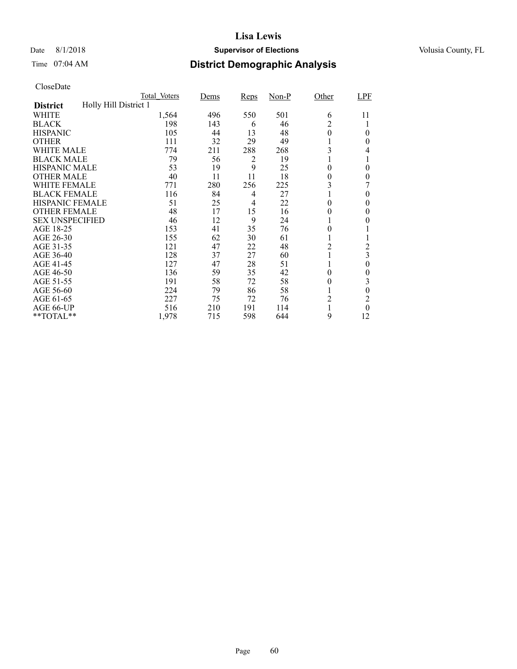## Date 8/1/2018 **Supervisor of Elections Supervisor of Elections** Volusia County, FL

# Time 07:04 AM **District Demographic Analysis**

|                        |                       | Total Voters | Dems | Reps           | $Non-P$ | Other          | LPF            |
|------------------------|-----------------------|--------------|------|----------------|---------|----------------|----------------|
| <b>District</b>        | Holly Hill District 1 |              |      |                |         |                |                |
| WHITE                  |                       | 1,564        | 496  | 550            | 501     | 6              | 11             |
| <b>BLACK</b>           |                       | 198          | 143  | 6              | 46      | $\overline{c}$ |                |
| <b>HISPANIC</b>        |                       | 105          | 44   | 13             | 48      | $\theta$       | $\theta$       |
| <b>OTHER</b>           |                       | 111          | 32   | 29             | 49      |                | $\theta$       |
| WHITE MALE             |                       | 774          | 211  | 288            | 268     | 3              | 4              |
| <b>BLACK MALE</b>      |                       | 79           | 56   | 2              | 19      |                | 1              |
| <b>HISPANIC MALE</b>   |                       | 53           | 19   | 9              | 25      | $\theta$       | $\theta$       |
| <b>OTHER MALE</b>      |                       | 40           | 11   | 11             | 18      | 0              | $\overline{0}$ |
| WHITE FEMALE           |                       | 771          | 280  | 256            | 225     | 3              |                |
| <b>BLACK FEMALE</b>    |                       | 116          | 84   | $\overline{4}$ | 27      |                | $\theta$       |
| <b>HISPANIC FEMALE</b> |                       | 51           | 25   | 4              | 22      | 0              | 0              |
| <b>OTHER FEMALE</b>    |                       | 48           | 17   | 15             | 16      | 0              | $\theta$       |
| <b>SEX UNSPECIFIED</b> |                       | 46           | 12   | 9              | 24      |                | $\theta$       |
| AGE 18-25              |                       | 153          | 41   | 35             | 76      | 0              |                |
| AGE 26-30              |                       | 155          | 62   | 30             | 61      | 1              | 1              |
| AGE 31-35              |                       | 121          | 47   | 22             | 48      | 2              | 2              |
| AGE 36-40              |                       | 128          | 37   | 27             | 60      |                | 3              |
| AGE 41-45              |                       | 127          | 47   | 28             | 51      |                | $\theta$       |
| AGE 46-50              |                       | 136          | 59   | 35             | 42      | $\theta$       | $\theta$       |
| AGE 51-55              |                       | 191          | 58   | 72             | 58      | $\theta$       | 3              |
| AGE 56-60              |                       | 224          | 79   | 86             | 58      |                | $\theta$       |
| AGE 61-65              |                       | 227          | 75   | 72             | 76      | $\overline{c}$ | $\overline{c}$ |
| AGE 66-UP              |                       | 516          | 210  | 191            | 114     |                | $\theta$       |
| **TOTAL**              |                       | 1,978        | 715  | 598            | 644     | 9              | 12             |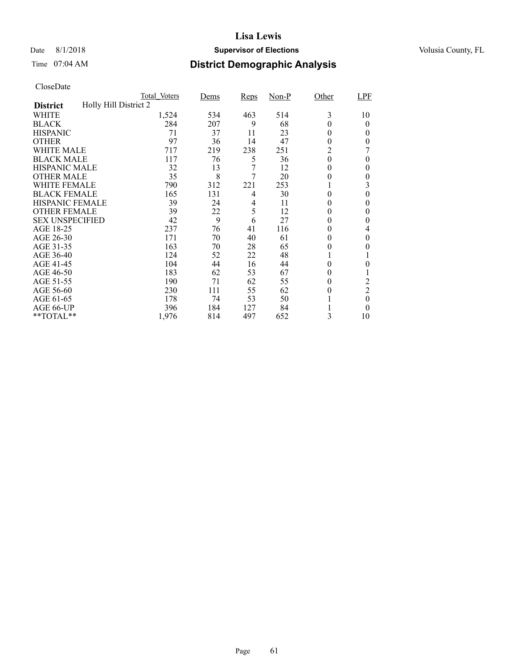### Date 8/1/2018 **Supervisor of Elections Supervisor of Elections** Volusia County, FL

# Time 07:04 AM **District Demographic Analysis**

|                        |                       | Total Voters | Dems | <b>Reps</b> | $Non-P$ | Other    | LPF            |
|------------------------|-----------------------|--------------|------|-------------|---------|----------|----------------|
| <b>District</b>        | Holly Hill District 2 |              |      |             |         |          |                |
| WHITE                  |                       | 1,524        | 534  | 463         | 514     | 3        | 10             |
| <b>BLACK</b>           |                       | 284          | 207  | 9           | 68      | 0        | $\theta$       |
| <b>HISPANIC</b>        |                       | 71           | 37   | 11          | 23      | 0        | 0              |
| <b>OTHER</b>           |                       | 97           | 36   | 14          | 47      | 0        | 0              |
| WHITE MALE             |                       | 717          | 219  | 238         | 251     | 2        |                |
| <b>BLACK MALE</b>      |                       | 117          | 76   | 5           | 36      | $\theta$ | $\theta$       |
| <b>HISPANIC MALE</b>   |                       | 32           | 13   | 7           | 12      | 0        | 0              |
| <b>OTHER MALE</b>      |                       | 35           | 8    | 7           | 20      | 0        | $\theta$       |
| WHITE FEMALE           |                       | 790          | 312  | 221         | 253     |          | 3              |
| <b>BLACK FEMALE</b>    |                       | 165          | 131  | 4           | 30      | 0        | 0              |
| <b>HISPANIC FEMALE</b> |                       | 39           | 24   | 4           | 11      | 0        | 0              |
| <b>OTHER FEMALE</b>    |                       | 39           | 22   | 5           | 12      | 0        | 0              |
| <b>SEX UNSPECIFIED</b> |                       | 42           | 9    | 6           | 27      | 0        | 0              |
| AGE 18-25              |                       | 237          | 76   | 41          | 116     | 0        | 4              |
| AGE 26-30              |                       | 171          | 70   | 40          | 61      | $\theta$ | $\theta$       |
| AGE 31-35              |                       | 163          | 70   | 28          | 65      | 0        | 0              |
| AGE 36-40              |                       | 124          | 52   | 22          | 48      |          |                |
| AGE 41-45              |                       | 104          | 44   | 16          | 44      | 0        | 0              |
| AGE 46-50              |                       | 183          | 62   | 53          | 67      | 0        |                |
| AGE 51-55              |                       | 190          | 71   | 62          | 55      | 0        | 2              |
| AGE 56-60              |                       | 230          | 111  | 55          | 62      | 0        | $\overline{2}$ |
| AGE 61-65              |                       | 178          | 74   | 53          | 50      |          | $\theta$       |
| AGE 66-UP              |                       | 396          | 184  | 127         | 84      |          | 0              |
| **TOTAL**              |                       | 1,976        | 814  | 497         | 652     | 3        | 10             |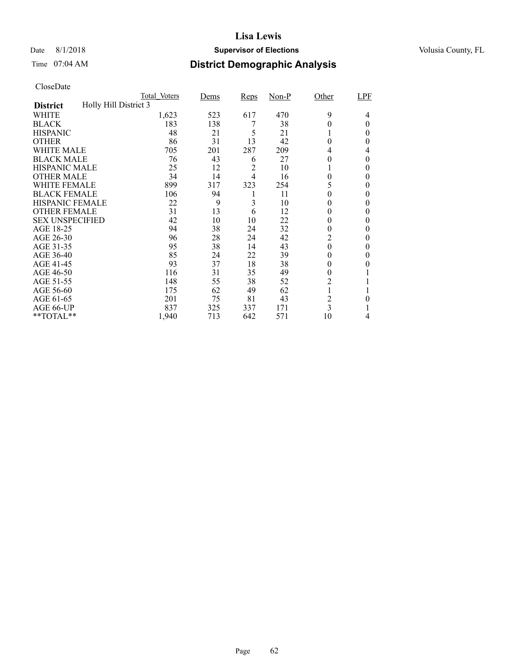### Date 8/1/2018 **Supervisor of Elections Supervisor of Elections** Volusia County, FL

# Time 07:04 AM **District Demographic Analysis**

|                        |                       | Total Voters | Dems | Reps           | $Non-P$ | Other          | LPF      |
|------------------------|-----------------------|--------------|------|----------------|---------|----------------|----------|
| <b>District</b>        | Holly Hill District 3 |              |      |                |         |                |          |
| WHITE                  |                       | 1,623        | 523  | 617            | 470     | 9              | 4        |
| <b>BLACK</b>           |                       | 183          | 138  | 7              | 38      | 0              | $\Omega$ |
| <b>HISPANIC</b>        |                       | 48           | 21   | 5              | 21      |                | 0        |
| <b>OTHER</b>           |                       | 86           | 31   | 13             | 42      | 0              | 0        |
| WHITE MALE             |                       | 705          | 201  | 287            | 209     | 4              | 4        |
| <b>BLACK MALE</b>      |                       | 76           | 43   | 6              | 27      | 0              | $\theta$ |
| <b>HISPANIC MALE</b>   |                       | 25           | 12   | 2              | 10      |                | 0        |
| <b>OTHER MALE</b>      |                       | 34           | 14   | $\overline{4}$ | 16      | $\theta$       | 0        |
| WHITE FEMALE           |                       | 899          | 317  | 323            | 254     |                | 0        |
| <b>BLACK FEMALE</b>    |                       | 106          | 94   |                | 11      | 0              | $\theta$ |
| <b>HISPANIC FEMALE</b> |                       | 22           | 9    | 3              | 10      | 0              | 0        |
| <b>OTHER FEMALE</b>    |                       | 31           | 13   | 6              | 12      | 0              | $\theta$ |
| <b>SEX UNSPECIFIED</b> |                       | 42           | 10   | 10             | 22      | 0              | $\theta$ |
| AGE 18-25              |                       | 94           | 38   | 24             | 32      | 0              | 0        |
| AGE 26-30              |                       | 96           | 28   | 24             | 42      | 2              | $\theta$ |
| AGE 31-35              |                       | 95           | 38   | 14             | 43      | 0              | 0        |
| AGE 36-40              |                       | 85           | 24   | 22             | 39      | 0              | 0        |
| AGE 41-45              |                       | 93           | 37   | 18             | 38      | 0              | 0        |
| AGE 46-50              |                       | 116          | 31   | 35             | 49      | $\theta$       |          |
| AGE 51-55              |                       | 148          | 55   | 38             | 52      | $\overline{c}$ |          |
| AGE 56-60              |                       | 175          | 62   | 49             | 62      |                |          |
| AGE 61-65              |                       | 201          | 75   | 81             | 43      | 2              | 0        |
| AGE 66-UP              |                       | 837          | 325  | 337            | 171     | 3              |          |
| **TOTAL**              |                       | 1,940        | 713  | 642            | 571     | 10             | 4        |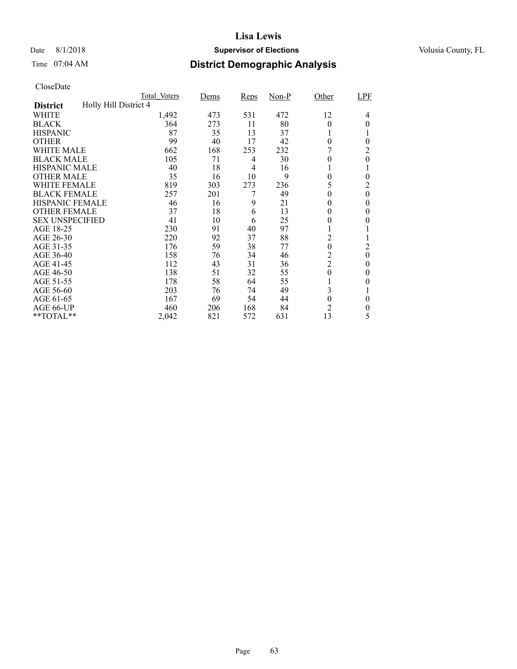### Date 8/1/2018 **Supervisor of Elections Supervisor of Elections** Volusia County, FL

# Time 07:04 AM **District Demographic Analysis**

|                        |                       | Total Voters | Dems | Reps           | $Non-P$ | Other            | LPF              |
|------------------------|-----------------------|--------------|------|----------------|---------|------------------|------------------|
| <b>District</b>        | Holly Hill District 4 |              |      |                |         |                  |                  |
| WHITE                  |                       | 1,492        | 473  | 531            | 472     | 12               | 4                |
| <b>BLACK</b>           |                       | 364          | 273  | 11             | 80      | $\theta$         | 0                |
| <b>HISPANIC</b>        |                       | 87           | 35   | 13             | 37      |                  |                  |
| <b>OTHER</b>           |                       | 99           | 40   | 17             | 42      | $\theta$         | $\theta$         |
| WHITE MALE             |                       | 662          | 168  | 253            | 232     |                  | $\overline{2}$   |
| <b>BLACK MALE</b>      |                       | 105          | 71   | 4              | 30      | $\theta$         | $\mathbf{0}$     |
| <b>HISPANIC MALE</b>   |                       | 40           | 18   | $\overline{4}$ | 16      |                  |                  |
| <b>OTHER MALE</b>      |                       | 35           | 16   | 10             | 9       | 0                | $\theta$         |
| WHITE FEMALE           |                       | 819          | 303  | 273            | 236     | 5                | $\overline{c}$   |
| <b>BLACK FEMALE</b>    |                       | 257          | 201  | 7              | 49      | 0                | $\boldsymbol{0}$ |
| <b>HISPANIC FEMALE</b> |                       | 46           | 16   | 9              | 21      | 0                | $\theta$         |
| <b>OTHER FEMALE</b>    |                       | 37           | 18   | 6              | 13      | $\theta$         | $\theta$         |
| <b>SEX UNSPECIFIED</b> |                       | 41           | 10   | 6              | 25      | 0                | $\theta$         |
| AGE 18-25              |                       | 230          | 91   | 40             | 97      |                  |                  |
| AGE 26-30              |                       | 220          | 92   | 37             | 88      | $\overline{c}$   | $\mathbf{I}$     |
| AGE 31-35              |                       | 176          | 59   | 38             | 77      | $\mathbf{0}$     | $\overline{2}$   |
| AGE 36-40              |                       | 158          | 76   | 34             | 46      | $\overline{c}$   | $\mathbf{0}$     |
| AGE 41-45              |                       | 112          | 43   | 31             | 36      | $\overline{2}$   | $\theta$         |
| AGE 46-50              |                       | 138          | 51   | 32             | 55      | $\theta$         | $\theta$         |
| AGE 51-55              |                       | 178          | 58   | 64             | 55      |                  | $\theta$         |
| AGE 56-60              |                       | 203          | 76   | 74             | 49      | 3                |                  |
| AGE 61-65              |                       | 167          | 69   | 54             | 44      | $\boldsymbol{0}$ | $\theta$         |
| AGE 66-UP              |                       | 460          | 206  | 168            | 84      | $\overline{2}$   | 0                |
| **TOTAL**              |                       | 2,042        | 821  | 572            | 631     | 13               | 5                |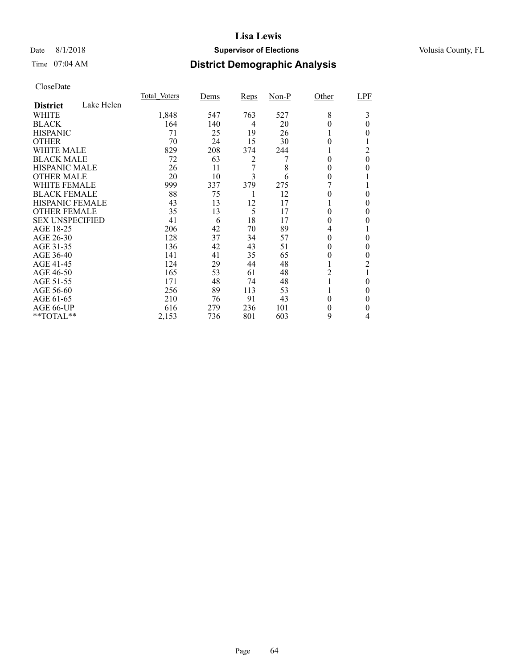### Date 8/1/2018 **Supervisor of Elections Supervisor of Elections** Volusia County, FL

# Time 07:04 AM **District Demographic Analysis**

|                        |            | <b>Total Voters</b> | Dems | Reps | Non-P | Other    | LPF      |
|------------------------|------------|---------------------|------|------|-------|----------|----------|
| <b>District</b>        | Lake Helen |                     |      |      |       |          |          |
| WHITE                  |            | 1,848               | 547  | 763  | 527   | 8        | 3        |
| <b>BLACK</b>           |            | 164                 | 140  | 4    | 20    | 0        | $\Omega$ |
| <b>HISPANIC</b>        |            | 71                  | 25   | 19   | 26    |          | 0        |
| <b>OTHER</b>           |            | 70                  | 24   | 15   | 30    | 0        |          |
| WHITE MALE             |            | 829                 | 208  | 374  | 244   |          | 2        |
| <b>BLACK MALE</b>      |            | 72                  | 63   | 2    |       | 0        | $\theta$ |
| <b>HISPANIC MALE</b>   |            | 26                  | 11   | 7    | 8     | $\theta$ | $\theta$ |
| <b>OTHER MALE</b>      |            | 20                  | 10   | 3    | 6     | 0        |          |
| WHITE FEMALE           |            | 999                 | 337  | 379  | 275   |          |          |
| <b>BLACK FEMALE</b>    |            | 88                  | 75   |      | 12    |          | 0        |
| HISPANIC FEMALE        |            | 43                  | 13   | 12   | 17    |          | 0        |
| <b>OTHER FEMALE</b>    |            | 35                  | 13   | 5    | 17    | 0        | $\theta$ |
| <b>SEX UNSPECIFIED</b> |            | 41                  | 6    | 18   | 17    | 0        | 0        |
| AGE 18-25              |            | 206                 | 42   | 70   | 89    | 4        |          |
| AGE 26-30              |            | 128                 | 37   | 34   | 57    | 0        | $\theta$ |
| AGE 31-35              |            | 136                 | 42   | 43   | 51    | 0        | 0        |
| AGE 36-40              |            | 141                 | 41   | 35   | 65    | 0        | 0        |
| AGE 41-45              |            | 124                 | 29   | 44   | 48    |          | 2        |
| AGE 46-50              |            | 165                 | 53   | 61   | 48    | 2        |          |
| AGE 51-55              |            | 171                 | 48   | 74   | 48    |          | 0        |
| AGE 56-60              |            | 256                 | 89   | 113  | 53    |          | 0        |
| AGE 61-65              |            | 210                 | 76   | 91   | 43    | $\theta$ | 0        |
| AGE 66-UP              |            | 616                 | 279  | 236  | 101   | 0        | 0        |
| **TOTAL**              |            | 2,153               | 736  | 801  | 603   | 9        | 4        |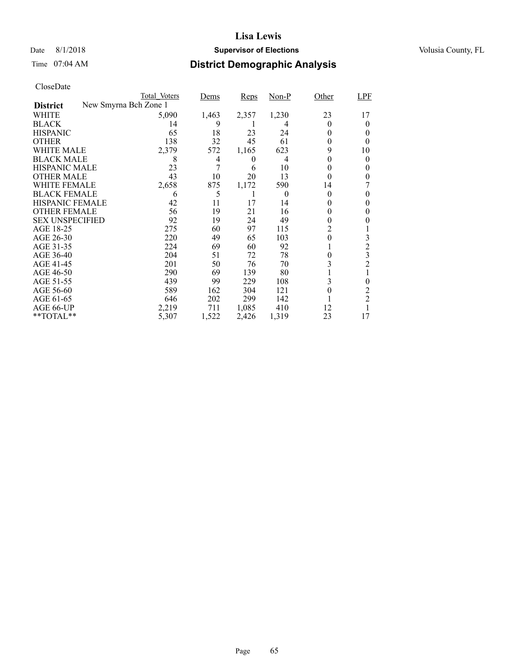### Date 8/1/2018 **Supervisor of Elections Supervisor of Elections** Volusia County, FL

# Time 07:04 AM **District Demographic Analysis**

|                        | Total Voters          |       | Dems  | <b>Reps</b> | $Non-P$ | Other    | LPF            |
|------------------------|-----------------------|-------|-------|-------------|---------|----------|----------------|
| <b>District</b>        | New Smyrna Bch Zone 1 |       |       |             |         |          |                |
| WHITE                  |                       | 5,090 | 1,463 | 2,357       | 1,230   | 23       | 17             |
| <b>BLACK</b>           |                       | 14    | 9     | 1           | 4       | 0        | 0              |
| <b>HISPANIC</b>        |                       | 65    | 18    | 23          | 24      | 0        | 0              |
| <b>OTHER</b>           |                       | 138   | 32    | 45          | 61      | 0        | $_{0}$         |
| WHITE MALE             |                       | 2,379 | 572   | 1,165       | 623     | 9        | 10             |
| <b>BLACK MALE</b>      |                       | 8     | 4     | 0           | 4       | 0        | 0              |
| <b>HISPANIC MALE</b>   |                       | 23    | 7     | 6           | 10      | 0        | 0              |
| <b>OTHER MALE</b>      |                       | 43    | 10    | 20          | 13      | 0        | 0              |
| WHITE FEMALE           |                       | 2,658 | 875   | 1,172       | 590     | 14       |                |
| <b>BLACK FEMALE</b>    |                       | 6     | 5     | 1           | 0       | 0        | 0              |
| <b>HISPANIC FEMALE</b> |                       | 42    | 11    | 17          | 14      | $\theta$ | 0              |
| <b>OTHER FEMALE</b>    |                       | 56    | 19    | 21          | 16      | $\theta$ | 0              |
| <b>SEX UNSPECIFIED</b> |                       | 92    | 19    | 24          | 49      | $^{(1)}$ |                |
| AGE 18-25              |                       | 275   | 60    | 97          | 115     | 2        |                |
| AGE 26-30              |                       | 220   | 49    | 65          | 103     | 0        | 3              |
| AGE 31-35              |                       | 224   | 69    | 60          | 92      |          | $\overline{c}$ |
| AGE 36-40              |                       | 204   | 51    | 72          | 78      | 0        | 3              |
| AGE 41-45              |                       | 201   | 50    | 76          | 70      | 3        | $\overline{c}$ |
| AGE 46-50              |                       | 290   | 69    | 139         | 80      |          |                |
| AGE 51-55              |                       | 439   | 99    | 229         | 108     | 3        | 0              |
| AGE 56-60              |                       | 589   | 162   | 304         | 121     | 0        | 2              |
| AGE 61-65              |                       | 646   | 202   | 299         | 142     |          | $\overline{2}$ |
| AGE 66-UP              |                       | 2,219 | 711   | 1,085       | 410     | 12       |                |
| $*$ $TOTAL**$          |                       | 5,307 | 1,522 | 2,426       | 1,319   | 23       | 17             |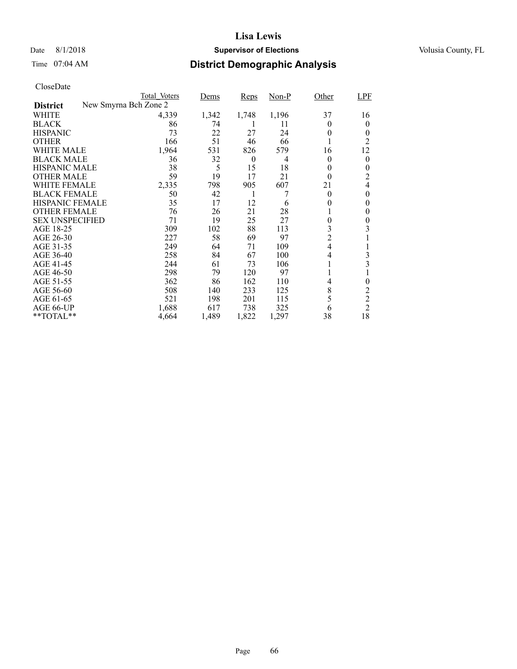### Date 8/1/2018 **Supervisor of Elections Supervisor of Elections** Volusia County, FL

# Time 07:04 AM **District Demographic Analysis**

|                        | Total Voters          | Dems  | Reps     | $Non-P$ | Other          | LPF            |
|------------------------|-----------------------|-------|----------|---------|----------------|----------------|
| <b>District</b>        | New Smyrna Bch Zone 2 |       |          |         |                |                |
| WHITE                  | 4,339                 | 1,342 | 1,748    | 1,196   | 37             | 16             |
| <b>BLACK</b>           | 86                    | 74    | 1        | 11      | $_{0}$         | 0              |
| <b>HISPANIC</b>        | 73                    | 22    | 27       | 24      | 0              | 0              |
| <b>OTHER</b>           | 166                   | 51    | 46       | 66      | 1              | 2              |
| WHITE MALE             | 1,964                 | 531   | 826      | 579     | 16             | 12             |
| <b>BLACK MALE</b>      | 36                    | 32    | $\theta$ | 4       | $\theta$       | 0              |
| <b>HISPANIC MALE</b>   | 38                    | 5     | 15       | 18      | 0              | 0              |
| <b>OTHER MALE</b>      | 59                    | 19    | 17       | 21      | $\Omega$       | 2              |
| WHITE FEMALE           | 2,335                 | 798   | 905      | 607     | 21             | 4              |
| <b>BLACK FEMALE</b>    | 50                    | 42    | 1        |         | $\theta$       | $\theta$       |
| <b>HISPANIC FEMALE</b> | 35                    | 17    | 12       | 6       | 0              | $\theta$       |
| <b>OTHER FEMALE</b>    | 76                    | 26    | 21       | 28      | 1              | 0              |
| <b>SEX UNSPECIFIED</b> | 71                    | 19    | 25       | 27      | 0              | 0              |
| AGE 18-25              | 309                   | 102   | 88       | 113     | 3              | 3              |
| AGE 26-30              | 227                   | 58    | 69       | 97      | $\overline{c}$ |                |
| AGE 31-35              | 249                   | 64    | 71       | 109     | $\overline{4}$ |                |
| AGE 36-40              | 258                   | 84    | 67       | 100     | 4              | 3              |
| AGE 41-45              | 244                   | 61    | 73       | 106     | 1              | 3              |
| AGE 46-50              | 298                   | 79    | 120      | 97      | l              |                |
| AGE 51-55              | 362                   | 86    | 162      | 110     | 4              | 0              |
| AGE 56-60              | 508                   | 140   | 233      | 125     | 8              | 2              |
| AGE 61-65              | 521                   | 198   | 201      | 115     | 5              | $\overline{c}$ |
| AGE 66-UP              | 1,688                 | 617   | 738      | 325     | 6              | $\overline{c}$ |
| **TOTAL**              | 4,664                 | 1,489 | 1,822    | 1,297   | 38             | 18             |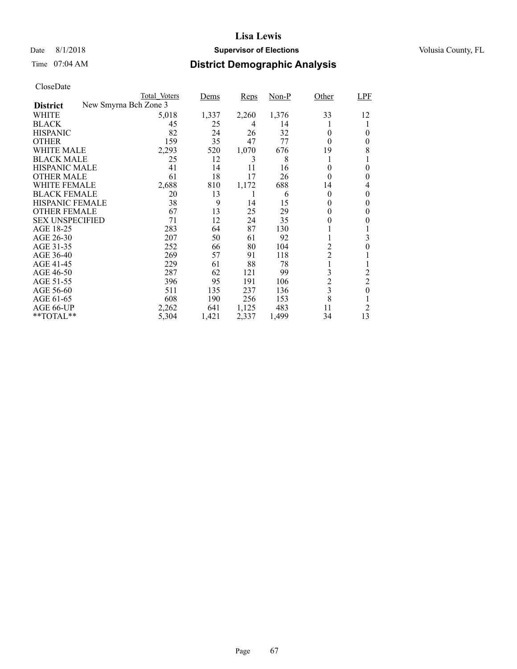### Date 8/1/2018 **Supervisor of Elections Supervisor of Elections** Volusia County, FL

# Time 07:04 AM **District Demographic Analysis**

|                        | Total Voters          | Dems  | Reps  | Non-P | Other          | LPF            |
|------------------------|-----------------------|-------|-------|-------|----------------|----------------|
| <b>District</b>        | New Smyrna Bch Zone 3 |       |       |       |                |                |
| WHITE                  | 5,018                 | 1,337 | 2,260 | 1,376 | 33             | 12             |
| <b>BLACK</b>           | 45                    | 25    | 4     | 14    |                |                |
| <b>HISPANIC</b>        | 82                    | 24    | 26    | 32    | 0              | 0              |
| <b>OTHER</b>           | 159                   | 35    | 47    | 77    | $\Omega$       | 0              |
| WHITE MALE             | 2,293                 | 520   | 1,070 | 676   | 19             | 8              |
| <b>BLACK MALE</b>      | 25                    | 12    | 3     | 8     | 1              | 1              |
| <b>HISPANIC MALE</b>   | 41                    | 14    | 11    | 16    | 0              | 0              |
| <b>OTHER MALE</b>      | 61                    | 18    | 17    | 26    | $\theta$       | 0              |
| WHITE FEMALE           | 2,688                 | 810   | 1,172 | 688   | 14             | 4              |
| <b>BLACK FEMALE</b>    | 20                    | 13    | 1     | 6     | $\theta$       | $\theta$       |
| <b>HISPANIC FEMALE</b> | 38                    | 9     | 14    | 15    | $\theta$       | $\theta$       |
| <b>OTHER FEMALE</b>    | 67                    | 13    | 25    | 29    | 0              | 0              |
| <b>SEX UNSPECIFIED</b> | 71                    | 12    | 24    | 35    | 0              | 0              |
| AGE 18-25              | 283                   | 64    | 87    | 130   |                |                |
| AGE 26-30              | 207                   | 50    | 61    | 92    | 1              | 3              |
| AGE 31-35              | 252                   | 66    | 80    | 104   | $\overline{c}$ | 0              |
| AGE 36-40              | 269                   | 57    | 91    | 118   | $\overline{c}$ |                |
| AGE 41-45              | 229                   | 61    | 88    | 78    | $\mathbf{1}$   | 1              |
| AGE 46-50              | 287                   | 62    | 121   | 99    | 3              | $\overline{c}$ |
| AGE 51-55              | 396                   | 95    | 191   | 106   | $\overline{c}$ | $\overline{2}$ |
| AGE 56-60              | 511                   | 135   | 237   | 136   | 3              | $\theta$       |
| AGE 61-65              | 608                   | 190   | 256   | 153   | 8              |                |
| AGE 66-UP              | 2,262                 | 641   | 1,125 | 483   | 11             | $\overline{2}$ |
| $*$ $*$ TOTAL $*$ $*$  | 5,304                 | 1,421 | 2,337 | 1,499 | 34             | 13             |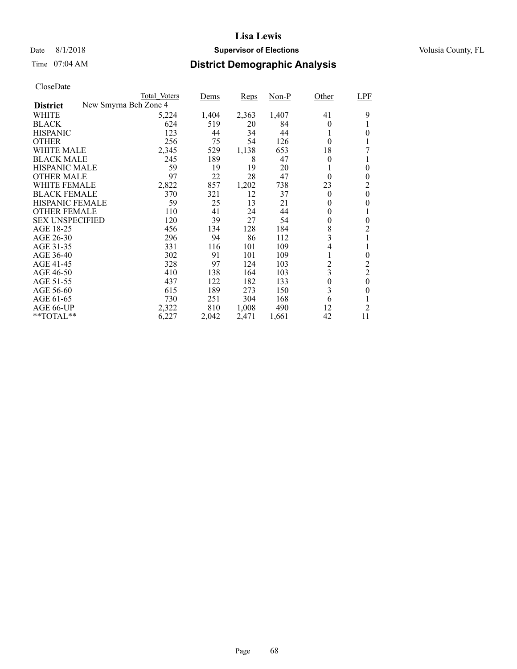### Date 8/1/2018 **Supervisor of Elections Supervisor of Elections** Volusia County, FL

# Time 07:04 AM **District Demographic Analysis**

|                        | Total Voters          | Dems  | <b>Reps</b> | Non-P | Other            | LPF              |
|------------------------|-----------------------|-------|-------------|-------|------------------|------------------|
| <b>District</b>        | New Smyrna Bch Zone 4 |       |             |       |                  |                  |
| WHITE                  | 5,224                 | 1,404 | 2,363       | 1,407 | 41               | 9                |
| <b>BLACK</b>           | 624                   | 519   | 20          | 84    | $\theta$         |                  |
| <b>HISPANIC</b>        | 123                   | 44    | 34          | 44    |                  | 0                |
| <b>OTHER</b>           | 256                   | 75    | 54          | 126   | $\Omega$         |                  |
| WHITE MALE             | 2,345                 | 529   | 1,138       | 653   | 18               |                  |
| <b>BLACK MALE</b>      | 245                   | 189   | 8           | 47    | $\theta$         |                  |
| <b>HISPANIC MALE</b>   | 59                    | 19    | 19          | 20    |                  | 0                |
| <b>OTHER MALE</b>      | 97                    | 22    | 28          | 47    | $\theta$         | $\theta$         |
| WHITE FEMALE           | 2,822                 | 857   | 1,202       | 738   | 23               | 2                |
| <b>BLACK FEMALE</b>    | 370                   | 321   | 12          | 37    | $\theta$         | $\theta$         |
| <b>HISPANIC FEMALE</b> | 59                    | 25    | 13          | 21    | $\theta$         | 0                |
| <b>OTHER FEMALE</b>    | 110                   | 41    | 24          | 44    | $\theta$         |                  |
| <b>SEX UNSPECIFIED</b> | 120                   | 39    | 27          | 54    | $\overline{0}$   | $\theta$         |
| AGE 18-25              | 456                   | 134   | 128         | 184   | 8                | 2                |
| AGE 26-30              | 296                   | 94    | 86          | 112   | 3                |                  |
| AGE 31-35              | 331                   | 116   | 101         | 109   | 4                |                  |
| AGE 36-40              | 302                   | 91    | 101         | 109   |                  | 0                |
| AGE 41-45              | 328                   | 97    | 124         | 103   | $\overline{c}$   | $\overline{c}$   |
| AGE 46-50              | 410                   | 138   | 164         | 103   | 3                | $\overline{c}$   |
| AGE 51-55              | 437                   | 122   | 182         | 133   | $\boldsymbol{0}$ | $\boldsymbol{0}$ |
| AGE 56-60              | 615                   | 189   | 273         | 150   | 3                | $\theta$         |
| AGE 61-65              | 730                   | 251   | 304         | 168   | 6                |                  |
| AGE 66-UP              | 2,322                 | 810   | 1,008       | 490   | 12               | $\overline{2}$   |
| $*$ TOTAL $*$          | 6,227                 | 2,042 | 2,471       | 1,661 | 42               | 11               |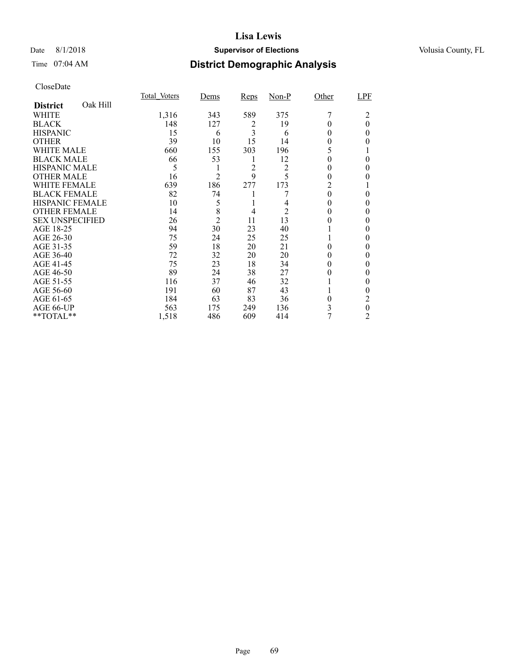### Date 8/1/2018 **Supervisor of Elections Supervisor of Elections** Volusia County, FL

# Time 07:04 AM **District Demographic Analysis**

|                        |          | Total Voters | Dems           | <b>Reps</b> | $Non-P$ | Other    | LPF      |
|------------------------|----------|--------------|----------------|-------------|---------|----------|----------|
| <b>District</b>        | Oak Hill |              |                |             |         |          |          |
| WHITE                  |          | 1,316        | 343            | 589         | 375     |          | 2        |
| <b>BLACK</b>           |          | 148          | 127            | 2           | 19      |          | $\theta$ |
| <b>HISPANIC</b>        |          | 15           | 6              | 3           | 6       | 0        | 0        |
| <b>OTHER</b>           |          | 39           | 10             | 15          | 14      | 0        | 0        |
| WHITE MALE             |          | 660          | 155            | 303         | 196     | 5        |          |
| <b>BLACK MALE</b>      |          | 66           | 53             | 1           | 12      | 0        | 0        |
| <b>HISPANIC MALE</b>   |          | 5            |                | 2           | 2       | 0        | 0        |
| <b>OTHER MALE</b>      |          | 16           | $\overline{2}$ | 9           | 5       | 0        | 0        |
| WHITE FEMALE           |          | 639          | 186            | 277         | 173     | 2        |          |
| <b>BLACK FEMALE</b>    |          | 82           | 74             |             |         | 0        | 0        |
| <b>HISPANIC FEMALE</b> |          | 10           | 5              |             |         | 0        | 0        |
| <b>OTHER FEMALE</b>    |          | 14           | 8              | 4           | 2       | 0        | 0        |
| <b>SEX UNSPECIFIED</b> |          | 26           | $\overline{2}$ | 11          | 13      |          | 0        |
| AGE 18-25              |          | 94           | 30             | 23          | 40      |          | 0        |
| AGE 26-30              |          | 75           | 24             | 25          | 25      |          | 0        |
| AGE 31-35              |          | 59           | 18             | 20          | 21      |          | 0        |
| AGE 36-40              |          | 72           | 32             | 20          | 20      |          | 0        |
| AGE 41-45              |          | 75           | 23             | 18          | 34      |          | 0        |
| AGE 46-50              |          | 89           | 24             | 38          | 27      | 0        | 0        |
| AGE 51-55              |          | 116          | 37             | 46          | 32      |          | 0        |
| AGE 56-60              |          | 191          | 60             | 87          | 43      |          | 0        |
| AGE 61-65              |          | 184          | 63             | 83          | 36      | $\theta$ | 2        |
| AGE 66-UP              |          | 563          | 175            | 249         | 136     | 3        | 0        |
| **TOTAL**              |          | 1,518        | 486            | 609         | 414     | 7        | 2        |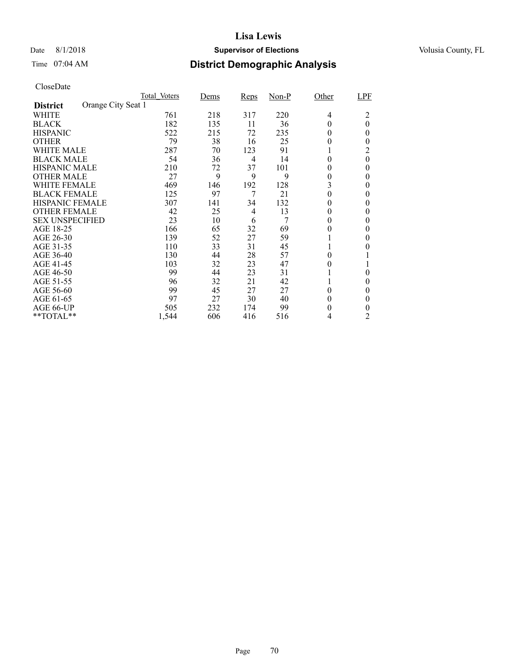### Date 8/1/2018 **Supervisor of Elections Supervisor of Elections** Volusia County, FL

# Time 07:04 AM **District Demographic Analysis**

|                        |                    | Total Voters | Dems | Reps | $Non-P$ | Other    | LPF      |
|------------------------|--------------------|--------------|------|------|---------|----------|----------|
| <b>District</b>        | Orange City Seat 1 |              |      |      |         |          |          |
| WHITE                  |                    | 761          | 218  | 317  | 220     | 4        | 2        |
| <b>BLACK</b>           |                    | 182          | 135  | 11   | 36      | 0        | $\theta$ |
| <b>HISPANIC</b>        |                    | 522          | 215  | 72   | 235     | 0        | 0        |
| <b>OTHER</b>           |                    | 79           | 38   | 16   | 25      | 0        | 0        |
| WHITE MALE             |                    | 287          | 70   | 123  | 91      |          | 2        |
| <b>BLACK MALE</b>      |                    | 54           | 36   | 4    | 14      | $\theta$ | $\theta$ |
| <b>HISPANIC MALE</b>   |                    | 210          | 72   | 37   | 101     | 0        | $\theta$ |
| <b>OTHER MALE</b>      |                    | 27           | 9    | 9    | 9       | 0        | $\theta$ |
| WHITE FEMALE           |                    | 469          | 146  | 192  | 128     | 3        | 0        |
| <b>BLACK FEMALE</b>    |                    | 125          | 97   | 7    | 21      | 0        | 0        |
| <b>HISPANIC FEMALE</b> |                    | 307          | 141  | 34   | 132     | 0        | 0        |
| <b>OTHER FEMALE</b>    |                    | 42           | 25   | 4    | 13      | 0        | $\theta$ |
| <b>SEX UNSPECIFIED</b> |                    | 23           | 10   | 6    | 7       | 0        | $\theta$ |
| AGE 18-25              |                    | 166          | 65   | 32   | 69      | 0        | 0        |
| AGE 26-30              |                    | 139          | 52   | 27   | 59      |          | $\theta$ |
| AGE 31-35              |                    | 110          | 33   | 31   | 45      |          |          |
| AGE 36-40              |                    | 130          | 44   | 28   | 57      | 0        |          |
| AGE 41-45              |                    | 103          | 32   | 23   | 47      | 0        |          |
| AGE 46-50              |                    | 99           | 44   | 23   | 31      |          | $\theta$ |
| AGE 51-55              |                    | 96           | 32   | 21   | 42      |          | 0        |
| AGE 56-60              |                    | 99           | 45   | 27   | 27      | 0        | $\theta$ |
| AGE 61-65              |                    | 97           | 27   | 30   | 40      | 0        | 0        |
| AGE 66-UP              |                    | 505          | 232  | 174  | 99      | 0        | 0        |
| **TOTAL**              |                    | 1,544        | 606  | 416  | 516     | 4        | 2        |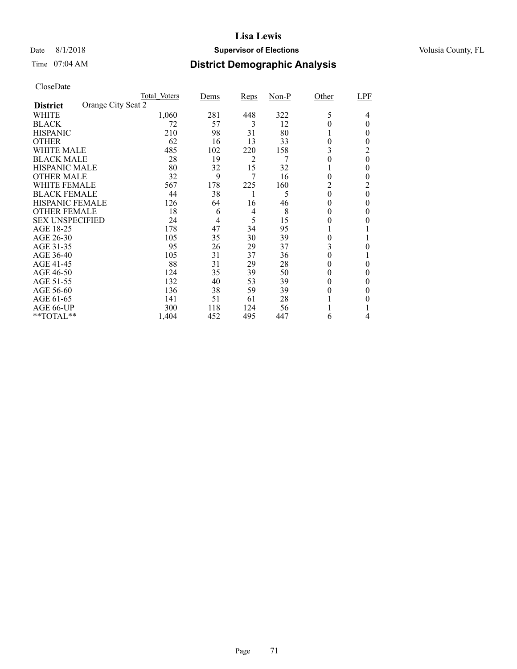### Date 8/1/2018 **Supervisor of Elections Supervisor of Elections** Volusia County, FL

# Time 07:04 AM **District Demographic Analysis**

|                        |                    | Total Voters | Dems | <b>Reps</b>    | $Non-P$ | Other | LPF      |
|------------------------|--------------------|--------------|------|----------------|---------|-------|----------|
| <b>District</b>        | Orange City Seat 2 |              |      |                |         |       |          |
| WHITE                  |                    | 1,060        | 281  | 448            | 322     | 5     | 4        |
| <b>BLACK</b>           |                    | 72           | 57   | 3              | 12      |       | 0        |
| <b>HISPANIC</b>        |                    | 210          | 98   | 31             | 80      |       | 0        |
| <b>OTHER</b>           |                    | 62           | 16   | 13             | 33      | 0     | 0        |
| WHITE MALE             |                    | 485          | 102  | 220            | 158     | 3     | 2        |
| <b>BLACK MALE</b>      |                    | 28           | 19   | $\overline{2}$ | 7       | 0     | $\theta$ |
| <b>HISPANIC MALE</b>   |                    | 80           | 32   | 15             | 32      |       | 0        |
| <b>OTHER MALE</b>      |                    | 32           | 9    | 7              | 16      | 0     | 0        |
| WHITE FEMALE           |                    | 567          | 178  | 225            | 160     | 2     | 2        |
| <b>BLACK FEMALE</b>    |                    | 44           | 38   |                | 5       | 0     | $\theta$ |
| <b>HISPANIC FEMALE</b> |                    | 126          | 64   | 16             | 46      | 0     | 0        |
| <b>OTHER FEMALE</b>    |                    | 18           | 6    | 4              | 8       | 0     | 0        |
| <b>SEX UNSPECIFIED</b> |                    | 24           | 4    | 5              | 15      | 0     | 0        |
| AGE 18-25              |                    | 178          | 47   | 34             | 95      |       |          |
| AGE 26-30              |                    | 105          | 35   | 30             | 39      | 0     |          |
| AGE 31-35              |                    | 95           | 26   | 29             | 37      | 3     | 0        |
| AGE 36-40              |                    | 105          | 31   | 37             | 36      | 0     |          |
| AGE 41-45              |                    | 88           | 31   | 29             | 28      | 0     | 0        |
| AGE 46-50              |                    | 124          | 35   | 39             | 50      | 0     | 0        |
| AGE 51-55              |                    | 132          | 40   | 53             | 39      | 0     | 0        |
| AGE 56-60              |                    | 136          | 38   | 59             | 39      | 0     | 0        |
| AGE 61-65              |                    | 141          | 51   | 61             | 28      |       | 0        |
| AGE 66-UP              |                    | 300          | 118  | 124            | 56      |       |          |
| **TOTAL**              |                    | 1,404        | 452  | 495            | 447     | 6     | 4        |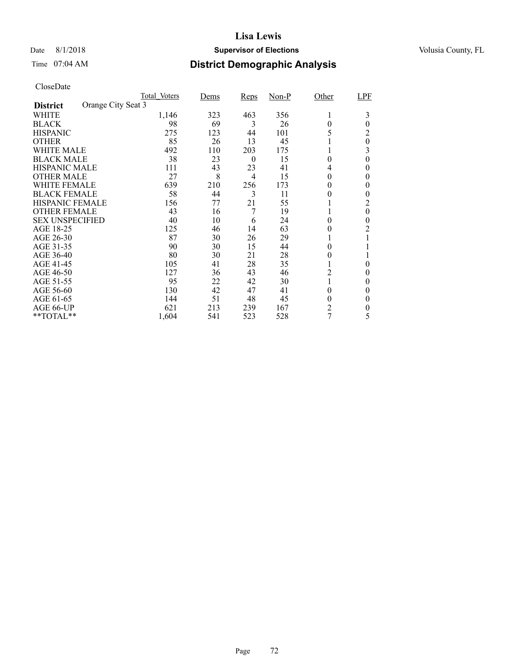### Date 8/1/2018 **Supervisor of Elections Supervisor of Elections** Volusia County, FL

# Time 07:04 AM **District Demographic Analysis**

|                        |                    | Total Voters | Dems | Reps     | $Non-P$ | Other          | LPF      |
|------------------------|--------------------|--------------|------|----------|---------|----------------|----------|
| <b>District</b>        | Orange City Seat 3 |              |      |          |         |                |          |
| WHITE                  |                    | 1,146        | 323  | 463      | 356     | 1              | 3        |
| <b>BLACK</b>           |                    | 98           | 69   | 3        | 26      | 0              | $\theta$ |
| <b>HISPANIC</b>        |                    | 275          | 123  | 44       | 101     | 5              | 2        |
| <b>OTHER</b>           |                    | 85           | 26   | 13       | 45      |                | $\theta$ |
| WHITE MALE             |                    | 492          | 110  | 203      | 175     |                | 3        |
| <b>BLACK MALE</b>      |                    | 38           | 23   | $\theta$ | 15      | $\theta$       | $\theta$ |
| <b>HISPANIC MALE</b>   |                    | 111          | 43   | 23       | 41      | 4              | 0        |
| <b>OTHER MALE</b>      |                    | 27           | 8    | 4        | 15      | 0              | 0        |
| WHITE FEMALE           |                    | 639          | 210  | 256      | 173     | 0              | 0        |
| <b>BLACK FEMALE</b>    |                    | 58           | 44   | 3        | 11      |                | 0        |
| <b>HISPANIC FEMALE</b> |                    | 156          | 77   | 21       | 55      |                | 2        |
| <b>OTHER FEMALE</b>    |                    | 43           | 16   | 7        | 19      |                | $\theta$ |
| <b>SEX UNSPECIFIED</b> |                    | 40           | 10   | 6        | 24      | 0              | $\theta$ |
| AGE 18-25              |                    | 125          | 46   | 14       | 63      | 0              | 2        |
| AGE 26-30              |                    | 87           | 30   | 26       | 29      |                |          |
| AGE 31-35              |                    | 90           | 30   | 15       | 44      | 0              |          |
| AGE 36-40              |                    | 80           | 30   | 21       | 28      | 0              |          |
| AGE 41-45              |                    | 105          | 41   | 28       | 35      |                | 0        |
| AGE 46-50              |                    | 127          | 36   | 43       | 46      | 2              | 0        |
| AGE 51-55              |                    | 95           | 22   | 42       | 30      |                | 0        |
| AGE 56-60              |                    | 130          | 42   | 47       | 41      | 0              | $\theta$ |
| AGE 61-65              |                    | 144          | 51   | 48       | 45      | 0              | $\theta$ |
| AGE 66-UP              |                    | 621          | 213  | 239      | 167     | $\overline{c}$ | 0        |
| **TOTAL**              |                    | 1,604        | 541  | 523      | 528     | 7              | 5        |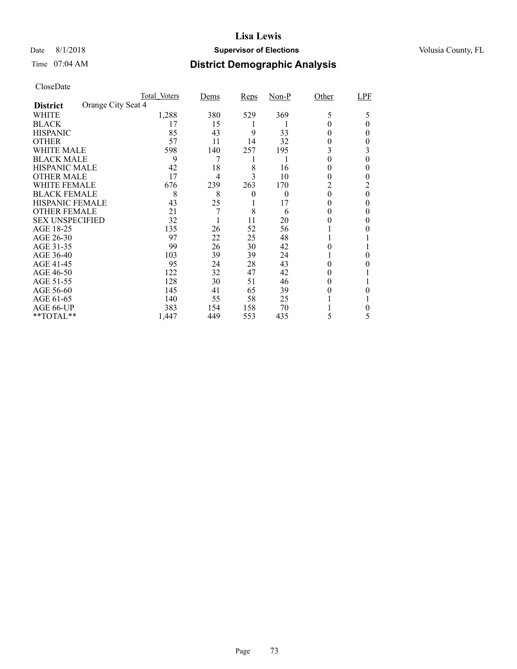### Date 8/1/2018 **Supervisor of Elections Supervisor of Elections** Volusia County, FL

# Time 07:04 AM **District Demographic Analysis**

|                        |                    | Total Voters | Dems | <b>Reps</b> | $Non-P$  | Other | LPF |
|------------------------|--------------------|--------------|------|-------------|----------|-------|-----|
| <b>District</b>        | Orange City Seat 4 |              |      |             |          |       |     |
| WHITE                  |                    | 1,288        | 380  | 529         | 369      | 5     | 5   |
| <b>BLACK</b>           |                    | 17           | 15   |             |          |       | 0   |
| <b>HISPANIC</b>        |                    | 85           | 43   | 9           | 33       | 0     | 0   |
| <b>OTHER</b>           |                    | 57           | 11   | 14          | 32       |       |     |
| WHITE MALE             |                    | 598          | 140  | 257         | 195      |       | 3   |
| <b>BLACK MALE</b>      |                    | 9            | 7    |             |          | 0     | 0   |
| <b>HISPANIC MALE</b>   |                    | 42           | 18   | 8           | 16       |       | 0   |
| <b>OTHER MALE</b>      |                    | 17           | 4    | 3           | 10       | 0     | 0   |
| WHITE FEMALE           |                    | 676          | 239  | 263         | 170      | 2     |     |
| <b>BLACK FEMALE</b>    |                    | 8            | 8    | $\theta$    | $\Omega$ | 0     | 0   |
| <b>HISPANIC FEMALE</b> |                    | 43           | 25   |             | 17       | 0     |     |
| <b>OTHER FEMALE</b>    |                    | 21           | 7    | 8           | 6        | 0     |     |
| <b>SEX UNSPECIFIED</b> |                    | 32           |      | 11          | 20       |       |     |
| AGE 18-25              |                    | 135          | 26   | 52          | 56       |       |     |
| AGE 26-30              |                    | 97           | 22   | 25          | 48       |       |     |
| AGE 31-35              |                    | 99           | 26   | 30          | 42       |       |     |
| AGE 36-40              |                    | 103          | 39   | 39          | 24       |       | 0   |
| AGE 41-45              |                    | 95           | 24   | 28          | 43       |       |     |
| AGE 46-50              |                    | 122          | 32   | 47          | 42       |       |     |
| AGE 51-55              |                    | 128          | 30   | 51          | 46       |       |     |
| AGE 56-60              |                    | 145          | 41   | 65          | 39       |       |     |
| AGE 61-65              |                    | 140          | 55   | 58          | 25       |       |     |
| AGE 66-UP              |                    | 383          | 154  | 158         | 70       |       |     |
| **TOTAL**              |                    | 1,447        | 449  | 553         | 435      | 5     | 5   |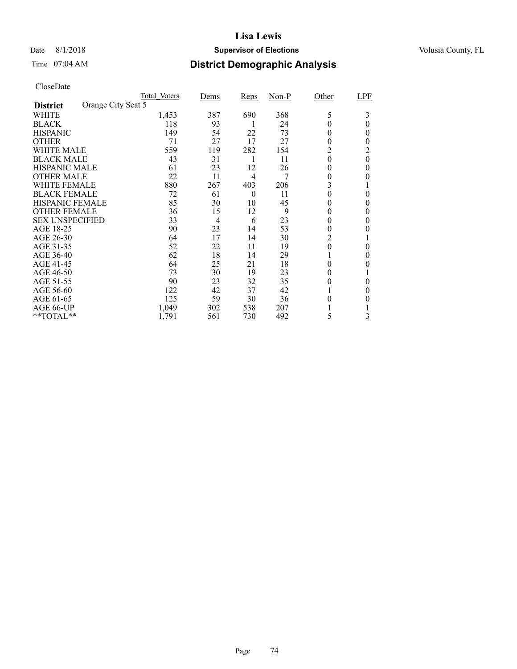### Date 8/1/2018 **Supervisor of Elections Supervisor of Elections** Volusia County, FL

# Time 07:04 AM **District Demographic Analysis**

|                        |                    | Total Voters | Dems | Reps     | $Non-P$ | Other            | LPF      |
|------------------------|--------------------|--------------|------|----------|---------|------------------|----------|
| <b>District</b>        | Orange City Seat 5 |              |      |          |         |                  |          |
| WHITE                  |                    | 1,453        | 387  | 690      | 368     | 5                | 3        |
| <b>BLACK</b>           |                    | 118          | 93   |          | 24      | 0                | 0        |
| <b>HISPANIC</b>        |                    | 149          | 54   | 22       | 73      | 0                | 0        |
| <b>OTHER</b>           |                    | 71           | 27   | 17       | 27      | 0                | $_{0}$   |
| WHITE MALE             |                    | 559          | 119  | 282      | 154     | 2                | 2        |
| <b>BLACK MALE</b>      |                    | 43           | 31   | 1        | 11      | $\theta$         | $\theta$ |
| <b>HISPANIC MALE</b>   |                    | 61           | 23   | 12       | 26      | 0                | $\theta$ |
| <b>OTHER MALE</b>      |                    | 22           | 11   | 4        | 7       | 0                | 0        |
| WHITE FEMALE           |                    | 880          | 267  | 403      | 206     | 3                |          |
| <b>BLACK FEMALE</b>    |                    | 72           | 61   | $\theta$ | 11      | 0                | 0        |
| <b>HISPANIC FEMALE</b> |                    | 85           | 30   | 10       | 45      | 0                | 0        |
| <b>OTHER FEMALE</b>    |                    | 36           | 15   | 12       | 9       | 0                | $\theta$ |
| <b>SEX UNSPECIFIED</b> |                    | 33           | 4    | 6        | 23      | 0                | 0        |
| AGE 18-25              |                    | 90           | 23   | 14       | 53      | 0                |          |
| AGE 26-30              |                    | 64           | 17   | 14       | 30      | 2                |          |
| AGE 31-35              |                    | 52           | 22   | 11       | 19      | $\boldsymbol{0}$ | 0        |
| AGE 36-40              |                    | 62           | 18   | 14       | 29      |                  | 0        |
| AGE 41-45              |                    | 64           | 25   | 21       | 18      | 0                | 0        |
| AGE 46-50              |                    | 73           | 30   | 19       | 23      | 0                |          |
| AGE 51-55              |                    | 90           | 23   | 32       | 35      | 0                | 0        |
| AGE 56-60              |                    | 122          | 42   | 37       | 42      |                  | $\theta$ |
| AGE 61-65              |                    | 125          | 59   | 30       | 36      | 0                | 0        |
| AGE 66-UP              |                    | 1,049        | 302  | 538      | 207     |                  |          |
| **TOTAL**              |                    | 1,791        | 561  | 730      | 492     | 5                | 3        |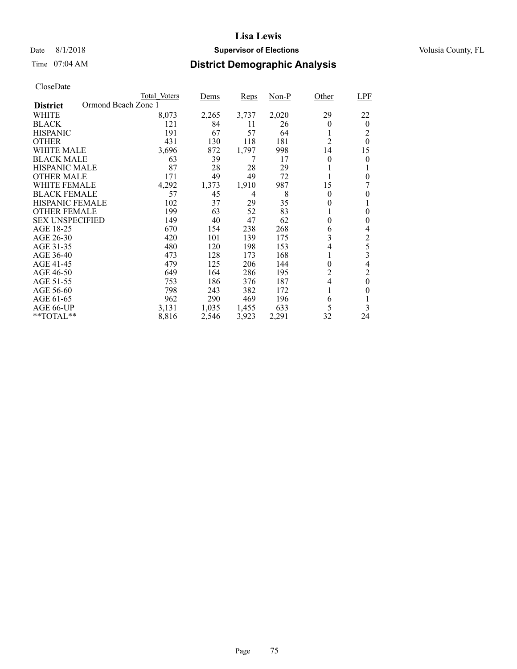## Date 8/1/2018 **Supervisor of Elections Supervisor of Elections** Volusia County, FL

# Time 07:04 AM **District Demographic Analysis**

|                        |                     | Total Voters | Dems  | <b>Reps</b> | $Non-P$ | Other          | <b>LPF</b>              |
|------------------------|---------------------|--------------|-------|-------------|---------|----------------|-------------------------|
| <b>District</b>        | Ormond Beach Zone 1 |              |       |             |         |                |                         |
| WHITE                  |                     | 8,073        | 2,265 | 3,737       | 2,020   | 29             | 22                      |
| <b>BLACK</b>           |                     | 121          | 84    | 11          | 26      | $\theta$       | $\overline{0}$          |
| <b>HISPANIC</b>        |                     | 191          | 67    | 57          | 64      | 1              | 2                       |
| <b>OTHER</b>           |                     | 431          | 130   | 118         | 181     | $\overline{2}$ | $\theta$                |
| WHITE MALE             |                     | 3,696        | 872   | 1,797       | 998     | 14             | 15                      |
| <b>BLACK MALE</b>      |                     | 63           | 39    | 7           | 17      | 0              | 0                       |
| <b>HISPANIC MALE</b>   |                     | 87           | 28    | 28          | 29      |                |                         |
| <b>OTHER MALE</b>      |                     | 171          | 49    | 49          | 72      | 1              | $\theta$                |
| WHITE FEMALE           |                     | 4,292        | 1,373 | 1,910       | 987     | 15             | 7                       |
| <b>BLACK FEMALE</b>    |                     | 57           | 45    | 4           | 8       | 0              | 0                       |
| <b>HISPANIC FEMALE</b> |                     | 102          | 37    | 29          | 35      | 0              |                         |
| <b>OTHER FEMALE</b>    |                     | 199          | 63    | 52          | 83      | 1              | $\theta$                |
| <b>SEX UNSPECIFIED</b> |                     | 149          | 40    | 47          | 62      | 0              | $\theta$                |
| AGE 18-25              |                     | 670          | 154   | 238         | 268     | 6              | 4                       |
| AGE 26-30              |                     | 420          | 101   | 139         | 175     | 3              | 2                       |
| AGE 31-35              |                     | 480          | 120   | 198         | 153     | 4              | 5                       |
| AGE 36-40              |                     | 473          | 128   | 173         | 168     | 1              | $\overline{\mathbf{3}}$ |
| AGE 41-45              |                     | 479          | 125   | 206         | 144     | 0              | 4                       |
| AGE 46-50              |                     | 649          | 164   | 286         | 195     | $\overline{c}$ | 2                       |
| AGE 51-55              |                     | 753          | 186   | 376         | 187     | $\overline{4}$ | 0                       |
| AGE 56-60              |                     | 798          | 243   | 382         | 172     | 1              | 0                       |
| AGE 61-65              |                     | 962          | 290   | 469         | 196     | 6              |                         |
| AGE 66-UP              |                     | 3,131        | 1,035 | 1,455       | 633     | 5              | 3                       |
| **TOTAL**              |                     | 8,816        | 2,546 | 3,923       | 2,291   | 32             | 24                      |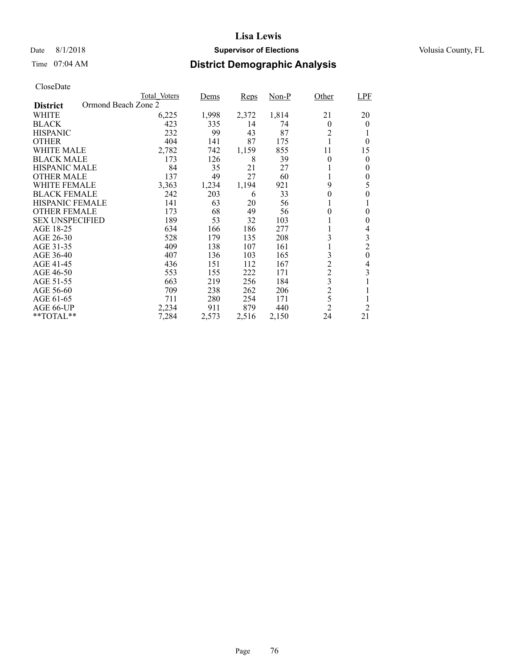### Date 8/1/2018 **Supervisor of Elections Supervisor of Elections** Volusia County, FL

# Time 07:04 AM **District Demographic Analysis**

|                                        | Total Voters | Dems  | <b>Reps</b> | Non-P | Other          | LPF            |
|----------------------------------------|--------------|-------|-------------|-------|----------------|----------------|
| Ormond Beach Zone 2<br><b>District</b> |              |       |             |       |                |                |
| WHITE                                  | 6,225        | 1,998 | 2,372       | 1,814 | 21             | 20             |
| <b>BLACK</b>                           | 423          | 335   | 14          | 74    | $\theta$       | $\theta$       |
| <b>HISPANIC</b>                        | 232          | 99    | 43          | 87    | $\overline{2}$ |                |
| <b>OTHER</b>                           | 404          | 141   | 87          | 175   |                | 0              |
| WHITE MALE                             | 2,782        | 742   | 1,159       | 855   | 11             | 15             |
| <b>BLACK MALE</b>                      | 173          | 126   | 8           | 39    | $\theta$       | 0              |
| <b>HISPANIC MALE</b>                   | 84           | 35    | 21          | 27    |                | 0              |
| <b>OTHER MALE</b>                      | 137          | 49    | 27          | 60    | 1              | $\theta$       |
| <b>WHITE FEMALE</b>                    | 3,363        | 1,234 | 1,194       | 921   | 9              | 5              |
| <b>BLACK FEMALE</b>                    | 242          | 203   | 6           | 33    | $\theta$       | 0              |
| <b>HISPANIC FEMALE</b>                 | 141          | 63    | 20          | 56    | 1              | 1              |
| <b>OTHER FEMALE</b>                    | 173          | 68    | 49          | 56    | $\theta$       | $\theta$       |
| <b>SEX UNSPECIFIED</b>                 | 189          | 53    | 32          | 103   |                | $\theta$       |
| AGE 18-25                              | 634          | 166   | 186         | 277   |                | 4              |
| AGE 26-30                              | 528          | 179   | 135         | 208   | 3              | 3              |
| AGE 31-35                              | 409          | 138   | 107         | 161   | l              | $\overline{c}$ |
| AGE 36-40                              | 407          | 136   | 103         | 165   | 3              | $\overline{0}$ |
| AGE 41-45                              | 436          | 151   | 112         | 167   | $\overline{c}$ | 4              |
| AGE 46-50                              | 553          | 155   | 222         | 171   | $\overline{c}$ | 3              |
| AGE 51-55                              | 663          | 219   | 256         | 184   | 3              |                |
| AGE 56-60                              | 709          | 238   | 262         | 206   | $\overline{c}$ |                |
| AGE 61-65                              | 711          | 280   | 254         | 171   | 5              | 1              |
| AGE 66-UP                              | 2,234        | 911   | 879         | 440   | $\overline{2}$ | $\overline{2}$ |
| $*$ TOTAL $*$                          | 7,284        | 2,573 | 2,516       | 2,150 | 24             | 21             |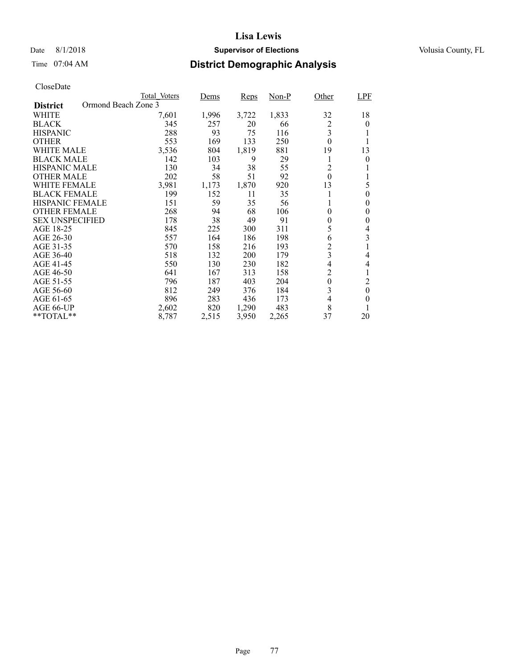### Date 8/1/2018 **Supervisor of Elections Supervisor of Elections** Volusia County, FL

# Time 07:04 AM **District Demographic Analysis**

|                                        | Total Voters | Dems  | <b>Reps</b> | Non-P | Other                    | <b>LPF</b> |
|----------------------------------------|--------------|-------|-------------|-------|--------------------------|------------|
| Ormond Beach Zone 3<br><b>District</b> |              |       |             |       |                          |            |
| WHITE                                  | 7,601        | 1,996 | 3,722       | 1,833 | 32                       | 18         |
| <b>BLACK</b>                           | 345          | 257   | 20          | 66    | 2                        | $\theta$   |
| <b>HISPANIC</b>                        | 288          | 93    | 75          | 116   | 3                        |            |
| <b>OTHER</b>                           | 553          | 169   | 133         | 250   | $\theta$                 |            |
| WHITE MALE                             | 3,536        | 804   | 1,819       | 881   | 19                       | 13         |
| <b>BLACK MALE</b>                      | 142          | 103   | 9           | 29    | 1                        | 0          |
| <b>HISPANIC MALE</b>                   | 130          | 34    | 38          | 55    | 2                        |            |
| <b>OTHER MALE</b>                      | 202          | 58    | 51          | 92    | $\theta$                 |            |
| <b>WHITE FEMALE</b>                    | 3,981        | 1,173 | 1,870       | 920   | 13                       | 5          |
| <b>BLACK FEMALE</b>                    | 199          | 152   | 11          | 35    |                          | $\theta$   |
| <b>HISPANIC FEMALE</b>                 | 151          | 59    | 35          | 56    | 1                        | $\theta$   |
| <b>OTHER FEMALE</b>                    | 268          | 94    | 68          | 106   | $\theta$                 | 0          |
| <b>SEX UNSPECIFIED</b>                 | 178          | 38    | 49          | 91    | $\overline{0}$           | 0          |
| AGE 18-25                              | 845          | 225   | 300         | 311   | 5                        | 4          |
| AGE 26-30                              | 557          | 164   | 186         | 198   | 6                        | 3          |
| AGE 31-35                              | 570          | 158   | 216         | 193   | $\overline{c}$           |            |
| AGE 36-40                              | 518          | 132   | 200         | 179   | $\overline{3}$           | 4          |
| AGE 41-45                              | 550          | 130   | 230         | 182   | $\overline{\mathcal{L}}$ | 4          |
| AGE 46-50                              | 641          | 167   | 313         | 158   | $\overline{c}$           |            |
| AGE 51-55                              | 796          | 187   | 403         | 204   | $\boldsymbol{0}$         | 2          |
| AGE 56-60                              | 812          | 249   | 376         | 184   | 3                        | $\theta$   |
| AGE 61-65                              | 896          | 283   | 436         | 173   | 4                        | $\theta$   |
| AGE 66-UP                              | 2,602        | 820   | 1,290       | 483   | 8                        |            |
| $*$ TOTAL $*$                          | 8,787        | 2,515 | 3,950       | 2,265 | 37                       | 20         |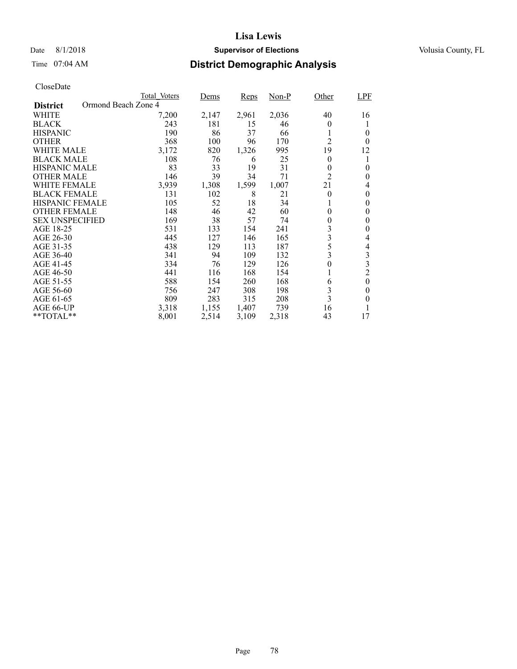## Date 8/1/2018 **Supervisor of Elections Supervisor of Elections** Volusia County, FL

# Time 07:04 AM **District Demographic Analysis**

|                        |                     | Total Voters | Dems  | <b>Reps</b> | Non-P | Other          | <b>LPF</b>     |
|------------------------|---------------------|--------------|-------|-------------|-------|----------------|----------------|
| <b>District</b>        | Ormond Beach Zone 4 |              |       |             |       |                |                |
| WHITE                  |                     | 7,200        | 2,147 | 2,961       | 2,036 | 40             | 16             |
| <b>BLACK</b>           |                     | 243          | 181   | 15          | 46    | $\theta$       |                |
| <b>HISPANIC</b>        |                     | 190          | 86    | 37          | 66    |                | $\theta$       |
| <b>OTHER</b>           |                     | 368          | 100   | 96          | 170   | $\overline{2}$ | $\theta$       |
| WHITE MALE             |                     | 3,172        | 820   | 1,326       | 995   | 19             | 12             |
| <b>BLACK MALE</b>      |                     | 108          | 76    | 6           | 25    | $\theta$       |                |
| <b>HISPANIC MALE</b>   |                     | 83           | 33    | 19          | 31    | $\theta$       | 0              |
| <b>OTHER MALE</b>      |                     | 146          | 39    | 34          | 71    | $\overline{2}$ | 0              |
| <b>WHITE FEMALE</b>    |                     | 3,939        | 1,308 | 1,599       | 1,007 | 21             | 4              |
| <b>BLACK FEMALE</b>    |                     | 131          | 102   | 8           | 21    | $\theta$       | 0              |
| <b>HISPANIC FEMALE</b> |                     | 105          | 52    | 18          | 34    |                | 0              |
| <b>OTHER FEMALE</b>    |                     | 148          | 46    | 42          | 60    | $\theta$       | $\theta$       |
| <b>SEX UNSPECIFIED</b> |                     | 169          | 38    | 57          | 74    | 0              | $\theta$       |
| AGE 18-25              |                     | 531          | 133   | 154         | 241   | 3              | 0              |
| AGE 26-30              |                     | 445          | 127   | 146         | 165   | 3              | 4              |
| AGE 31-35              |                     | 438          | 129   | 113         | 187   | 5              | 4              |
| AGE 36-40              |                     | 341          | 94    | 109         | 132   | 3              | 3              |
| AGE 41-45              |                     | 334          | 76    | 129         | 126   | $\overline{0}$ | 3              |
| AGE 46-50              |                     | 441          | 116   | 168         | 154   |                | $\overline{c}$ |
| AGE 51-55              |                     | 588          | 154   | 260         | 168   | 6              | $\theta$       |
| AGE 56-60              |                     | 756          | 247   | 308         | 198   | 3              | 0              |
| AGE 61-65              |                     | 809          | 283   | 315         | 208   | $\overline{3}$ | $\theta$       |
| AGE 66-UP              |                     | 3,318        | 1,155 | 1,407       | 739   | 16             |                |
| **TOTAL**              |                     | 8,001        | 2,514 | 3,109       | 2,318 | 43             | 17             |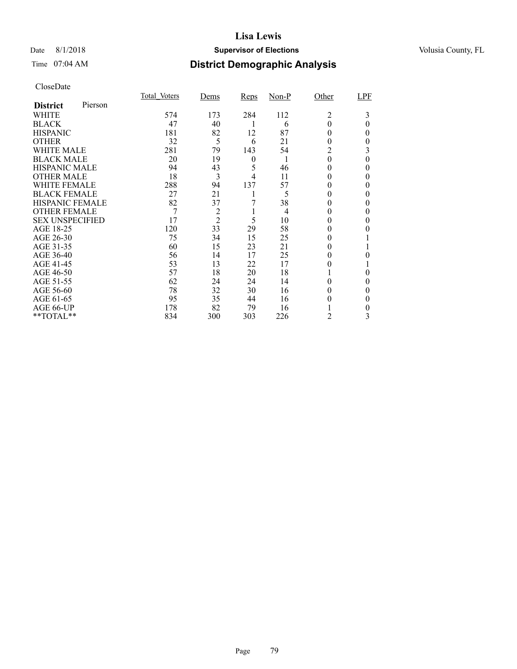### Date 8/1/2018 **Supervisor of Elections Supervisor of Elections** Volusia County, FL

## Time 07:04 AM **District Demographic Analysis**

|                        |         | Total Voters | <u>Dems</u>   | Reps             | Non-P | Other        | LPF      |
|------------------------|---------|--------------|---------------|------------------|-------|--------------|----------|
| <b>District</b>        | Pierson |              |               |                  |       |              |          |
| WHITE                  |         | 574          | 173           | 284              | 112   | 2            | 3        |
| <b>BLACK</b>           |         | 47           | 40            | 1                | 6     | $\theta$     | $\theta$ |
| <b>HISPANIC</b>        |         | 181          | 82            | 12               | 87    | $_{0}$       | 0        |
| <b>OTHER</b>           |         | 32           | 5             | 6                | 21    | $_{0}$       | 0        |
| <b>WHITE MALE</b>      |         | 281          | 79            | 143              | 54    | 2            | 3        |
| <b>BLACK MALE</b>      |         | 20           | 19            | $\boldsymbol{0}$ | 1     | $\theta$     | 0        |
| <b>HISPANIC MALE</b>   |         | 94           | 43            | 5                | 46    | $^{(1)}$     | 0        |
| <b>OTHER MALE</b>      |         | 18           | 3             | 4                | 11    | 0            | 0        |
| WHITE FEMALE           |         | 288          | 94            | 137              | 57    | $\theta$     | 0        |
| <b>BLACK FEMALE</b>    |         | 27           | 21            |                  | 5     | $\theta$     | 0        |
| <b>HISPANIC FEMALE</b> |         | 82           | 37            |                  | 38    | $\theta$     | 0        |
| <b>OTHER FEMALE</b>    |         | 7            | $\frac{2}{2}$ |                  | 4     | $\theta$     |          |
| <b>SEX UNSPECIFIED</b> |         | 17           |               | 5                | 10    | 0            | 0        |
| AGE 18-25              |         | 120          | 33            | 29               | 58    |              |          |
| AGE 26-30              |         | 75           | 34            | 15               | 25    | $_{0}$       |          |
| AGE 31-35              |         | 60           | 15            | 23               | 21    | $\mathbf{0}$ |          |
| AGE 36-40              |         | 56           | 14            | 17               | 25    | $_{0}$       | 0        |
| AGE 41-45              |         | 53           | 13            | 22               | 17    | $_{0}$       |          |
| AGE 46-50              |         | 57           | 18            | 20               | 18    |              | 0        |
| AGE 51-55              |         | 62           | 24            | 24               | 14    | 0            | 0        |
| AGE 56-60              |         | 78           | 32            | 30               | 16    |              | 0        |
| AGE 61-65              |         | 95           | 35            | 44               | 16    | 0            | 0        |
| AGE 66-UP              |         | 178          | 82            | 79               | 16    |              | 0        |
| **TOTAL**              |         | 834          | 300           | 303              | 226   | 2            | 3        |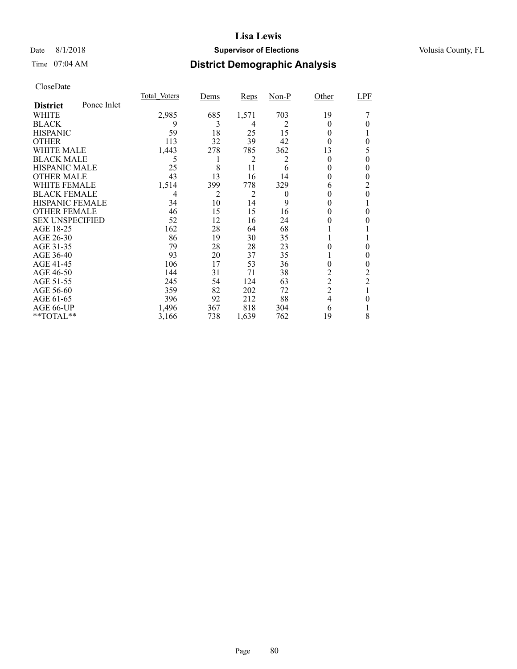### Date 8/1/2018 **Supervisor of Elections Supervisor of Elections** Volusia County, FL

# Time 07:04 AM **District Demographic Analysis**

|                        |             | Total Voters | Dems | <b>Reps</b> | $Non-P$  | Other          | <b>LPF</b>     |
|------------------------|-------------|--------------|------|-------------|----------|----------------|----------------|
| <b>District</b>        | Ponce Inlet |              |      |             |          |                |                |
| WHITE                  |             | 2,985        | 685  | 1,571       | 703      | 19             |                |
| <b>BLACK</b>           |             | 9            | 3    | 4           | 2        | $_{0}$         |                |
| <b>HISPANIC</b>        |             | 59           | 18   | 25          | 15       | $\theta$       |                |
| <b>OTHER</b>           |             | 113          | 32   | 39          | 42       | $_{0}$         | $\theta$       |
| WHITE MALE             |             | 1,443        | 278  | 785         | 362      | 13             | 5              |
| <b>BLACK MALE</b>      |             | 5            | 1    | 2           | 2        | $_{0}$         | 0              |
| <b>HISPANIC MALE</b>   |             | 25           | 8    | 11          | 6        | 0              | 0              |
| <b>OTHER MALE</b>      |             | 43           | 13   | 16          | 14       | 0              | 0              |
| WHITE FEMALE           |             | 1,514        | 399  | 778         | 329      | 6              | 2              |
| <b>BLACK FEMALE</b>    |             | 4            | 2    | 2           | $\theta$ | 0              | $\theta$       |
| <b>HISPANIC FEMALE</b> |             | 34           | 10   | 14          | 9        | 0              |                |
| <b>OTHER FEMALE</b>    |             | 46           | 15   | 15          | 16       | $\theta$       | 0              |
| <b>SEX UNSPECIFIED</b> |             | 52           | 12   | 16          | 24       |                |                |
| AGE 18-25              |             | 162          | 28   | 64          | 68       |                |                |
| AGE 26-30              |             | 86           | 19   | 30          | 35       |                |                |
| AGE 31-35              |             | 79           | 28   | 28          | 23       |                | 0              |
| AGE 36-40              |             | 93           | 20   | 37          | 35       |                | 0              |
| AGE 41-45              |             | 106          | 17   | 53          | 36       | 0              | 0              |
| AGE 46-50              |             | 144          | 31   | 71          | 38       | 2              | 2              |
| AGE 51-55              |             | 245          | 54   | 124         | 63       | $\overline{c}$ | $\overline{c}$ |
| AGE 56-60              |             | 359          | 82   | 202         | 72       | $\overline{2}$ |                |
| AGE 61-65              |             | 396          | 92   | 212         | 88       | $\overline{4}$ | 0              |
| AGE 66-UP              |             | 1,496        | 367  | 818         | 304      | 6              |                |
| **TOTAL**              |             | 3,166        | 738  | 1,639       | 762      | 19             | 8              |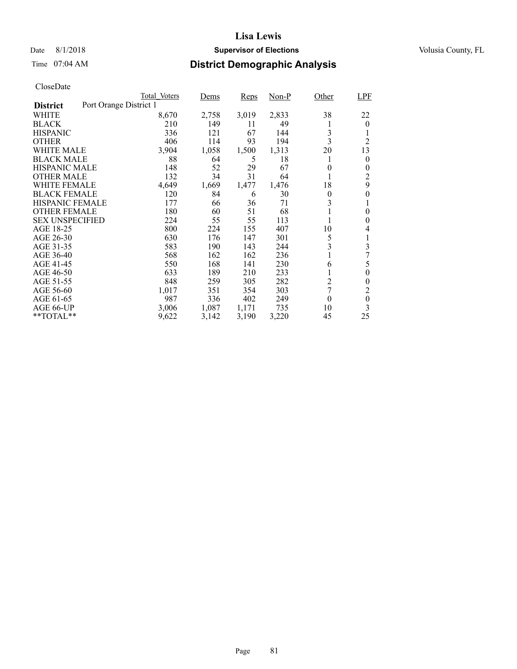### Date 8/1/2018 **Supervisor of Elections Supervisor of Elections** Volusia County, FL

# Time 07:04 AM **District Demographic Analysis**

|                        |                        | Total Voters | Dems  | <b>Reps</b> | $Non-P$ | Other          | <b>LPF</b>       |
|------------------------|------------------------|--------------|-------|-------------|---------|----------------|------------------|
| <b>District</b>        | Port Orange District 1 |              |       |             |         |                |                  |
| WHITE                  |                        | 8,670        | 2,758 | 3,019       | 2,833   | 38             | 22               |
| <b>BLACK</b>           |                        | 210          | 149   | 11          | 49      |                | $\theta$         |
| <b>HISPANIC</b>        |                        | 336          | 121   | 67          | 144     | 3              |                  |
| <b>OTHER</b>           |                        | 406          | 114   | 93          | 194     | 3              | $\overline{2}$   |
| WHITE MALE             |                        | 3,904        | 1,058 | 1,500       | 1,313   | 20             | 13               |
| <b>BLACK MALE</b>      |                        | 88           | 64    | 5           | 18      |                | 0                |
| <b>HISPANIC MALE</b>   |                        | 148          | 52    | 29          | 67      | 0              | 0                |
| <b>OTHER MALE</b>      |                        | 132          | 34    | 31          | 64      |                | $\overline{2}$   |
| WHITE FEMALE           |                        | 4,649        | 1,669 | 1,477       | 1,476   | 18             | 9                |
| <b>BLACK FEMALE</b>    |                        | 120          | 84    | 6           | 30      | $\theta$       | 0                |
| HISPANIC FEMALE        |                        | 177          | 66    | 36          | 71      | 3              |                  |
| <b>OTHER FEMALE</b>    |                        | 180          | 60    | 51          | 68      |                | 0                |
| <b>SEX UNSPECIFIED</b> |                        | 224          | 55    | 55          | 113     |                | 0                |
| AGE 18-25              |                        | 800          | 224   | 155         | 407     | 10             | 4                |
| AGE 26-30              |                        | 630          | 176   | 147         | 301     | 5              | 1                |
| AGE 31-35              |                        | 583          | 190   | 143         | 244     | 3              | 3                |
| AGE 36-40              |                        | 568          | 162   | 162         | 236     |                |                  |
| AGE 41-45              |                        | 550          | 168   | 141         | 230     | 6              | 5                |
| AGE 46-50              |                        | 633          | 189   | 210         | 233     |                | 0                |
| AGE 51-55              |                        | 848          | 259   | 305         | 282     | $\overline{c}$ | 0                |
| AGE 56-60              |                        | 1,017        | 351   | 354         | 303     | 7              | $\overline{2}$   |
| AGE 61-65              |                        | 987          | 336   | 402         | 249     | $\theta$       | $\boldsymbol{0}$ |
| AGE 66-UP              |                        | 3,006        | 1,087 | 1,171       | 735     | 10             | 3                |
| **TOTAL**              |                        | 9,622        | 3,142 | 3,190       | 3,220   | 45             | 25               |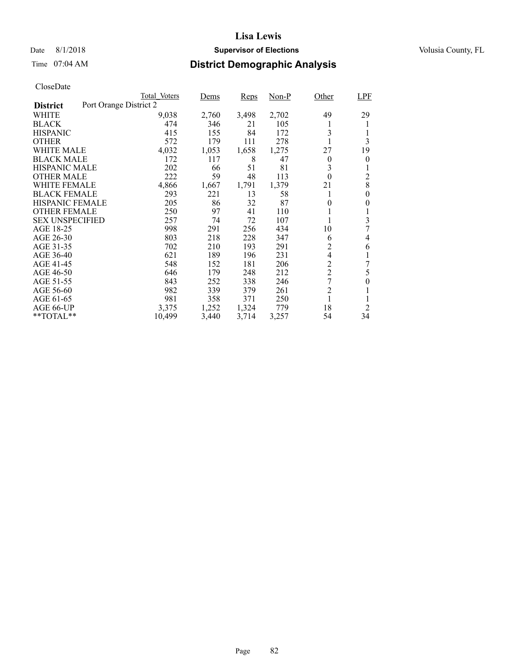### Date 8/1/2018 **Supervisor of Elections Supervisor of Elections** Volusia County, FL

# Time 07:04 AM **District Demographic Analysis**

|                        |                        | Total Voters | Dems  | Reps  | Non-P | Other          | LPF      |
|------------------------|------------------------|--------------|-------|-------|-------|----------------|----------|
| <b>District</b>        | Port Orange District 2 |              |       |       |       |                |          |
| WHITE                  |                        | 9,038        | 2,760 | 3,498 | 2,702 | 49             | 29       |
| <b>BLACK</b>           |                        | 474          | 346   | 21    | 105   | 1              |          |
| <b>HISPANIC</b>        |                        | 415          | 155   | 84    | 172   | 3              | 1        |
| <b>OTHER</b>           |                        | 572          | 179   | 111   | 278   |                | 3        |
| WHITE MALE             |                        | 4,032        | 1,053 | 1,658 | 1,275 | 27             | 19       |
| <b>BLACK MALE</b>      |                        | 172          | 117   | 8     | 47    | $\theta$       | 0        |
| <b>HISPANIC MALE</b>   |                        | 202          | 66    | 51    | 81    | 3              |          |
| <b>OTHER MALE</b>      |                        | 222          | 59    | 48    | 113   | $\theta$       | 2        |
| WHITE FEMALE           |                        | 4,866        | 1,667 | 1,791 | 1,379 | 21             | 8        |
| <b>BLACK FEMALE</b>    |                        | 293          | 221   | 13    | 58    | 1              | $\theta$ |
| <b>HISPANIC FEMALE</b> |                        | 205          | 86    | 32    | 87    | $\theta$       | 0        |
| <b>OTHER FEMALE</b>    |                        | 250          | 97    | 41    | 110   | 1              | 1        |
| <b>SEX UNSPECIFIED</b> |                        | 257          | 74    | 72    | 107   | 1              | 3        |
| AGE 18-25              |                        | 998          | 291   | 256   | 434   | 10             | 7        |
| AGE 26-30              |                        | 803          | 218   | 228   | 347   | 6              | 4        |
| AGE 31-35              |                        | 702          | 210   | 193   | 291   | $\overline{c}$ | 6        |
| AGE 36-40              |                        | 621          | 189   | 196   | 231   | 4              |          |
| AGE 41-45              |                        | 548          | 152   | 181   | 206   | $\overline{2}$ | 7        |
| AGE 46-50              |                        | 646          | 179   | 248   | 212   | $\overline{c}$ | 5        |
| AGE 51-55              |                        | 843          | 252   | 338   | 246   | 7              | 0        |
| AGE 56-60              |                        | 982          | 339   | 379   | 261   | $\overline{2}$ |          |
| AGE 61-65              |                        | 981          | 358   | 371   | 250   | 1              |          |
| AGE 66-UP              |                        | 3,375        | 1,252 | 1,324 | 779   | 18             | 2        |
| $*$ $TOTAL**$          |                        | 10,499       | 3,440 | 3,714 | 3,257 | 54             | 34       |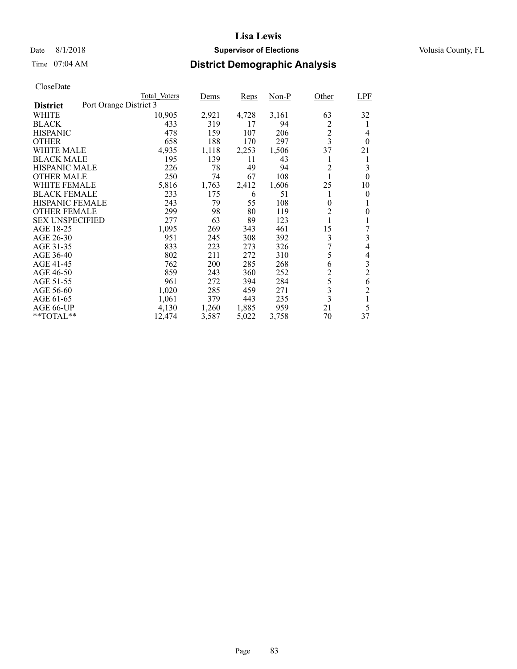### Date 8/1/2018 **Supervisor of Elections Supervisor of Elections** Volusia County, FL

# Time 07:04 AM **District Demographic Analysis**

|                        |                        | Total Voters | Dems       | Reps  | $Non-P$ | Other                   | <b>LPF</b>     |
|------------------------|------------------------|--------------|------------|-------|---------|-------------------------|----------------|
| <b>District</b>        | Port Orange District 3 |              |            |       |         |                         |                |
| WHITE                  |                        | 10,905       | 2,921      | 4,728 | 3,161   | 63                      | 32             |
| <b>BLACK</b>           |                        | 433          | 319        | 17    | 94      | 2                       | 1              |
| <b>HISPANIC</b>        |                        | 478          | 159        | 107   | 206     | $\overline{c}$          | 4              |
| <b>OTHER</b>           |                        | 658          | 188        | 170   | 297     | $\overline{\mathbf{3}}$ | $\theta$       |
| WHITE MALE             |                        | 4,935        | 1,118      | 2,253 | 1,506   | 37                      | 21             |
| <b>BLACK MALE</b>      |                        | 195          | 139        | 11    | 43      | 1                       | 1              |
| <b>HISPANIC MALE</b>   |                        | 226          | 78         | 49    | 94      | $\overline{c}$          | 3              |
| <b>OTHER MALE</b>      |                        | 250          | 74         | 67    | 108     |                         | 0              |
| WHITE FEMALE           |                        | 5,816        | 1,763      | 2,412 | 1,606   | 25                      | 10             |
| <b>BLACK FEMALE</b>    |                        | 233          | 175        | 6     | 51      | 1                       | 0              |
| <b>HISPANIC FEMALE</b> |                        | 243          | 79         | 55    | 108     | $\overline{0}$          | 1              |
| <b>OTHER FEMALE</b>    |                        | 299          | 98         | 80    | 119     | $\overline{c}$          | 0              |
| <b>SEX UNSPECIFIED</b> |                        | 277          | 63         | 89    | 123     | 1                       |                |
| AGE 18-25              |                        | 1,095        | 269        | 343   | 461     | 15                      | 7              |
| AGE 26-30              |                        | 951          | 245        | 308   | 392     | 3                       | 3              |
| AGE 31-35              |                        | 833          | 223        | 273   | 326     | 7                       | 4              |
| AGE 36-40              |                        | 802          | 211        | 272   | 310     | 5                       | 4              |
| AGE 41-45              |                        | 762          | <b>200</b> | 285   | 268     | 6                       | 3              |
| AGE 46-50              |                        | 859          | 243        | 360   | 252     | $\overline{c}$          | $\overline{c}$ |
| AGE 51-55              |                        | 961          | 272        | 394   | 284     | 5                       | 6              |
| AGE 56-60              |                        | 1,020        | 285        | 459   | 271     | 3                       | $\overline{2}$ |
| AGE 61-65              |                        | 1,061        | 379        | 443   | 235     | $\overline{\mathbf{3}}$ | 1              |
| AGE 66-UP              |                        | 4,130        | 1,260      | 1,885 | 959     | 21                      | 5              |
| $*$ $TOTAL**$          |                        | 12,474       | 3,587      | 5,022 | 3,758   | 70                      | 37             |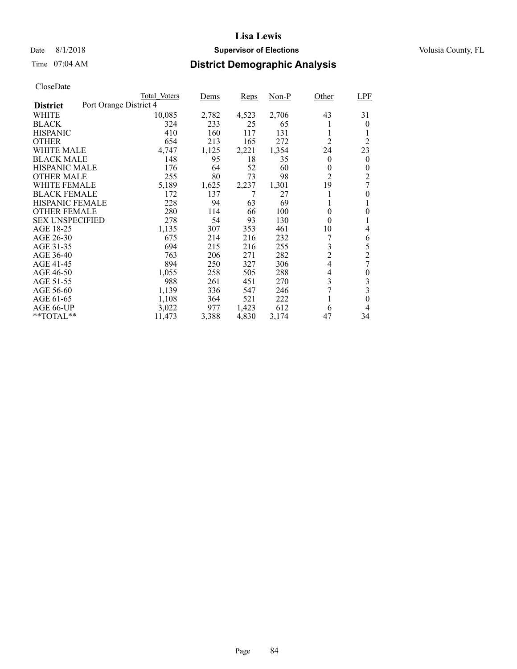### Date 8/1/2018 **Supervisor of Elections Supervisor of Elections** Volusia County, FL

# Time 07:04 AM **District Demographic Analysis**

|                        | Total Voters           | Dems  | <b>Reps</b> | Non-P | Other          | <b>LPF</b>     |
|------------------------|------------------------|-------|-------------|-------|----------------|----------------|
| <b>District</b>        | Port Orange District 4 |       |             |       |                |                |
| WHITE                  | 10,085                 | 2,782 | 4,523       | 2,706 | 43             | 31             |
| <b>BLACK</b>           | 324                    | 233   | 25          | 65    |                | 0              |
| <b>HISPANIC</b>        | 410                    | 160   | 117         | 131   | 1              |                |
| <b>OTHER</b>           | 654                    | 213   | 165         | 272   | $\overline{2}$ | $\overline{2}$ |
| WHITE MALE             | 4,747                  | 1,125 | 2,221       | 1,354 | 24             | 23             |
| <b>BLACK MALE</b>      | 148                    | 95    | 18          | 35    | $\theta$       | $\overline{0}$ |
| <b>HISPANIC MALE</b>   | 176                    | 64    | 52          | 60    | 0              | 0              |
| <b>OTHER MALE</b>      | 255                    | 80    | 73          | 98    | $\overline{2}$ | $\overline{c}$ |
| WHITE FEMALE           | 5,189                  | 1,625 | 2,237       | 1,301 | 19             | 7              |
| <b>BLACK FEMALE</b>    | 172                    | 137   |             | 27    | 1              | 0              |
| <b>HISPANIC FEMALE</b> | 228                    | 94    | 63          | 69    | 1              | 1              |
| <b>OTHER FEMALE</b>    | 280                    | 114   | 66          | 100   | $\theta$       | 0              |
| <b>SEX UNSPECIFIED</b> | 278                    | 54    | 93          | 130   | $\theta$       |                |
| AGE 18-25              | 1,135                  | 307   | 353         | 461   | 10             | 4              |
| AGE 26-30              | 675                    | 214   | 216         | 232   |                | 6              |
| AGE 31-35              | 694                    | 215   | 216         | 255   | 3              | 5              |
| AGE 36-40              | 763                    | 206   | 271         | 282   | $\overline{2}$ | $\overline{2}$ |
| AGE 41-45              | 894                    | 250   | 327         | 306   | $\overline{4}$ | 7              |
| AGE 46-50              | 1,055                  | 258   | 505         | 288   | 4              | 0              |
| AGE 51-55              | 988                    | 261   | 451         | 270   | 3              | 3              |
| AGE 56-60              | 1,139                  | 336   | 547         | 246   | 7              | 3              |
| AGE 61-65              | 1,108                  | 364   | 521         | 222   | 1              | 0              |
| AGE 66-UP              | 3,022                  | 977   | 1,423       | 612   | 6              | 4              |
| $*$ $TOTAL**$          | 11,473                 | 3,388 | 4,830       | 3,174 | 47             | 34             |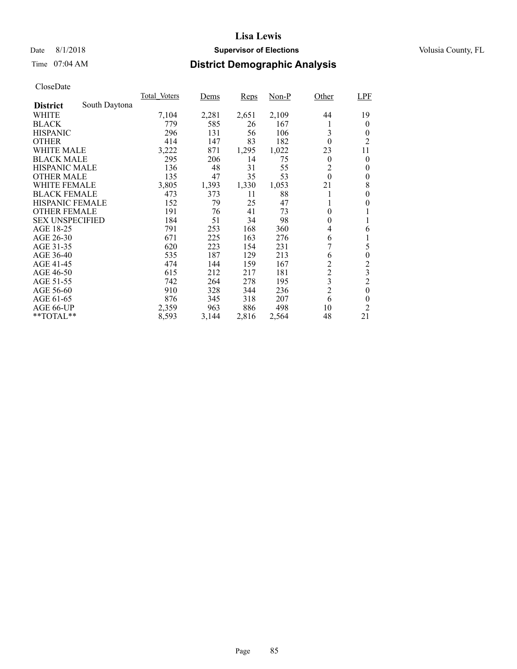### Date 8/1/2018 **Supervisor of Elections Supervisor of Elections** Volusia County, FL

# Time 07:04 AM **District Demographic Analysis**

|                        |               | Total Voters | Dems  | <b>Reps</b> | $Non-P$ | Other            | <b>LPF</b>       |
|------------------------|---------------|--------------|-------|-------------|---------|------------------|------------------|
| <b>District</b>        | South Daytona |              |       |             |         |                  |                  |
| WHITE                  |               | 7,104        | 2,281 | 2,651       | 2,109   | 44               | 19               |
| <b>BLACK</b>           |               | 779          | 585   | 26          | 167     | 1                | $\theta$         |
| <b>HISPANIC</b>        |               | 296          | 131   | 56          | 106     | 3                | 0                |
| <b>OTHER</b>           |               | 414          | 147   | 83          | 182     | $\theta$         | $\overline{2}$   |
| WHITE MALE             |               | 3,222        | 871   | 1,295       | 1,022   | 23               | 11               |
| <b>BLACK MALE</b>      |               | 295          | 206   | 14          | 75      | $\theta$         | $\theta$         |
| <b>HISPANIC MALE</b>   |               | 136          | 48    | 31          | 55      | $\overline{c}$   | 0                |
| <b>OTHER MALE</b>      |               | 135          | 47    | 35          | 53      | $\boldsymbol{0}$ | $\theta$         |
| <b>WHITE FEMALE</b>    |               | 3,805        | 1,393 | 1,330       | 1,053   | 21               | 8                |
| <b>BLACK FEMALE</b>    |               | 473          | 373   | 11          | 88      |                  | 0                |
| HISPANIC FEMALE        |               | 152          | 79    | 25          | 47      |                  | 0                |
| <b>OTHER FEMALE</b>    |               | 191          | 76    | 41          | 73      | $\theta$         |                  |
| <b>SEX UNSPECIFIED</b> |               | 184          | 51    | 34          | 98      | $\theta$         |                  |
| AGE 18-25              |               | 791          | 253   | 168         | 360     | 4                | 6                |
| AGE 26-30              |               | 671          | 225   | 163         | 276     | 6                | 1                |
| AGE 31-35              |               | 620          | 223   | 154         | 231     | 7                | 5                |
| AGE 36-40              |               | 535          | 187   | 129         | 213     | 6                | $\boldsymbol{0}$ |
| AGE 41-45              |               | 474          | 144   | 159         | 167     | $\overline{c}$   | $\overline{c}$   |
| AGE 46-50              |               | 615          | 212   | 217         | 181     | $\overline{c}$   | 3                |
| AGE 51-55              |               | 742          | 264   | 278         | 195     | 3                | $\overline{c}$   |
| AGE 56-60              |               | 910          | 328   | 344         | 236     | $\overline{2}$   | $\theta$         |
| AGE 61-65              |               | 876          | 345   | 318         | 207     | 6                | $\theta$         |
| AGE 66-UP              |               | 2,359        | 963   | 886         | 498     | 10               | $\overline{2}$   |
| **TOTAL**              |               | 8,593        | 3,144 | 2,816       | 2,564   | 48               | 21               |